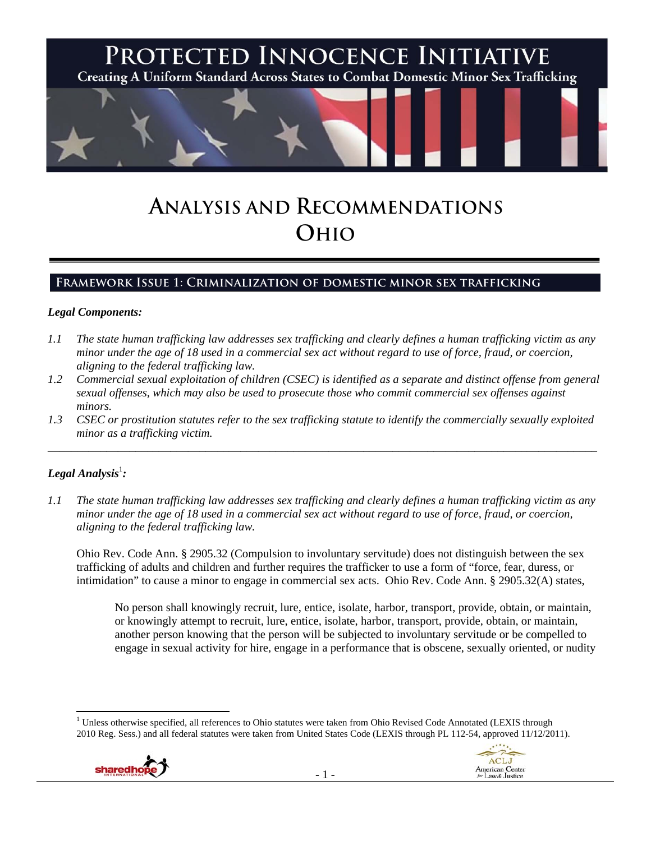

# **ANALYSIS AND RECOMMENDATIONS OHIO**

# **Framework Issue 1: Criminalization of domestic minor sex trafficking**

#### *Legal Components:*

- *1.1 The state human trafficking law addresses sex trafficking and clearly defines a human trafficking victim as any minor under the age of 18 used in a commercial sex act without regard to use of force, fraud, or coercion, aligning to the federal trafficking law.*
- *1.2 Commercial sexual exploitation of children (CSEC) is identified as a separate and distinct offense from general sexual offenses, which may also be used to prosecute those who commit commercial sex offenses against minors.*
- *1.3 CSEC or prostitution statutes refer to the sex trafficking statute to identify the commercially sexually exploited minor as a trafficking victim.*  \_\_\_\_\_\_\_\_\_\_\_\_\_\_\_\_\_\_\_\_\_\_\_\_\_\_\_\_\_\_\_\_\_\_\_\_\_\_\_\_\_\_\_\_\_\_\_\_\_\_\_\_\_\_\_\_\_\_\_\_\_\_\_\_\_\_\_\_\_\_\_\_\_\_\_\_\_\_\_\_\_\_\_\_\_\_\_\_\_\_\_\_\_\_

# $\bm{L}$ egal Analysis $^{\rm l}$ :

*1.1 The state human trafficking law addresses sex trafficking and clearly defines a human trafficking victim as any minor under the age of 18 used in a commercial sex act without regard to use of force, fraud, or coercion, aligning to the federal trafficking law.* 

Ohio Rev. Code Ann. § 2905.32 (Compulsion to involuntary servitude) does not distinguish between the sex trafficking of adults and children and further requires the trafficker to use a form of "force, fear, duress, or intimidation" to cause a minor to engage in commercial sex acts. Ohio Rev. Code Ann. § 2905.32(A) states,

No person shall knowingly recruit, lure, entice, isolate, harbor, transport, provide, obtain, or maintain, or knowingly attempt to recruit, lure, entice, isolate, harbor, transport, provide, obtain, or maintain, another person knowing that the person will be subjected to involuntary servitude or be compelled to engage in sexual activity for hire, engage in a performance that is obscene, sexually oriented, or nudity

 $1$  Unless otherwise specified, all references to Ohio statutes were taken from Ohio Revised Code Annotated (LEXIS through 2010 Reg. Sess.) and all federal statutes were taken from United States Code (LEXIS through PL 112-54, approved 11/12/2011).

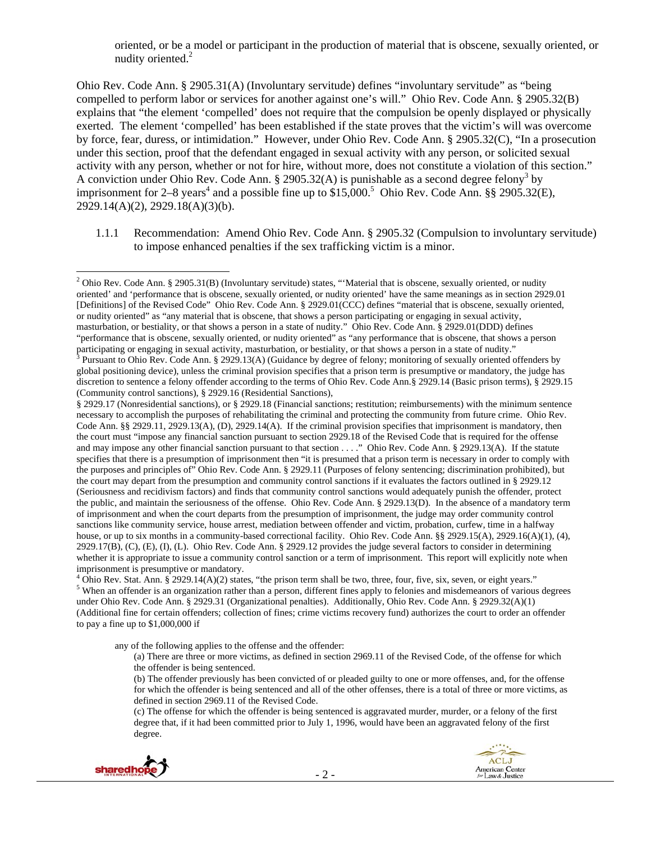oriented, or be a model or participant in the production of material that is obscene, sexually oriented, or nudity oriented. $2$ 

Ohio Rev. Code Ann. § 2905.31(A) (Involuntary servitude) defines "involuntary servitude" as "being compelled to perform labor or services for another against one's will." Ohio Rev. Code Ann. § 2905.32(B) explains that "the element 'compelled' does not require that the compulsion be openly displayed or physically exerted. The element 'compelled' has been established if the state proves that the victim's will was overcome by force, fear, duress, or intimidation." However, under Ohio Rev. Code Ann. § 2905.32(C), "In a prosecution under this section, proof that the defendant engaged in sexual activity with any person, or solicited sexual activity with any person, whether or not for hire, without more, does not constitute a violation of this section." A conviction under Ohio Rev. Code Ann. § 2905.32(A) is punishable as a second degree felony<sup>3</sup> by imprisonment for 2–8 years<sup>4</sup> and a possible fine up to \$15,000.<sup>5</sup> Ohio Rev. Code Ann. §§ 2905.32(E), 2929.14(A)(2), 2929.18(A)(3)(b).

1.1.1 Recommendation: Amend Ohio Rev. Code Ann. § 2905.32 (Compulsion to involuntary servitude) to impose enhanced penalties if the sex trafficking victim is a minor.

<sup>4</sup> Ohio Rev. Stat. Ann. § 2929.14(A)(2) states, "the prison term shall be two, three, four, five, six, seven, or eight years."  $\frac{5}{2}$  When an offender is an aggregation rather than a person different fines angly to fo <sup>5</sup> When an offender is an organization rather than a person, different fines apply to felonies and misdemeanors of various degrees under Ohio Rev. Code Ann. § 2929.31 (Organizational penalties). Additionally, Ohio Rev. Code Ann. § 2929.32(A)(1) (Additional fine for certain offenders; collection of fines; crime victims recovery fund) authorizes the court to order an offender to pay a fine up to \$1,000,000 if

any of the following applies to the offense and the offender:

(a) There are three or more victims, as defined in section 2969.11 of the Revised Code, of the offense for which the offender is being sentenced.

(b) The offender previously has been convicted of or pleaded guilty to one or more offenses, and, for the offense for which the offender is being sentenced and all of the other offenses, there is a total of three or more victims, as defined in section 2969.11 of the Revised Code.

(c) The offense for which the offender is being sentenced is aggravated murder, murder, or a felony of the first degree that, if it had been committed prior to July 1, 1996, would have been an aggravated felony of the first degree.





<sup>&</sup>lt;sup>2</sup> Ohio Rev. Code Ann. § 2905.31(B) (Involuntary servitude) states, "Material that is obscene, sexually oriented, or nudity oriented' and 'performance that is obscene, sexually oriented, or nudity oriented' have the same meanings as in section 2929.01 [Definitions] of the Revised Code" Ohio Rev. Code Ann. § 2929.01(CCC) defines "material that is obscene, sexually oriented, or nudity oriented" as "any material that is obscene, that shows a person participating or engaging in sexual activity, masturbation, or bestiality, or that shows a person in a state of nudity." Ohio Rev. Code Ann. § 2929.01(DDD) defines "performance that is obscene, sexually oriented, or nudity oriented" as "any performance that is obscene, that shows a person participating or engaging in sexual activity, masturbation, or bestiality, or that shows a person in a state of nudity." 3

Pursuant to Ohio Rev. Code Ann. § 2929.13(A) (Guidance by degree of felony; monitoring of sexually oriented offenders by global positioning device), unless the criminal provision specifies that a prison term is presumptive or mandatory, the judge has discretion to sentence a felony offender according to the terms of Ohio Rev. Code Ann.§ 2929.14 (Basic prison terms), § 2929.15 (Community control sanctions), § 2929.16 (Residential Sanctions),

<sup>§ 2929.17 (</sup>Nonresidential sanctions), or § 2929.18 (Financial sanctions; restitution; reimbursements) with the minimum sentence necessary to accomplish the purposes of rehabilitating the criminal and protecting the community from future crime. Ohio Rev. Code Ann. §§ 2929.11, 2929.13(A), (D), 2929.14(A). If the criminal provision specifies that imprisonment is mandatory, then the court must "impose any financial sanction pursuant to section 2929.18 of the Revised Code that is required for the offense and may impose any other financial sanction pursuant to that section . . . ." Ohio Rev. Code Ann. § 2929.13(A). If the statute specifies that there is a presumption of imprisonment then "it is presumed that a prison term is necessary in order to comply with the purposes and principles of" Ohio Rev. Code Ann. § 2929.11 (Purposes of felony sentencing; discrimination prohibited), but the court may depart from the presumption and community control sanctions if it evaluates the factors outlined in § 2929.12 (Seriousness and recidivism factors) and finds that community control sanctions would adequately punish the offender, protect the public, and maintain the seriousness of the offense. Ohio Rev. Code Ann. § 2929.13(D). In the absence of a mandatory term of imprisonment and when the court departs from the presumption of imprisonment, the judge may order community control sanctions like community service, house arrest, mediation between offender and victim, probation, curfew, time in a halfway house, or up to six months in a community-based correctional facility. Ohio Rev. Code Ann. §§ 2929.15(A), 2929.16(A)(1), (4), 2929.17(B), (C), (E), (I), (L). Ohio Rev. Code Ann. § 2929.12 provides the judge several factors to consider in determining whether it is appropriate to issue a community control sanction or a term of imprisonment. This report will explicitly note when imprisonment is presumptive or mandatory.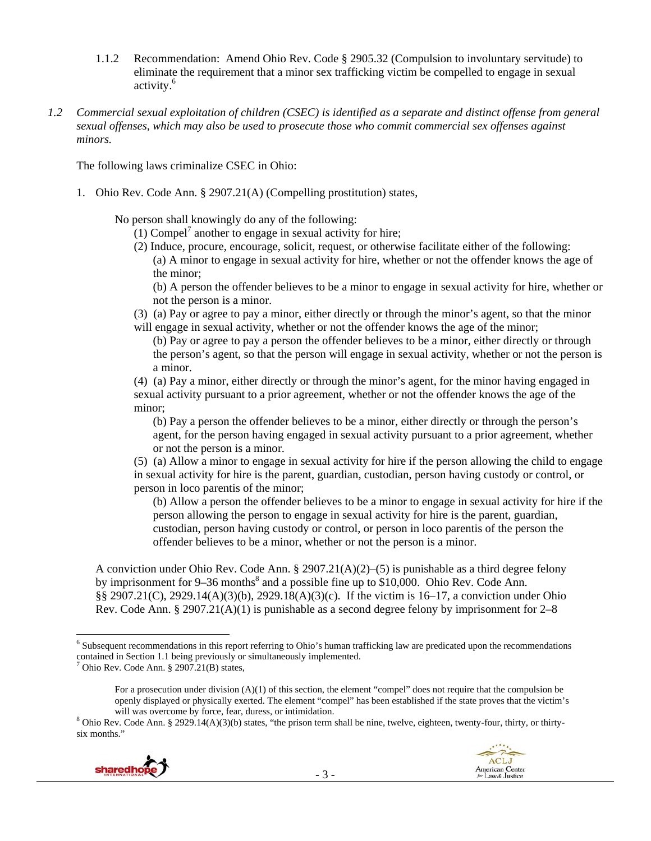- 1.1.2 Recommendation: Amend Ohio Rev. Code § 2905.32 (Compulsion to involuntary servitude) to eliminate the requirement that a minor sex trafficking victim be compelled to engage in sexual activity.6
- *1.2 Commercial sexual exploitation of children (CSEC) is identified as a separate and distinct offense from general sexual offenses, which may also be used to prosecute those who commit commercial sex offenses against minors.*

The following laws criminalize CSEC in Ohio:

1. Ohio Rev. Code Ann. § 2907.21(A) (Compelling prostitution) states,

No person shall knowingly do any of the following:

- $(1)$  Compel<sup>7</sup> another to engage in sexual activity for hire;
- (2) Induce, procure, encourage, solicit, request, or otherwise facilitate either of the following: (a) A minor to engage in sexual activity for hire, whether or not the offender knows the age of the minor;

(b) A person the offender believes to be a minor to engage in sexual activity for hire, whether or not the person is a minor.

- (3) (a) Pay or agree to pay a minor, either directly or through the minor's agent, so that the minor
- will engage in sexual activity, whether or not the offender knows the age of the minor; (b) Pay or agree to pay a person the offender believes to be a minor, either directly or through the person's agent, so that the person will engage in sexual activity, whether or not the person is a minor.

(4) (a) Pay a minor, either directly or through the minor's agent, for the minor having engaged in sexual activity pursuant to a prior agreement, whether or not the offender knows the age of the minor;

(b) Pay a person the offender believes to be a minor, either directly or through the person's agent, for the person having engaged in sexual activity pursuant to a prior agreement, whether or not the person is a minor.

(5) (a) Allow a minor to engage in sexual activity for hire if the person allowing the child to engage in sexual activity for hire is the parent, guardian, custodian, person having custody or control, or person in loco parentis of the minor;

(b) Allow a person the offender believes to be a minor to engage in sexual activity for hire if the person allowing the person to engage in sexual activity for hire is the parent, guardian, custodian, person having custody or control, or person in loco parentis of the person the offender believes to be a minor, whether or not the person is a minor.

A conviction under Ohio Rev. Code Ann.  $\S 2907.21(A)(2)$ –(5) is punishable as a third degree felony by imprisonment for  $9-36$  months<sup>8</sup> and a possible fine up to \$10,000. Ohio Rev. Code Ann. §§ 2907.21(C), 2929.14(A)(3)(b), 2929.18(A)(3)(c). If the victim is 16–17, a conviction under Ohio Rev. Code Ann. § 2907.21(A)(1) is punishable as a second degree felony by imprisonment for  $2-8$ 

<sup>&</sup>lt;sup>8</sup> Ohio Rev. Code Ann. § 2929.14(A)(3)(b) states, "the prison term shall be nine, twelve, eighteen, twenty-four, thirty, or thirtysix months."





<sup>&</sup>lt;sup>6</sup> Subsequent recommendations in this report referring to Ohio's human trafficking law are predicated upon the recommendations contained in Section 1.1 being previously or simultaneously implemented.<br><sup>7</sup> Ohio Rev. Code Ann. § 2907.21(B) states,

For a prosecution under division  $(A)(1)$  of this section, the element "compel" does not require that the compulsion be openly displayed or physically exerted. The element "compel" has been established if the state proves that the victim's will was overcome by force, fear, duress, or intimidation.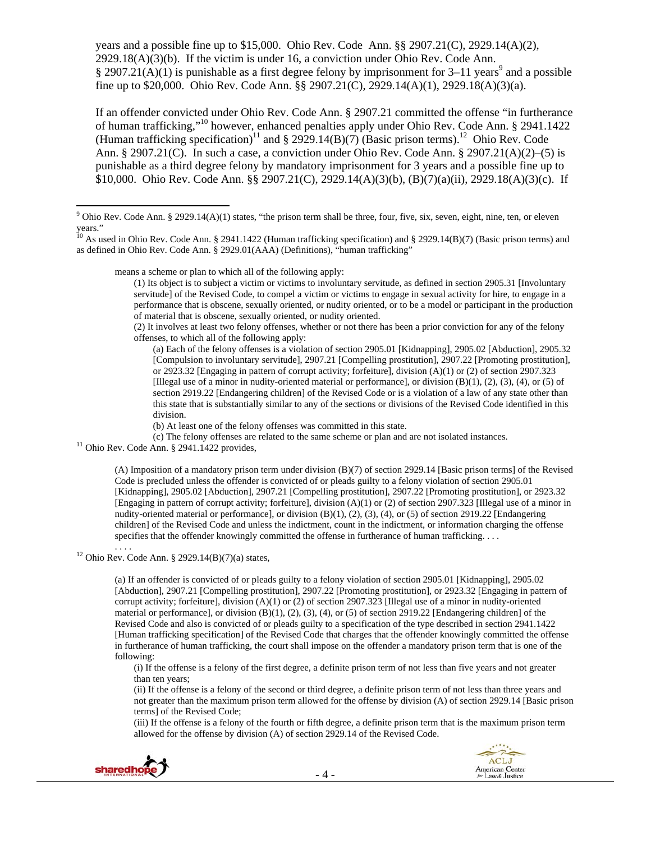years and a possible fine up to \$15,000. Ohio Rev. Code Ann. §§ 2907.21(C), 2929.14(A)(2), 2929.18(A)(3)(b). If the victim is under 16, a conviction under Ohio Rev. Code Ann. § 2907.21(A)(1) is punishable as a first degree felony by imprisonment for 3–11 years<sup>9</sup> and a possible fine up to \$20,000. Ohio Rev. Code Ann. §§ 2907.21(C), 2929.14(A)(1), 2929.18(A)(3)(a).

If an offender convicted under Ohio Rev. Code Ann. § 2907.21 committed the offense "in furtherance of human trafficking,"10 however, enhanced penalties apply under Ohio Rev. Code Ann. § 2941.1422 (Human trafficking specification)<sup>11</sup> and § 2929.14(B)(7) (Basic prison terms).<sup>12</sup> Ohio Rev. Code Ann. § 2907.21(C). In such a case, a conviction under Ohio Rev. Code Ann. § 2907.21(A)(2)–(5) is punishable as a third degree felony by mandatory imprisonment for 3 years and a possible fine up to \$10,000. Ohio Rev. Code Ann. §§ 2907.21(C), 2929.14(A)(3)(b), (B)(7)(a)(ii), 2929.18(A)(3)(c). If

means a scheme or plan to which all of the following apply:

(1) Its object is to subject a victim or victims to involuntary servitude, as defined in section 2905.31 [Involuntary servitude] of the Revised Code, to compel a victim or victims to engage in sexual activity for hire, to engage in a performance that is obscene, sexually oriented, or nudity oriented, or to be a model or participant in the production of material that is obscene, sexually oriented, or nudity oriented.

(2) It involves at least two felony offenses, whether or not there has been a prior conviction for any of the felony offenses, to which all of the following apply:

(a) Each of the felony offenses is a violation of section 2905.01 [Kidnapping], 2905.02 [Abduction], 2905.32 [Compulsion to involuntary servitude], 2907.21 [Compelling prostitution], 2907.22 [Promoting prostitution], or 2923.32 [Engaging in pattern of corrupt activity; forfeiture], division (A)(1) or (2) of section 2907.323 [Illegal use of a minor in nudity-oriented material or performance], or division (B)(1), (2), (3), (4), or (5) of section 2919.22 [Endangering children] of the Revised Code or is a violation of a law of any state other than this state that is substantially similar to any of the sections or divisions of the Revised Code identified in this division.

(b) At least one of the felony offenses was committed in this state.

(A) Imposition of a mandatory prison term under division (B)(7) of section 2929.14 [Basic prison terms] of the Revised Code is precluded unless the offender is convicted of or pleads guilty to a felony violation of section 2905.01 [Kidnapping], 2905.02 [Abduction], 2907.21 [Compelling prostitution], 2907.22 [Promoting prostitution], or 2923.32 [Engaging in pattern of corrupt activity; forfeiture], division (A)(1) or (2) of section 2907.323 [Illegal use of a minor in nudity-oriented material or performance], or division (B)(1), (2), (3), (4), or (5) of section 2919.22 [Endangering children] of the Revised Code and unless the indictment, count in the indictment, or information charging the offense specifies that the offender knowingly committed the offense in furtherance of human trafficking. . . .

 $12$  Ohio Rev. Code Ann. § 2929.14(B)(7)(a) states,

(a) If an offender is convicted of or pleads guilty to a felony violation of section 2905.01 [Kidnapping], 2905.02 [Abduction], 2907.21 [Compelling prostitution], 2907.22 [Promoting prostitution], or 2923.32 [Engaging in pattern of corrupt activity; forfeiture], division (A)(1) or (2) of section 2907.323 [Illegal use of a minor in nudity-oriented material or performance], or division  $(B)(1)$ ,  $(2)$ ,  $(3)$ ,  $(4)$ , or  $(5)$  of section 2919.22 [Endangering children] of the Revised Code and also is convicted of or pleads guilty to a specification of the type described in section 2941.1422 [Human trafficking specification] of the Revised Code that charges that the offender knowingly committed the offense in furtherance of human trafficking, the court shall impose on the offender a mandatory prison term that is one of the following:

(i) If the offense is a felony of the first degree, a definite prison term of not less than five years and not greater than ten years;

(ii) If the offense is a felony of the second or third degree, a definite prison term of not less than three years and not greater than the maximum prison term allowed for the offense by division (A) of section 2929.14 [Basic prison terms] of the Revised Code;

(iii) If the offense is a felony of the fourth or fifth degree, a definite prison term that is the maximum prison term allowed for the offense by division (A) of section 2929.14 of the Revised Code.





<sup>&</sup>lt;sup>9</sup> Ohio Rev. Code Ann. § 2929.14(A)(1) states, "the prison term shall be three, four, five, six, seven, eight, nine, ten, or eleven years."

<sup>&</sup>lt;sup>10</sup> As used in Ohio Rev. Code Ann. § 2941.1422 (Human trafficking specification) and § 2929.14(B)(7) (Basic prison terms) and as defined in Ohio Rev. Code Ann. § 2929.01(AAA) (Definitions), "human trafficking"

<sup>(</sup>c) The felony offenses are related to the same scheme or plan and are not isolated instances. 11 Ohio Rev. Code Ann. § 2941.1422 provides,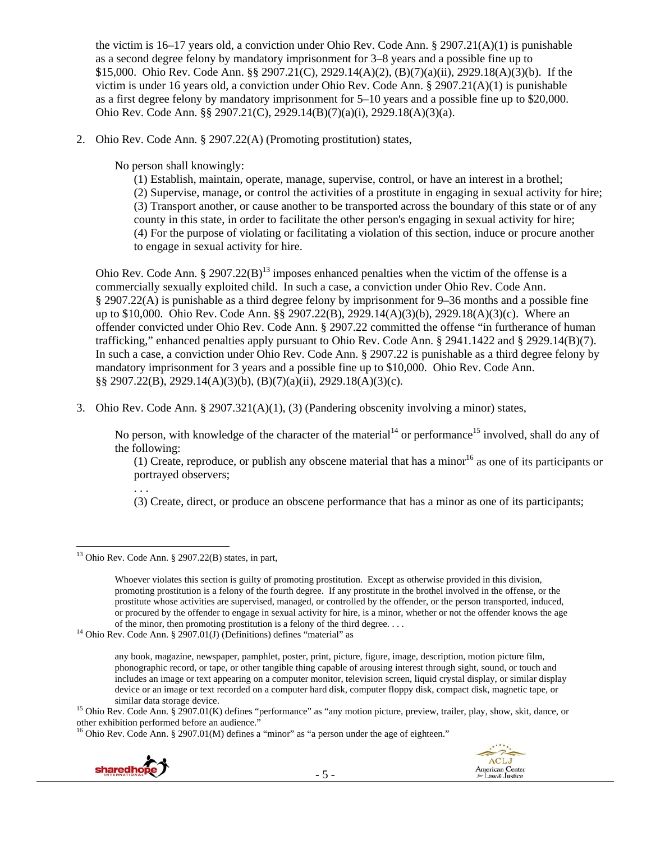the victim is 16–17 years old, a conviction under Ohio Rev. Code Ann. § 2907.21(A)(1) is punishable as a second degree felony by mandatory imprisonment for 3–8 years and a possible fine up to \$15,000. Ohio Rev. Code Ann. §§ 2907.21(C), 2929.14(A)(2), (B)(7)(a)(ii), 2929.18(A)(3)(b). If the victim is under 16 years old, a conviction under Ohio Rev. Code Ann. § 2907.21(A)(1) is punishable as a first degree felony by mandatory imprisonment for 5–10 years and a possible fine up to \$20,000. Ohio Rev. Code Ann. §§ 2907.21(C), 2929.14(B)(7)(a)(i), 2929.18(A)(3)(a).

2. Ohio Rev. Code Ann. § 2907.22(A) (Promoting prostitution) states,

No person shall knowingly:

(1) Establish, maintain, operate, manage, supervise, control, or have an interest in a brothel; (2) Supervise, manage, or control the activities of a prostitute in engaging in sexual activity for hire; (3) Transport another, or cause another to be transported across the boundary of this state or of any county in this state, in order to facilitate the other person's engaging in sexual activity for hire; (4) For the purpose of violating or facilitating a violation of this section, induce or procure another to engage in sexual activity for hire.

Ohio Rev. Code Ann. § 2907.22(B)<sup>13</sup> imposes enhanced penalties when the victim of the offense is a commercially sexually exploited child. In such a case, a conviction under Ohio Rev. Code Ann. § 2907.22(A) is punishable as a third degree felony by imprisonment for 9–36 months and a possible fine up to \$10,000. Ohio Rev. Code Ann. §§ 2907.22(B), 2929.14(A)(3)(b), 2929.18(A)(3)(c). Where an offender convicted under Ohio Rev. Code Ann. § 2907.22 committed the offense "in furtherance of human trafficking," enhanced penalties apply pursuant to Ohio Rev. Code Ann. § 2941.1422 and § 2929.14(B)(7). In such a case, a conviction under Ohio Rev. Code Ann. § 2907.22 is punishable as a third degree felony by mandatory imprisonment for 3 years and a possible fine up to \$10,000. Ohio Rev. Code Ann. §§ 2907.22(B), 2929.14(A)(3)(b), (B)(7)(a)(ii), 2929.18(A)(3)(c).

3. Ohio Rev. Code Ann. § 2907.321(A)(1), (3) (Pandering obscenity involving a minor) states,

No person, with knowledge of the character of the material<sup>14</sup> or performance<sup>15</sup> involved, shall do any of the following:

(1) Create, reproduce, or publish any obscene material that has a minor<sup>16</sup> as one of its participants or portrayed observers;

(3) Create, direct, or produce an obscene performance that has a minor as one of its participants;

. . .

<sup>&</sup>lt;sup>16</sup> Ohio Rev. Code Ann. § 2907.01(M) defines a "minor" as "a person under the age of eighteen."





  $13$  Ohio Rev. Code Ann. § 2907.22(B) states, in part,

Whoever violates this section is guilty of promoting prostitution. Except as otherwise provided in this division, promoting prostitution is a felony of the fourth degree. If any prostitute in the brothel involved in the offense, or the prostitute whose activities are supervised, managed, or controlled by the offender, or the person transported, induced, or procured by the offender to engage in sexual activity for hire, is a minor, whether or not the offender knows the age

of the minor, then promoting prostitution is a felony of the third degree. . . . 14 Ohio Rev. Code Ann. § 2907.01(J) (Definitions) defines "material" as

any book, magazine, newspaper, pamphlet, poster, print, picture, figure, image, description, motion picture film, phonographic record, or tape, or other tangible thing capable of arousing interest through sight, sound, or touch and includes an image or text appearing on a computer monitor, television screen, liquid crystal display, or similar display device or an image or text recorded on a computer hard disk, computer floppy disk, compact disk, magnetic tape, or similar data storage device.<br><sup>15</sup> Ohio Rev. Code Ann. § 2907.01(K) defines "performance" as "any motion picture, preview, trailer, play, show, skit, dance, or

other exhibition performed before an audience.'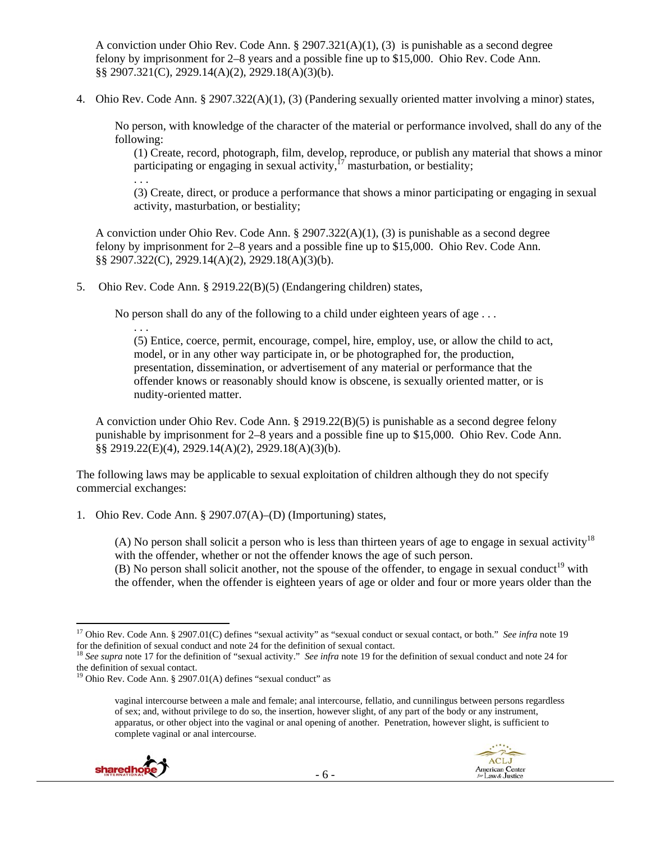A conviction under Ohio Rev. Code Ann. § 2907.321(A)(1), (3) is punishable as a second degree felony by imprisonment for 2–8 years and a possible fine up to \$15,000. Ohio Rev. Code Ann. §§ 2907.321(C), 2929.14(A)(2), 2929.18(A)(3)(b).

4. Ohio Rev. Code Ann. § 2907.322(A)(1), (3) (Pandering sexually oriented matter involving a minor) states,

No person, with knowledge of the character of the material or performance involved, shall do any of the following:

(1) Create, record, photograph, film, develop, reproduce, or publish any material that shows a minor participating or engaging in sexual activity,<sup> $17$ </sup> masturbation, or bestiality;

. . .

(3) Create, direct, or produce a performance that shows a minor participating or engaging in sexual activity, masturbation, or bestiality;

A conviction under Ohio Rev. Code Ann. § 2907.322(A)(1), (3) is punishable as a second degree felony by imprisonment for 2–8 years and a possible fine up to \$15,000. Ohio Rev. Code Ann. §§ 2907.322(C), 2929.14(A)(2), 2929.18(A)(3)(b).

5. Ohio Rev. Code Ann. § 2919.22(B)(5) (Endangering children) states,

No person shall do any of the following to a child under eighteen years of age . . .

. . . (5) Entice, coerce, permit, encourage, compel, hire, employ, use, or allow the child to act, model, or in any other way participate in, or be photographed for, the production, presentation, dissemination, or advertisement of any material or performance that the offender knows or reasonably should know is obscene, is sexually oriented matter, or is nudity-oriented matter.

A conviction under Ohio Rev. Code Ann. § 2919.22(B)(5) is punishable as a second degree felony punishable by imprisonment for 2–8 years and a possible fine up to \$15,000. Ohio Rev. Code Ann. §§ 2919.22(E)(4), 2929.14(A)(2), 2929.18(A)(3)(b).

The following laws may be applicable to sexual exploitation of children although they do not specify commercial exchanges:

1. Ohio Rev. Code Ann. § 2907.07(A)–(D) (Importuning) states,

(A) No person shall solicit a person who is less than thirteen years of age to engage in sexual activity<sup>18</sup> with the offender, whether or not the offender knows the age of such person.

 $(B)$  No person shall solicit another, not the spouse of the offender, to engage in sexual conduct<sup>19</sup> with the offender, when the offender is eighteen years of age or older and four or more years older than the

vaginal intercourse between a male and female; anal intercourse, fellatio, and cunnilingus between persons regardless of sex; and, without privilege to do so, the insertion, however slight, of any part of the body or any instrument, apparatus, or other object into the vaginal or anal opening of another. Penetration, however slight, is sufficient to complete vaginal or anal intercourse.





 <sup>17</sup> Ohio Rev. Code Ann. § 2907.01(C) defines "sexual activity" as "sexual conduct or sexual contact, or both." *See infra* note 19 for the definition of sexual contact.

<sup>&</sup>lt;sup>18</sup> See supra note 17 for the definition of "sexual activity." See infra note 19 for the definition of sexual conduct and note 24 for the definition of sexual contact.

 $19$  Ohio Rev. Code Ann. § 2907.01(A) defines "sexual conduct" as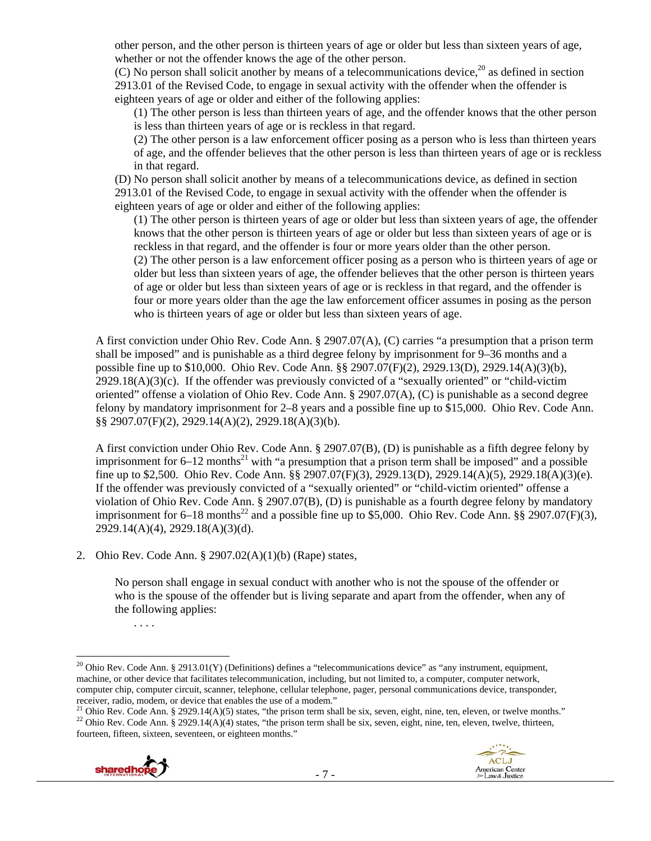other person, and the other person is thirteen years of age or older but less than sixteen years of age, whether or not the offender knows the age of the other person.

(C) No person shall solicit another by means of a telecommunications device,  $^{20}$  as defined in section 2913.01 of the Revised Code, to engage in sexual activity with the offender when the offender is eighteen years of age or older and either of the following applies:

(1) The other person is less than thirteen years of age, and the offender knows that the other person is less than thirteen years of age or is reckless in that regard.

(2) The other person is a law enforcement officer posing as a person who is less than thirteen years of age, and the offender believes that the other person is less than thirteen years of age or is reckless in that regard.

(D) No person shall solicit another by means of a telecommunications device, as defined in section 2913.01 of the Revised Code, to engage in sexual activity with the offender when the offender is eighteen years of age or older and either of the following applies:

(1) The other person is thirteen years of age or older but less than sixteen years of age, the offender knows that the other person is thirteen years of age or older but less than sixteen years of age or is reckless in that regard, and the offender is four or more years older than the other person. (2) The other person is a law enforcement officer posing as a person who is thirteen years of age or older but less than sixteen years of age, the offender believes that the other person is thirteen years of age or older but less than sixteen years of age or is reckless in that regard, and the offender is four or more years older than the age the law enforcement officer assumes in posing as the person who is thirteen years of age or older but less than sixteen years of age.

A first conviction under Ohio Rev. Code Ann. § 2907.07(A), (C) carries "a presumption that a prison term shall be imposed" and is punishable as a third degree felony by imprisonment for 9–36 months and a possible fine up to \$10,000. Ohio Rev. Code Ann. §§ 2907.07(F)(2), 2929.13(D), 2929.14(A)(3)(b),  $2929.18(A)(3)(c)$ . If the offender was previously convicted of a "sexually oriented" or "child-victim" oriented" offense a violation of Ohio Rev. Code Ann. § 2907.07(A), (C) is punishable as a second degree felony by mandatory imprisonment for 2–8 years and a possible fine up to \$15,000. Ohio Rev. Code Ann. §§ 2907.07(F)(2), 2929.14(A)(2), 2929.18(A)(3)(b).

A first conviction under Ohio Rev. Code Ann. § 2907.07(B), (D) is punishable as a fifth degree felony by imprisonment for  $6-12$  months<sup>21</sup> with "a presumption that a prison term shall be imposed" and a possible fine up to \$2,500. Ohio Rev. Code Ann. §§ 2907.07(F)(3), 2929.13(D), 2929.14(A)(5), 2929.18(A)(3)(e). If the offender was previously convicted of a "sexually oriented" or "child-victim oriented" offense a violation of Ohio Rev. Code Ann. § 2907.07(B), (D) is punishable as a fourth degree felony by mandatory imprisonment for 6–18 months<sup>22</sup> and a possible fine up to \$5,000. Ohio Rev. Code Ann. §§ 2907.07(F)(3), 2929.14(A)(4), 2929.18(A)(3)(d).

2. Ohio Rev. Code Ann. § 2907.02(A)(1)(b) (Rape) states,

No person shall engage in sexual conduct with another who is not the spouse of the offender or who is the spouse of the offender but is living separate and apart from the offender, when any of the following applies:

. . . .

receiver, radio, modem, or device that enables the use of a modem."<br><sup>21</sup> Ohio Rev. Code Ann. § 2929.14(A)(5) states, "the prison term shall be six, seven, eight, nine, ten, eleven, or twelve months."<br><sup>22</sup> Ohio Rev. Code An fourteen, fifteen, sixteen, seventeen, or eighteen months."





<sup>&</sup>lt;sup>20</sup> Ohio Rev. Code Ann. § 2913.01(Y) (Definitions) defines a "telecommunications device" as "any instrument, equipment, machine, or other device that facilitates telecommunication, including, but not limited to, a computer, computer network, computer chip, computer circuit, scanner, telephone, cellular telephone, pager, personal communications device, transponder,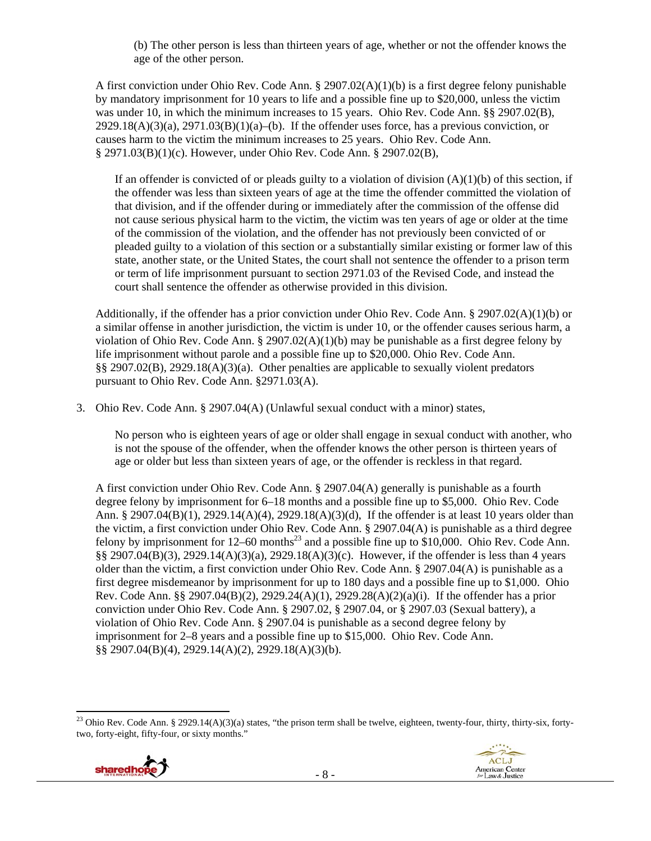(b) The other person is less than thirteen years of age, whether or not the offender knows the age of the other person.

A first conviction under Ohio Rev. Code Ann. § 2907.02(A)(1)(b) is a first degree felony punishable by mandatory imprisonment for 10 years to life and a possible fine up to \$20,000, unless the victim was under 10, in which the minimum increases to 15 years. Ohio Rev. Code Ann. §§ 2907.02(B),  $2929.18(A)(3)(a)$ ,  $2971.03(B)(1)(a)$ –(b). If the offender uses force, has a previous conviction, or causes harm to the victim the minimum increases to 25 years. Ohio Rev. Code Ann. § 2971.03(B)(1)(c). However, under Ohio Rev. Code Ann. § 2907.02(B),

If an offender is convicted of or pleads guilty to a violation of division  $(A)(1)(b)$  of this section, if the offender was less than sixteen years of age at the time the offender committed the violation of that division, and if the offender during or immediately after the commission of the offense did not cause serious physical harm to the victim, the victim was ten years of age or older at the time of the commission of the violation, and the offender has not previously been convicted of or pleaded guilty to a violation of this section or a substantially similar existing or former law of this state, another state, or the United States, the court shall not sentence the offender to a prison term or term of life imprisonment pursuant to section 2971.03 of the Revised Code, and instead the court shall sentence the offender as otherwise provided in this division.

Additionally, if the offender has a prior conviction under Ohio Rev. Code Ann. § 2907.02(A)(1)(b) or a similar offense in another jurisdiction, the victim is under 10, or the offender causes serious harm, a violation of Ohio Rev. Code Ann. § 2907.02(A)(1)(b) may be punishable as a first degree felony by life imprisonment without parole and a possible fine up to \$20,000. Ohio Rev. Code Ann. §§ 2907.02(B), 2929.18(A)(3)(a). Other penalties are applicable to sexually violent predators pursuant to Ohio Rev. Code Ann. §2971.03(A).

3. Ohio Rev. Code Ann. § 2907.04(A) (Unlawful sexual conduct with a minor) states,

No person who is eighteen years of age or older shall engage in sexual conduct with another, who is not the spouse of the offender, when the offender knows the other person is thirteen years of age or older but less than sixteen years of age, or the offender is reckless in that regard.

A first conviction under Ohio Rev. Code Ann. § 2907.04(A) generally is punishable as a fourth degree felony by imprisonment for 6–18 months and a possible fine up to \$5,000. Ohio Rev. Code Ann. § 2907.04(B)(1), 2929.14(A)(4), 2929.18(A)(3)(d), If the offender is at least 10 years older than the victim, a first conviction under Ohio Rev. Code Ann. § 2907.04(A) is punishable as a third degree felony by imprisonment for 12–60 months<sup>23</sup> and a possible fine up to \$10,000. Ohio Rev. Code Ann. §§ 2907.04(B)(3), 2929.14(A)(3)(a), 2929.18(A)(3)(c). However, if the offender is less than 4 years older than the victim, a first conviction under Ohio Rev. Code Ann. § 2907.04(A) is punishable as a first degree misdemeanor by imprisonment for up to 180 days and a possible fine up to \$1,000. Ohio Rev. Code Ann. §§ 2907.04(B)(2), 2929.24(A)(1), 2929.28(A)(2)(a)(i). If the offender has a prior conviction under Ohio Rev. Code Ann. § 2907.02, § 2907.04, or § 2907.03 (Sexual battery), a violation of Ohio Rev. Code Ann. § 2907.04 is punishable as a second degree felony by imprisonment for 2–8 years and a possible fine up to \$15,000. Ohio Rev. Code Ann. §§ 2907.04(B)(4), 2929.14(A)(2), 2929.18(A)(3)(b).

<sup>&</sup>lt;sup>23</sup> Ohio Rev. Code Ann. § 2929.14(A)(3)(a) states, "the prison term shall be twelve, eighteen, twenty-four, thirty, thirty-six, fortytwo, forty-eight, fifty-four, or sixty months."



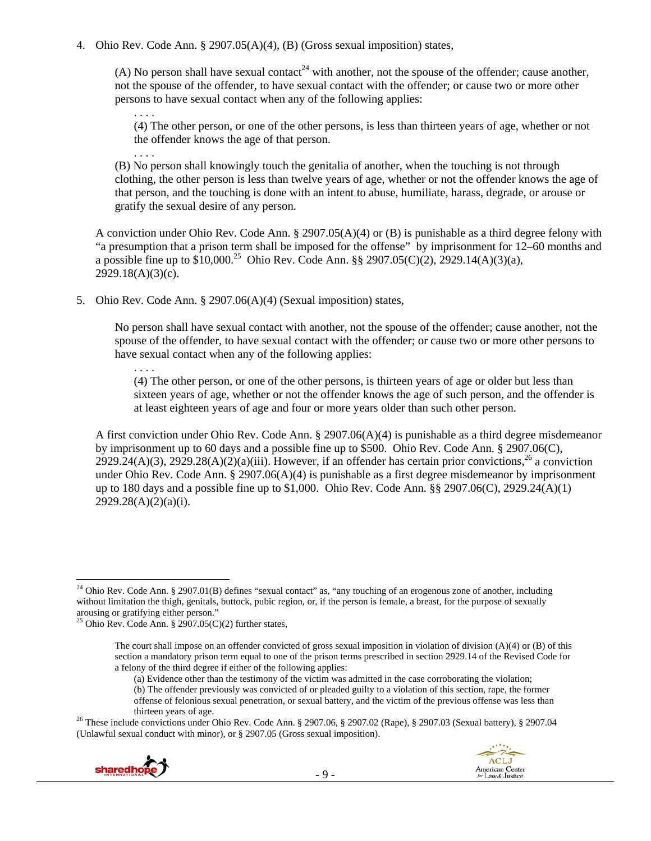4. Ohio Rev. Code Ann. § 2907.05(A)(4), (B) (Gross sexual imposition) states,

(A) No person shall have sexual contact<sup>24</sup> with another, not the spouse of the offender; cause another, not the spouse of the offender, to have sexual contact with the offender; or cause two or more other persons to have sexual contact when any of the following applies:

(4) The other person, or one of the other persons, is less than thirteen years of age, whether or not the offender knows the age of that person.

(B) No person shall knowingly touch the genitalia of another, when the touching is not through clothing, the other person is less than twelve years of age, whether or not the offender knows the age of that person, and the touching is done with an intent to abuse, humiliate, harass, degrade, or arouse or gratify the sexual desire of any person.

A conviction under Ohio Rev. Code Ann. § 2907.05(A)(4) or (B) is punishable as a third degree felony with "a presumption that a prison term shall be imposed for the offense" by imprisonment for 12–60 months and a possible fine up to  $$10,000.<sup>25</sup>$  Ohio Rev. Code Ann. §§ 2907.05(C)(2), 2929.14(A)(3)(a),  $2929.18(A)(3)(c)$ .

5. Ohio Rev. Code Ann. § 2907.06(A)(4) (Sexual imposition) states,

. . . .

. . . .

No person shall have sexual contact with another, not the spouse of the offender; cause another, not the spouse of the offender, to have sexual contact with the offender; or cause two or more other persons to have sexual contact when any of the following applies:

. . . . (4) The other person, or one of the other persons, is thirteen years of age or older but less than sixteen years of age, whether or not the offender knows the age of such person, and the offender is at least eighteen years of age and four or more years older than such other person.

A first conviction under Ohio Rev. Code Ann. § 2907.06(A)(4) is punishable as a third degree misdemeanor by imprisonment up to 60 days and a possible fine up to \$500. Ohio Rev. Code Ann. § 2907.06(C), 2929.24(A)(3), 2929.28(A)(2)(a)(iii). However, if an offender has certain prior convictions,  $^{26}$  a conviction under Ohio Rev. Code Ann. § 2907.06(A)(4) is punishable as a first degree misdemeanor by imprisonment up to 180 days and a possible fine up to \$1,000. Ohio Rev. Code Ann. §§ 2907.06(C), 2929.24(A)(1)  $2929.28(A)(2)(a)(i)$ .

thirteen years of age.<br><sup>26</sup> These include convictions under Ohio Rev. Code Ann. § 2907.06, § 2907.02 (Rape), § 2907.03 (Sexual battery), § 2907.04 (Unlawful sexual conduct with minor), or § 2907.05 (Gross sexual imposition).





<sup>&</sup>lt;sup>24</sup> Ohio Rev. Code Ann. § 2907.01(B) defines "sexual contact" as, "any touching of an erogenous zone of another, including without limitation the thigh, genitals, buttock, pubic region, or, if the person is female, a breast, for the purpose of sexually arousing or gratifying either person."

<sup>&</sup>lt;sup>25</sup> Ohio Rev. Code Ann. § 2907.05(C)(2) further states,

The court shall impose on an offender convicted of gross sexual imposition in violation of division (A)(4) or (B) of this section a mandatory prison term equal to one of the prison terms prescribed in section 2929.14 of the Revised Code for a felony of the third degree if either of the following applies:

<sup>(</sup>a) Evidence other than the testimony of the victim was admitted in the case corroborating the violation; (b) The offender previously was convicted of or pleaded guilty to a violation of this section, rape, the former offense of felonious sexual penetration, or sexual battery, and the victim of the previous offense was less than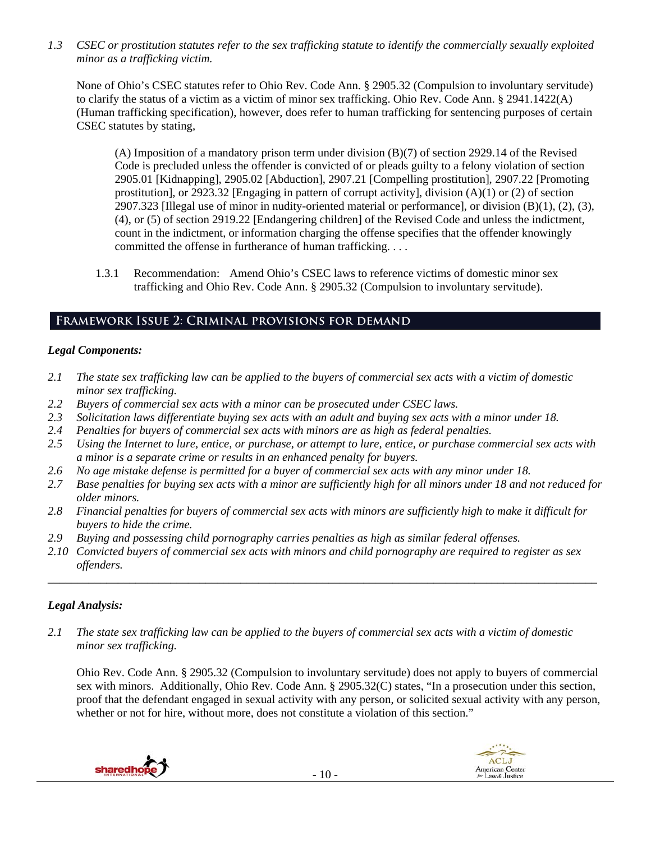*1.3 CSEC or prostitution statutes refer to the sex trafficking statute to identify the commercially sexually exploited minor as a trafficking victim.* 

None of Ohio's CSEC statutes refer to Ohio Rev. Code Ann. § 2905.32 (Compulsion to involuntary servitude) to clarify the status of a victim as a victim of minor sex trafficking. Ohio Rev. Code Ann. § 2941.1422(A) (Human trafficking specification), however, does refer to human trafficking for sentencing purposes of certain CSEC statutes by stating,

(A) Imposition of a mandatory prison term under division (B)(7) of section 2929.14 of the Revised Code is precluded unless the offender is convicted of or pleads guilty to a felony violation of section 2905.01 [Kidnapping], 2905.02 [Abduction], 2907.21 [Compelling prostitution], 2907.22 [Promoting prostitution], or 2923.32 [Engaging in pattern of corrupt activity], division (A)(1) or (2) of section 2907.323 [Illegal use of minor in nudity-oriented material or performance], or division  $(B)(1)$ ,  $(2)$ ,  $(3)$ , (4), or (5) of section 2919.22 [Endangering children] of the Revised Code and unless the indictment, count in the indictment, or information charging the offense specifies that the offender knowingly committed the offense in furtherance of human trafficking. . . .

1.3.1 Recommendation: Amend Ohio's CSEC laws to reference victims of domestic minor sex trafficking and Ohio Rev. Code Ann. § 2905.32 (Compulsion to involuntary servitude).

# **Framework Issue 2: Criminal provisions for demand**

#### *Legal Components:*

- *2.1 The state sex trafficking law can be applied to the buyers of commercial sex acts with a victim of domestic minor sex trafficking.*
- *2.2 Buyers of commercial sex acts with a minor can be prosecuted under CSEC laws.*
- *2.3 Solicitation laws differentiate buying sex acts with an adult and buying sex acts with a minor under 18.*
- *2.4 Penalties for buyers of commercial sex acts with minors are as high as federal penalties.*
- *2.5 Using the Internet to lure, entice, or purchase, or attempt to lure, entice, or purchase commercial sex acts with a minor is a separate crime or results in an enhanced penalty for buyers.*
- *2.6 No age mistake defense is permitted for a buyer of commercial sex acts with any minor under 18.*
- *2.7 Base penalties for buying sex acts with a minor are sufficiently high for all minors under 18 and not reduced for older minors.*
- *2.8 Financial penalties for buyers of commercial sex acts with minors are sufficiently high to make it difficult for buyers to hide the crime.*
- *2.9 Buying and possessing child pornography carries penalties as high as similar federal offenses.*
- *2.10 Convicted buyers of commercial sex acts with minors and child pornography are required to register as sex offenders.*

\_\_\_\_\_\_\_\_\_\_\_\_\_\_\_\_\_\_\_\_\_\_\_\_\_\_\_\_\_\_\_\_\_\_\_\_\_\_\_\_\_\_\_\_\_\_\_\_\_\_\_\_\_\_\_\_\_\_\_\_\_\_\_\_\_\_\_\_\_\_\_\_\_\_\_\_\_\_\_\_\_\_\_\_\_\_\_\_\_\_\_\_\_\_

## *Legal Analysis:*

*2.1 The state sex trafficking law can be applied to the buyers of commercial sex acts with a victim of domestic minor sex trafficking.* 

Ohio Rev. Code Ann. § 2905.32 (Compulsion to involuntary servitude) does not apply to buyers of commercial sex with minors. Additionally, Ohio Rev. Code Ann. § 2905.32(C) states, "In a prosecution under this section, proof that the defendant engaged in sexual activity with any person, or solicited sexual activity with any person, whether or not for hire, without more, does not constitute a violation of this section."



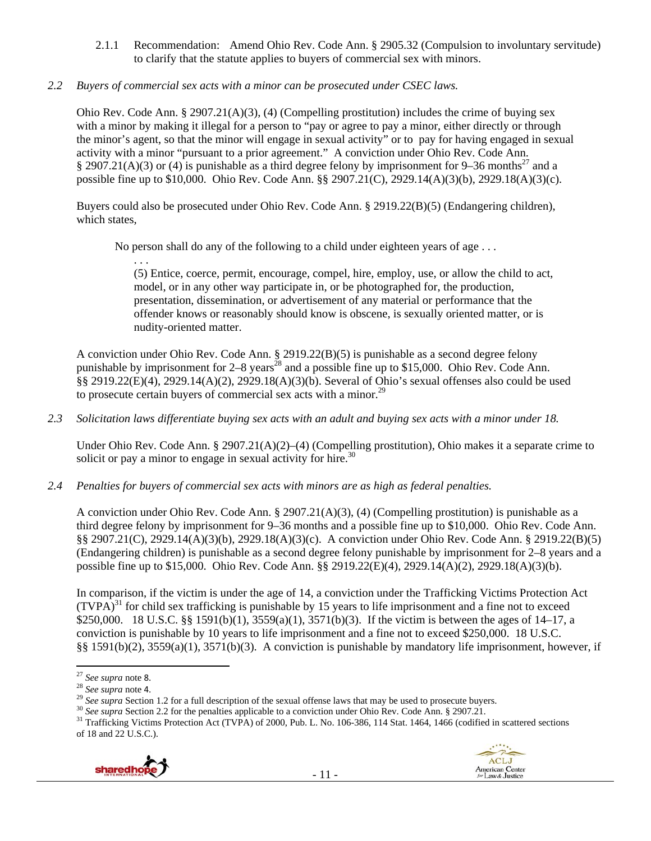2.1.1 Recommendation: Amend Ohio Rev. Code Ann. § 2905.32 (Compulsion to involuntary servitude) to clarify that the statute applies to buyers of commercial sex with minors.

#### *2.2 Buyers of commercial sex acts with a minor can be prosecuted under CSEC laws.*

Ohio Rev. Code Ann. § 2907.21(A)(3), (4) (Compelling prostitution) includes the crime of buying sex with a minor by making it illegal for a person to "pay or agree to pay a minor, either directly or through the minor's agent, so that the minor will engage in sexual activity" or to pay for having engaged in sexual activity with a minor "pursuant to a prior agreement." A conviction under Ohio Rev. Code Ann. § 2907.21(A)(3) or (4) is punishable as a third degree felony by imprisonment for 9–36 months<sup>27</sup> and a possible fine up to \$10,000. Ohio Rev. Code Ann. §§ 2907.21(C), 2929.14(A)(3)(b), 2929.18(A)(3)(c).

Buyers could also be prosecuted under Ohio Rev. Code Ann. § 2919.22(B)(5) (Endangering children), which states,

No person shall do any of the following to a child under eighteen years of age . . .

. . . (5) Entice, coerce, permit, encourage, compel, hire, employ, use, or allow the child to act, model, or in any other way participate in, or be photographed for, the production, presentation, dissemination, or advertisement of any material or performance that the offender knows or reasonably should know is obscene, is sexually oriented matter, or is nudity-oriented matter.

A conviction under Ohio Rev. Code Ann. § 2919.22(B)(5) is punishable as a second degree felony punishable by imprisonment for  $2-8$  years<sup>28</sup> and a possible fine up to \$15,000. Ohio Rev. Code Ann.  $§$ § 2919.22(E)(4), 2929.14(A)(2), 2929.18(A)(3)(b). Several of Ohio's sexual offenses also could be used to prosecute certain buyers of commercial sex acts with a minor.<sup>29</sup>

*2.3 Solicitation laws differentiate buying sex acts with an adult and buying sex acts with a minor under 18.* 

Under Ohio Rev. Code Ann. § 2907.21(A)(2)–(4) (Compelling prostitution), Ohio makes it a separate crime to solicit or pay a minor to engage in sexual activity for hire.<sup>30</sup>

*2.4 Penalties for buyers of commercial sex acts with minors are as high as federal penalties.* 

A conviction under Ohio Rev. Code Ann. § 2907.21(A)(3), (4) (Compelling prostitution) is punishable as a third degree felony by imprisonment for 9–36 months and a possible fine up to \$10,000. Ohio Rev. Code Ann. §§ 2907.21(C), 2929.14(A)(3)(b), 2929.18(A)(3)(c). A conviction under Ohio Rev. Code Ann. § 2919.22(B)(5) (Endangering children) is punishable as a second degree felony punishable by imprisonment for 2–8 years and a possible fine up to \$15,000. Ohio Rev. Code Ann. §§ 2919.22(E)(4), 2929.14(A)(2), 2929.18(A)(3)(b).

In comparison, if the victim is under the age of 14, a conviction under the Trafficking Victims Protection Act  $(TVPA)<sup>31</sup>$  for child sex trafficking is punishable by 15 years to life imprisonment and a fine not to exceed \$250,000. 18 U.S.C. §§ 1591(b)(1), 3559(a)(1), 3571(b)(3). If the victim is between the ages of 14–17, a conviction is punishable by 10 years to life imprisonment and a fine not to exceed \$250,000. 18 U.S.C. §§ 1591(b)(2), 3559(a)(1), 3571(b)(3). A conviction is punishable by mandatory life imprisonment, however, if

<sup>&</sup>lt;sup>27</sup> See supra note 8.<br><sup>28</sup> See supra note 4.<br><sup>29</sup> See supra Section 1.2 for a full description of the sexual offense laws that may be used to prosecute buyers.<br><sup>39</sup> See supra Section 2.2 for the penalties applicable to a of 18 and 22 U.S.C.).



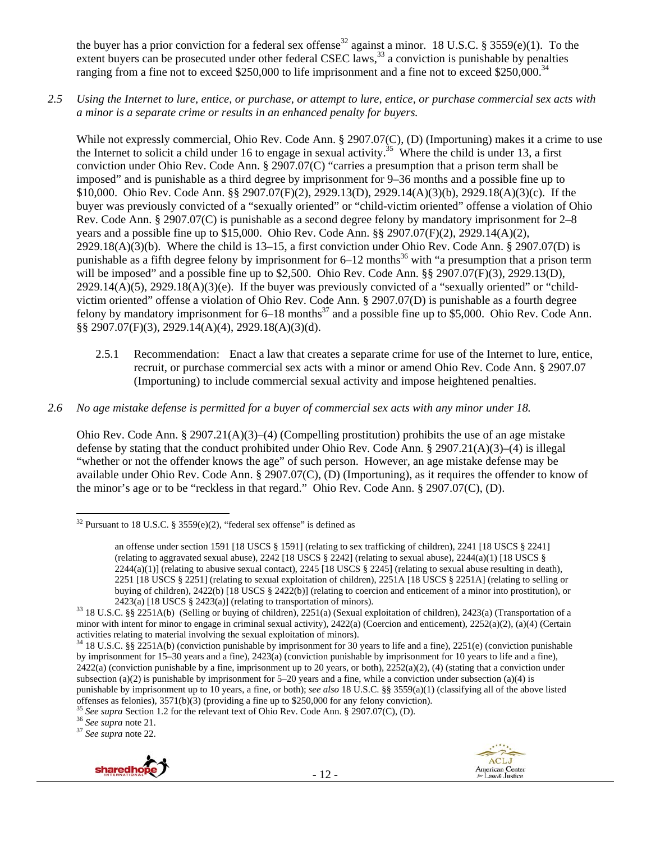the buyer has a prior conviction for a federal sex offense<sup>32</sup> against a minor. 18 U.S.C. § 3559(e)(1). To the extent buyers can be prosecuted under other federal CSEC laws,<sup>33</sup> a conviction is punishable by penalties ranging from a fine not to exceed \$250,000 to life imprisonment and a fine not to exceed \$250,000.<sup>34</sup>

*2.5 Using the Internet to lure, entice, or purchase, or attempt to lure, entice, or purchase commercial sex acts with a minor is a separate crime or results in an enhanced penalty for buyers.* 

While not expressly commercial, Ohio Rev. Code Ann. § 2907.07(C), (D) (Importuning) makes it a crime to use the Internet to solicit a child under 16 to engage in sexual activity.<sup>35</sup> Where the child is under 13, a first conviction under Ohio Rev. Code Ann. § 2907.07(C) "carries a presumption that a prison term shall be imposed" and is punishable as a third degree by imprisonment for 9–36 months and a possible fine up to \$10,000. Ohio Rev. Code Ann. §§ 2907.07(F)(2), 2929.13(D), 2929.14(A)(3)(b), 2929.18(A)(3)(c). If the buyer was previously convicted of a "sexually oriented" or "child-victim oriented" offense a violation of Ohio Rev. Code Ann. § 2907.07(C) is punishable as a second degree felony by mandatory imprisonment for 2–8 years and a possible fine up to \$15,000. Ohio Rev. Code Ann. §§ 2907.07(F)(2), 2929.14(A)(2), 2929.18(A)(3)(b). Where the child is 13–15, a first conviction under Ohio Rev. Code Ann. § 2907.07(D) is punishable as a fifth degree felony by imprisonment for  $6-12$  months<sup>36</sup> with "a presumption that a prison term will be imposed" and a possible fine up to \$2,500. Ohio Rev. Code Ann. §§ 2907.07(F)(3), 2929.13(D),  $2929.14(A)(5)$ ,  $2929.18(A)(3)(e)$ . If the buyer was previously convicted of a "sexually oriented" or "childvictim oriented" offense a violation of Ohio Rev. Code Ann. § 2907.07(D) is punishable as a fourth degree felony by mandatory imprisonment for  $6-18$  months<sup>37</sup> and a possible fine up to \$5,000. Ohio Rev. Code Ann. §§ 2907.07(F)(3), 2929.14(A)(4), 2929.18(A)(3)(d).

2.5.1 Recommendation: Enact a law that creates a separate crime for use of the Internet to lure, entice, recruit, or purchase commercial sex acts with a minor or amend Ohio Rev. Code Ann. § 2907.07 (Importuning) to include commercial sexual activity and impose heightened penalties.

#### *2.6 No age mistake defense is permitted for a buyer of commercial sex acts with any minor under 18.*

Ohio Rev. Code Ann. § 2907.21(A)(3)–(4) (Compelling prostitution) prohibits the use of an age mistake defense by stating that the conduct prohibited under Ohio Rev. Code Ann. § 2907.21(A)(3)–(4) is illegal "whether or not the offender knows the age" of such person. However, an age mistake defense may be available under Ohio Rev. Code Ann. § 2907.07(C), (D) (Importuning), as it requires the offender to know of the minor's age or to be "reckless in that regard." Ohio Rev. Code Ann. § 2907.07(C), (D).





 $32$  Pursuant to 18 U.S.C. § 3559(e)(2), "federal sex offense" is defined as

an offense under section 1591 [18 USCS § 1591] (relating to sex trafficking of children), 2241 [18 USCS § 2241] (relating to aggravated sexual abuse),  $2242$  [18 USCS § 2242] (relating to sexual abuse),  $2244(a)(1)$  [18 USCS §  $2244(a)(1)$  (relating to abusive sexual contact),  $2245$  [18 USCS § 2245] (relating to sexual abuse resulting in death), 2251 [18 USCS § 2251] (relating to sexual exploitation of children), 2251A [18 USCS § 2251A] (relating to selling or buying of children), 2422(b) [18 USCS § 2422(b)] (relating to coercion and enticement of a minor into prostitution), or

<sup>2423(</sup>a) [18 USCS § 2423(a)] (relating to transportation of minors).<br><sup>33</sup> 18 U.S.C. §§ 2251A(b) (Selling or buying of children), 2251(a) (Sexual exploitation of children), 2423(a) (Transportation of a minor with intent for minor to engage in criminal sexual activity), 2422(a) (Coercion and enticement), 2252(a)(2), (a)(4) (Certain activities relating to material involving the sexual exploitation of minors).

<sup>34 18</sup> U.S.C. §§ 2251A(b) (conviction punishable by imprisonment for 30 years to life and a fine), 2251(e) (conviction punishable by imprisonment for 15–30 years and a fine), 2423(a) (conviction punishable by imprisonment for 10 years to life and a fine),  $2422(a)$  (conviction punishable by a fine, imprisonment up to 20 years, or both),  $2252(a)(2)$ , (4) (stating that a conviction under subsection (a)(2) is punishable by imprisonment for  $5-20$  years and a fine, while a conviction under subsection (a)(4) is punishable by imprisonment up to 10 years, a fine, or both); *see also* 18 U.S.C. §§ 3559(a)(1) (classifying all of the above listed offenses as felonies), 3571(b)(3) (providing a fine up to \$250,000 for any felony conviction).<br><sup>35</sup> See supra Section 1.2 for the relevant text of Ohio Rev. Code Ann. § 2907.07(C), (D).<br><sup>36</sup> See supra note 21.<br><sup>37</sup> See su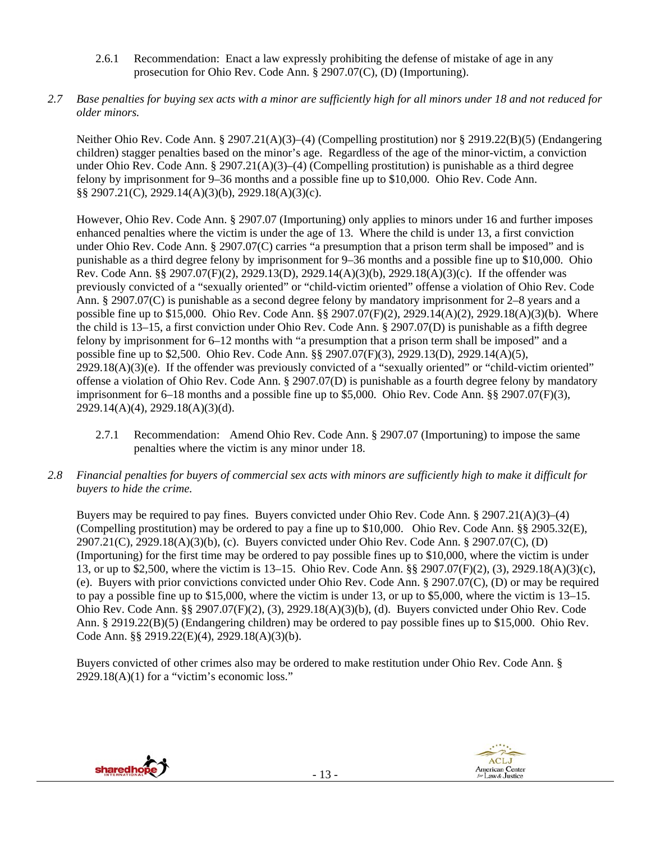- 2.6.1 Recommendation: Enact a law expressly prohibiting the defense of mistake of age in any prosecution for Ohio Rev. Code Ann. § 2907.07(C), (D) (Importuning).
- *2.7 Base penalties for buying sex acts with a minor are sufficiently high for all minors under 18 and not reduced for older minors.*

Neither Ohio Rev. Code Ann. § 2907.21(A)(3)–(4) (Compelling prostitution) nor § 2919.22(B)(5) (Endangering children) stagger penalties based on the minor's age. Regardless of the age of the minor-victim, a conviction under Ohio Rev. Code Ann. § 2907.21(A)(3)–(4) (Compelling prostitution) is punishable as a third degree felony by imprisonment for 9–36 months and a possible fine up to \$10,000. Ohio Rev. Code Ann. §§ 2907.21(C), 2929.14(A)(3)(b), 2929.18(A)(3)(c).

However, Ohio Rev. Code Ann. § 2907.07 (Importuning) only applies to minors under 16 and further imposes enhanced penalties where the victim is under the age of 13. Where the child is under 13, a first conviction under Ohio Rev. Code Ann. § 2907.07(C) carries "a presumption that a prison term shall be imposed" and is punishable as a third degree felony by imprisonment for 9–36 months and a possible fine up to \$10,000. Ohio Rev. Code Ann. §§ 2907.07(F)(2), 2929.13(D), 2929.14(A)(3)(b), 2929.18(A)(3)(c). If the offender was previously convicted of a "sexually oriented" or "child-victim oriented" offense a violation of Ohio Rev. Code Ann. § 2907.07(C) is punishable as a second degree felony by mandatory imprisonment for 2–8 years and a possible fine up to \$15,000. Ohio Rev. Code Ann. §§ 2907.07(F)(2), 2929.14(A)(2), 2929.18(A)(3)(b). Where the child is 13–15, a first conviction under Ohio Rev. Code Ann. § 2907.07(D) is punishable as a fifth degree felony by imprisonment for 6–12 months with "a presumption that a prison term shall be imposed" and a possible fine up to \$2,500. Ohio Rev. Code Ann. §§ 2907.07(F)(3), 2929.13(D), 2929.14(A)(5), 2929.18(A)(3)(e). If the offender was previously convicted of a "sexually oriented" or "child-victim oriented" offense a violation of Ohio Rev. Code Ann. § 2907.07(D) is punishable as a fourth degree felony by mandatory imprisonment for 6–18 months and a possible fine up to \$5,000. Ohio Rev. Code Ann. §§ 2907.07(F)(3), 2929.14(A)(4), 2929.18(A)(3)(d).

- 2.7.1 Recommendation: Amend Ohio Rev. Code Ann. § 2907.07 (Importuning) to impose the same penalties where the victim is any minor under 18.
- *2.8 Financial penalties for buyers of commercial sex acts with minors are sufficiently high to make it difficult for buyers to hide the crime.*

Buyers may be required to pay fines. Buyers convicted under Ohio Rev. Code Ann. § 2907.21(A)(3)–(4) (Compelling prostitution) may be ordered to pay a fine up to \$10,000. Ohio Rev. Code Ann. §§ 2905.32(E), 2907.21(C), 2929.18(A)(3)(b), (c). Buyers convicted under Ohio Rev. Code Ann. § 2907.07(C), (D) (Importuning) for the first time may be ordered to pay possible fines up to \$10,000, where the victim is under 13, or up to \$2,500, where the victim is 13–15. Ohio Rev. Code Ann. §§ 2907.07(F)(2), (3), 2929.18(A)(3)(c), (e). Buyers with prior convictions convicted under Ohio Rev. Code Ann. § 2907.07(C), (D) or may be required to pay a possible fine up to \$15,000, where the victim is under 13, or up to \$5,000, where the victim is 13–15. Ohio Rev. Code Ann. §§ 2907.07(F)(2), (3), 2929.18(A)(3)(b), (d). Buyers convicted under Ohio Rev. Code Ann. § 2919.22(B)(5) (Endangering children) may be ordered to pay possible fines up to \$15,000. Ohio Rev. Code Ann. §§ 2919.22(E)(4), 2929.18(A)(3)(b).

Buyers convicted of other crimes also may be ordered to make restitution under Ohio Rev. Code Ann. §  $2929.18(A)(1)$  for a "victim's economic loss."

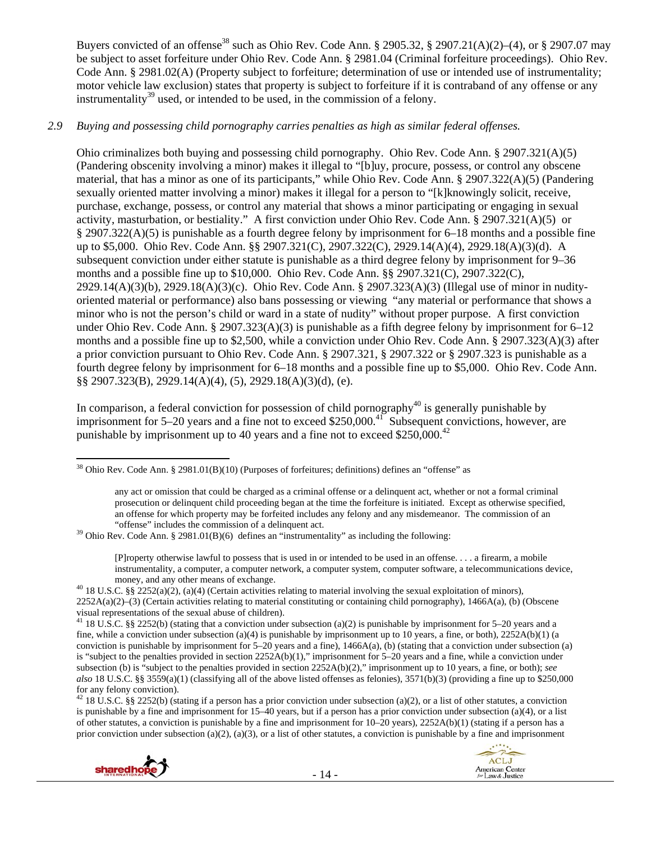Buyers convicted of an offense<sup>38</sup> such as Ohio Rev. Code Ann. § 2905.32, § 2907.21(A)(2)–(4), or § 2907.07 may be subject to asset forfeiture under Ohio Rev. Code Ann. § 2981.04 (Criminal forfeiture proceedings). Ohio Rev. Code Ann. § 2981.02(A) (Property subject to forfeiture; determination of use or intended use of instrumentality; motor vehicle law exclusion) states that property is subject to forfeiture if it is contraband of any offense or any instrumentality<sup>39</sup> used, or intended to be used, in the commission of a felony.

## *2.9 Buying and possessing child pornography carries penalties as high as similar federal offenses.*

Ohio criminalizes both buying and possessing child pornography. Ohio Rev. Code Ann. § 2907.321(A)(5) (Pandering obscenity involving a minor) makes it illegal to "[b]uy, procure, possess, or control any obscene material, that has a minor as one of its participants," while Ohio Rev. Code Ann. § 2907.322(A)(5) (Pandering sexually oriented matter involving a minor) makes it illegal for a person to "[k]knowingly solicit, receive, purchase, exchange, possess, or control any material that shows a minor participating or engaging in sexual activity, masturbation, or bestiality." A first conviction under Ohio Rev. Code Ann. § 2907.321(A)(5) or § 2907.322(A)(5) is punishable as a fourth degree felony by imprisonment for 6–18 months and a possible fine up to \$5,000. Ohio Rev. Code Ann. §§ 2907.321(C), 2907.322(C), 2929.14(A)(4), 2929.18(A)(3)(d). A subsequent conviction under either statute is punishable as a third degree felony by imprisonment for 9–36 months and a possible fine up to \$10,000. Ohio Rev. Code Ann. §§ 2907.321(C), 2907.322(C), 2929.14(A)(3)(b), 2929.18(A)(3)(c). Ohio Rev. Code Ann. § 2907.323(A)(3) (Illegal use of minor in nudityoriented material or performance) also bans possessing or viewing "any material or performance that shows a minor who is not the person's child or ward in a state of nudity" without proper purpose. A first conviction under Ohio Rev. Code Ann. § 2907.323(A)(3) is punishable as a fifth degree felony by imprisonment for 6–12 months and a possible fine up to \$2,500, while a conviction under Ohio Rev. Code Ann. § 2907.323(A)(3) after a prior conviction pursuant to Ohio Rev. Code Ann. § 2907.321, § 2907.322 or § 2907.323 is punishable as a fourth degree felony by imprisonment for 6–18 months and a possible fine up to \$5,000. Ohio Rev. Code Ann. §§ 2907.323(B), 2929.14(A)(4), (5), 2929.18(A)(3)(d), (e).

In comparison, a federal conviction for possession of child pornography $40$  is generally punishable by imprisonment for  $5-20$  years and a fine not to exceed \$250,000.<sup>41</sup> Subsequent convictions, however, are punishable by imprisonment up to 40 years and a fine not to exceed \$250,000.<sup>42</sup>

"offense" includes the commission of a delinquent act.<br><sup>39</sup> Ohio Rev. Code Ann. § 2981.01(B)(6) defines an "instrumentality" as including the following:

[P]roperty otherwise lawful to possess that is used in or intended to be used in an offense. . . . a firearm, a mobile instrumentality, a computer, a computer network, a computer system, computer software, a telecommunications device,

 $42$  18 U.S.C. §§ 2252(b) (stating if a person has a prior conviction under subsection (a)(2), or a list of other statutes, a conviction is punishable by a fine and imprisonment for 15–40 years, but if a person has a prior conviction under subsection (a)(4), or a list of other statutes, a conviction is punishable by a fine and imprisonment for 10–20 years), 2252A(b)(1) (stating if a person has a prior conviction under subsection (a)(2), (a)(3), or a list of other statutes, a conviction is punishable by a fine and imprisonment





  $38$  Ohio Rev. Code Ann. § 2981.01(B)(10) (Purposes of forfeitures; definitions) defines an "offense" as

any act or omission that could be charged as a criminal offense or a delinquent act, whether or not a formal criminal prosecution or delinquent child proceeding began at the time the forfeiture is initiated. Except as otherwise specified, an offense for which property may be forfeited includes any felony and any misdemeanor. The commission of an

money, and any other means of exchange.<br><sup>40</sup> 18 U.S.C. §§ 2252(a)(2), (a)(4) (Certain activities relating to material involving the sexual exploitation of minors), 2252A(a)(2)–(3) (Certain activities relating to material constituting or containing child pornography), 1466A(a), (b) (Obscene visual representations of the sexual abuse of children).

<sup>&</sup>lt;sup>41</sup> 18 U.S.C. §§ 2252(b) (stating that a conviction under subsection (a)(2) is punishable by imprisonment for 5–20 years and a fine, while a conviction under subsection (a)(4) is punishable by imprisonment up to 10 years, a fine, or both),  $2252A(b)(1)$  (a conviction is punishable by imprisonment for 5–20 years and a fine), 1466A(a), (b) (stating that a conviction under subsection (a) is "subject to the penalties provided in section 2252A(b)(1)," imprisonment for 5–20 years and a fine, while a conviction under subsection (b) is "subject to the penalties provided in section 2252A(b)(2)," imprisonment up to 10 years, a fine, or both); *see also* 18 U.S.C. §§ 3559(a)(1) (classifying all of the above listed offenses as felonies), 3571(b)(3) (providing a fine up to \$250,000 for any felony conviction).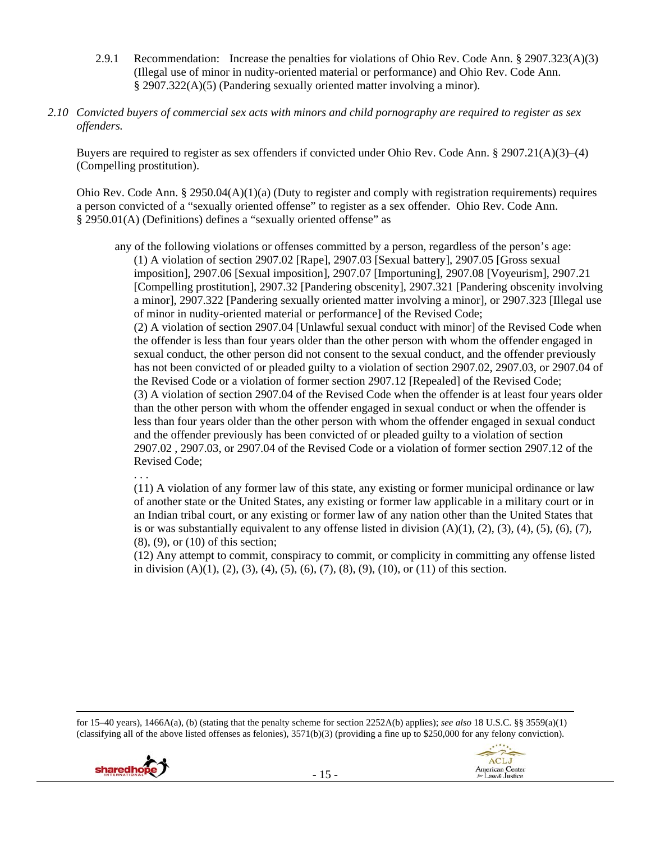- 2.9.1 Recommendation: Increase the penalties for violations of Ohio Rev. Code Ann. § 2907.323(A)(3) (Illegal use of minor in nudity-oriented material or performance) and Ohio Rev. Code Ann. § 2907.322(A)(5) (Pandering sexually oriented matter involving a minor).
- *2.10 Convicted buyers of commercial sex acts with minors and child pornography are required to register as sex offenders.*

Buyers are required to register as sex offenders if convicted under Ohio Rev. Code Ann. § 2907.21(A)(3)–(4) (Compelling prostitution).

Ohio Rev. Code Ann. § 2950.04(A)(1)(a) (Duty to register and comply with registration requirements) requires a person convicted of a "sexually oriented offense" to register as a sex offender. Ohio Rev. Code Ann. § 2950.01(A) (Definitions) defines a "sexually oriented offense" as

- any of the following violations or offenses committed by a person, regardless of the person's age: (1) A violation of section 2907.02 [Rape], 2907.03 [Sexual battery], 2907.05 [Gross sexual imposition], 2907.06 [Sexual imposition], 2907.07 [Importuning], 2907.08 [Voyeurism], 2907.21 [Compelling prostitution], 2907.32 [Pandering obscenity], 2907.321 [Pandering obscenity involving a minor], 2907.322 [Pandering sexually oriented matter involving a minor], or 2907.323 [Illegal use of minor in nudity-oriented material or performance] of the Revised Code; (2) A violation of section 2907.04 [Unlawful sexual conduct with minor] of the Revised Code when the offender is less than four years older than the other person with whom the offender engaged in sexual conduct, the other person did not consent to the sexual conduct, and the offender previously has not been convicted of or pleaded guilty to a violation of section 2907.02, 2907.03, or 2907.04 of the Revised Code or a violation of former section 2907.12 [Repealed] of the Revised Code; (3) A violation of section 2907.04 of the Revised Code when the offender is at least four years older than the other person with whom the offender engaged in sexual conduct or when the offender is less than four years older than the other person with whom the offender engaged in sexual conduct and the offender previously has been convicted of or pleaded guilty to a violation of section 2907.02 , 2907.03, or 2907.04 of the Revised Code or a violation of former section 2907.12 of the Revised Code;
	- . . .

(11) A violation of any former law of this state, any existing or former municipal ordinance or law of another state or the United States, any existing or former law applicable in a military court or in an Indian tribal court, or any existing or former law of any nation other than the United States that is or was substantially equivalent to any offense listed in division  $(A)(1)$ ,  $(2)$ ,  $(3)$ ,  $(4)$ ,  $(5)$ ,  $(6)$ ,  $(7)$ , (8), (9), or (10) of this section;

(12) Any attempt to commit, conspiracy to commit, or complicity in committing any offense listed in division  $(A)(1)$ ,  $(2)$ ,  $(3)$ ,  $(4)$ ,  $(5)$ ,  $(6)$ ,  $(7)$ ,  $(8)$ ,  $(9)$ ,  $(10)$ , or  $(11)$  of this section.

<u> 1989 - Jan Samuel Barbara, martxa a shekara tsa 1989 - An tsa 1989 - An tsa 1989 - An tsa 1989 - An tsa 198</u> for 15–40 years), 1466A(a), (b) (stating that the penalty scheme for section 2252A(b) applies); *see also* 18 U.S.C. §§ 3559(a)(1) (classifying all of the above listed offenses as felonies), 3571(b)(3) (providing a fine up to \$250,000 for any felony conviction).



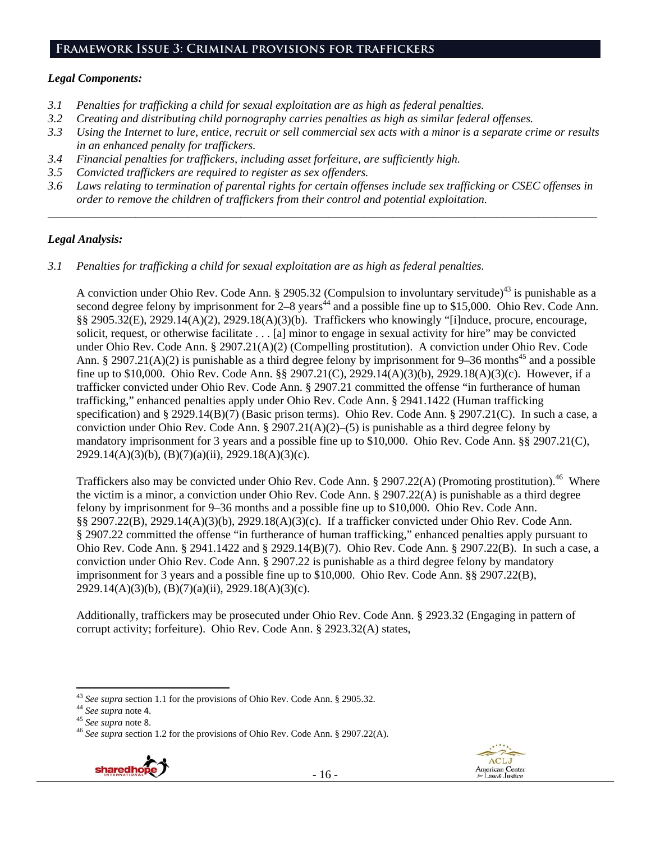#### **Framework Issue 3: Criminal provisions for traffickers**

#### *Legal Components:*

- *3.1 Penalties for trafficking a child for sexual exploitation are as high as federal penalties.*
- *3.2 Creating and distributing child pornography carries penalties as high as similar federal offenses.*
- *3.3 Using the Internet to lure, entice, recruit or sell commercial sex acts with a minor is a separate crime or results in an enhanced penalty for traffickers.*
- *3.4 Financial penalties for traffickers, including asset forfeiture, are sufficiently high.*
- *3.5 Convicted traffickers are required to register as sex offenders.*
- *3.6 Laws relating to termination of parental rights for certain offenses include sex trafficking or CSEC offenses in order to remove the children of traffickers from their control and potential exploitation. \_\_\_\_\_\_\_\_\_\_\_\_\_\_\_\_\_\_\_\_\_\_\_\_\_\_\_\_\_\_\_\_\_\_\_\_\_\_\_\_\_\_\_\_\_\_\_\_\_\_\_\_\_\_\_\_\_\_\_\_\_\_\_\_\_\_\_\_\_\_\_\_\_\_\_\_\_\_\_\_\_\_\_\_\_\_\_\_\_\_\_\_\_\_*

#### *Legal Analysis:*

*3.1 Penalties for trafficking a child for sexual exploitation are as high as federal penalties.* 

A conviction under Ohio Rev. Code Ann. § 2905.32 (Compulsion to involuntary servitude)<sup>43</sup> is punishable as a second degree felony by imprisonment for  $2-8$  years<sup>44</sup> and a possible fine up to \$15,000. Ohio Rev. Code Ann. §§ 2905.32(E), 2929.14(A)(2), 2929.18(A)(3)(b). Traffickers who knowingly "[i]nduce, procure, encourage, solicit, request, or otherwise facilitate . . . [a] minor to engage in sexual activity for hire" may be convicted under Ohio Rev. Code Ann. § 2907.21(A)(2) (Compelling prostitution). A conviction under Ohio Rev. Code Ann. § 2907.21(A)(2) is punishable as a third degree felony by imprisonment for 9–36 months<sup>45</sup> and a possible fine up to \$10,000. Ohio Rev. Code Ann. §§ 2907.21(C), 2929.14(A)(3)(b), 2929.18(A)(3)(c). However, if a trafficker convicted under Ohio Rev. Code Ann. § 2907.21 committed the offense "in furtherance of human trafficking," enhanced penalties apply under Ohio Rev. Code Ann. § 2941.1422 (Human trafficking specification) and § 2929.14(B)(7) (Basic prison terms). Ohio Rev. Code Ann. § 2907.21(C). In such a case, a conviction under Ohio Rev. Code Ann. § 2907.21(A)(2)–(5) is punishable as a third degree felony by mandatory imprisonment for 3 years and a possible fine up to \$10,000. Ohio Rev. Code Ann. §§ 2907.21(C), 2929.14(A)(3)(b), (B)(7)(a)(ii), 2929.18(A)(3)(c).

Traffickers also may be convicted under Ohio Rev. Code Ann. § 2907.22(A) (Promoting prostitution).<sup>46</sup> Where the victim is a minor, a conviction under Ohio Rev. Code Ann. § 2907.22(A) is punishable as a third degree felony by imprisonment for 9–36 months and a possible fine up to \$10,000. Ohio Rev. Code Ann. §§ 2907.22(B), 2929.14(A)(3)(b), 2929.18(A)(3)(c). If a trafficker convicted under Ohio Rev. Code Ann. § 2907.22 committed the offense "in furtherance of human trafficking," enhanced penalties apply pursuant to Ohio Rev. Code Ann. § 2941.1422 and § 2929.14(B)(7). Ohio Rev. Code Ann. § 2907.22(B). In such a case, a conviction under Ohio Rev. Code Ann. § 2907.22 is punishable as a third degree felony by mandatory imprisonment for 3 years and a possible fine up to \$10,000. Ohio Rev. Code Ann. §§ 2907.22(B), 2929.14(A)(3)(b), (B)(7)(a)(ii), 2929.18(A)(3)(c).

Additionally, traffickers may be prosecuted under Ohio Rev. Code Ann. § 2923.32 (Engaging in pattern of corrupt activity; forfeiture). Ohio Rev. Code Ann. § 2923.32(A) states,

<sup>&</sup>lt;sup>44</sup> See supra note 4.<br><sup>45</sup> See supra note 8.<br><sup>45</sup> See supra section 1.2 for the provisions of Ohio Rev. Code Ann. § 2907.22(A).





<sup>&</sup>lt;sup>43</sup> See supra section 1.1 for the provisions of Ohio Rev. Code Ann. § 2905.32.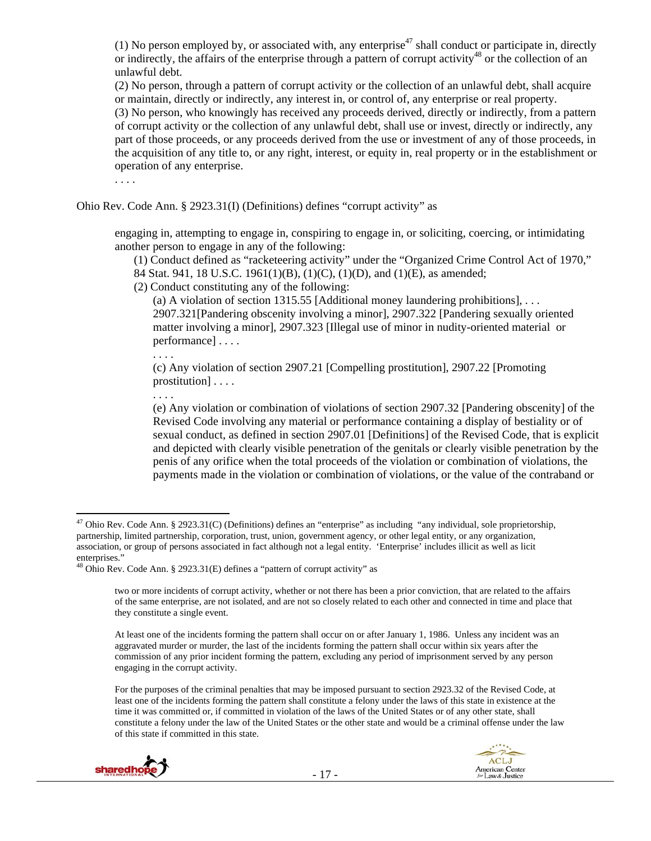(1) No person employed by, or associated with, any enterprise $47$  shall conduct or participate in, directly or indirectly, the affairs of the enterprise through a pattern of corrupt activity<sup>48</sup> or the collection of an unlawful debt.

(2) No person, through a pattern of corrupt activity or the collection of an unlawful debt, shall acquire or maintain, directly or indirectly, any interest in, or control of, any enterprise or real property.

(3) No person, who knowingly has received any proceeds derived, directly or indirectly, from a pattern of corrupt activity or the collection of any unlawful debt, shall use or invest, directly or indirectly, any part of those proceeds, or any proceeds derived from the use or investment of any of those proceeds, in the acquisition of any title to, or any right, interest, or equity in, real property or in the establishment or operation of any enterprise.

. . . .

Ohio Rev. Code Ann. § 2923.31(I) (Definitions) defines "corrupt activity" as

engaging in, attempting to engage in, conspiring to engage in, or soliciting, coercing, or intimidating another person to engage in any of the following:

(1) Conduct defined as "racketeering activity" under the "Organized Crime Control Act of 1970," 84 Stat. 941, 18 U.S.C. 1961(1)(B), (1)(C), (1)(D), and (1)(E), as amended;

(2) Conduct constituting any of the following:

(a) A violation of section 1315.55 [Additional money laundering prohibitions], . . . 2907.321[Pandering obscenity involving a minor], 2907.322 [Pandering sexually oriented matter involving a minor], 2907.323 [Illegal use of minor in nudity-oriented material or performance] . . . .

. . . .

(c) Any violation of section 2907.21 [Compelling prostitution], 2907.22 [Promoting prostitution] . . . .

. . . .

(e) Any violation or combination of violations of section 2907.32 [Pandering obscenity] of the Revised Code involving any material or performance containing a display of bestiality or of sexual conduct, as defined in section 2907.01 [Definitions] of the Revised Code, that is explicit and depicted with clearly visible penetration of the genitals or clearly visible penetration by the penis of any orifice when the total proceeds of the violation or combination of violations, the payments made in the violation or combination of violations, or the value of the contraband or

For the purposes of the criminal penalties that may be imposed pursuant to section 2923.32 of the Revised Code, at least one of the incidents forming the pattern shall constitute a felony under the laws of this state in existence at the time it was committed or, if committed in violation of the laws of the United States or of any other state, shall constitute a felony under the law of the United States or the other state and would be a criminal offense under the law of this state if committed in this state.





<sup>&</sup>lt;sup>47</sup> Ohio Rev. Code Ann. § 2923.31(C) (Definitions) defines an "enterprise" as including "any individual, sole proprietorship, partnership, limited partnership, corporation, trust, union, government agency, or other legal entity, or any organization, association, or group of persons associated in fact although not a legal entity. 'Enterprise' includes illicit as well as licit enterprises."

<sup>48</sup> Ohio Rev. Code Ann. § 2923.31(E) defines a "pattern of corrupt activity" as

two or more incidents of corrupt activity, whether or not there has been a prior conviction, that are related to the affairs of the same enterprise, are not isolated, and are not so closely related to each other and connected in time and place that they constitute a single event.

At least one of the incidents forming the pattern shall occur on or after January 1, 1986. Unless any incident was an aggravated murder or murder, the last of the incidents forming the pattern shall occur within six years after the commission of any prior incident forming the pattern, excluding any period of imprisonment served by any person engaging in the corrupt activity.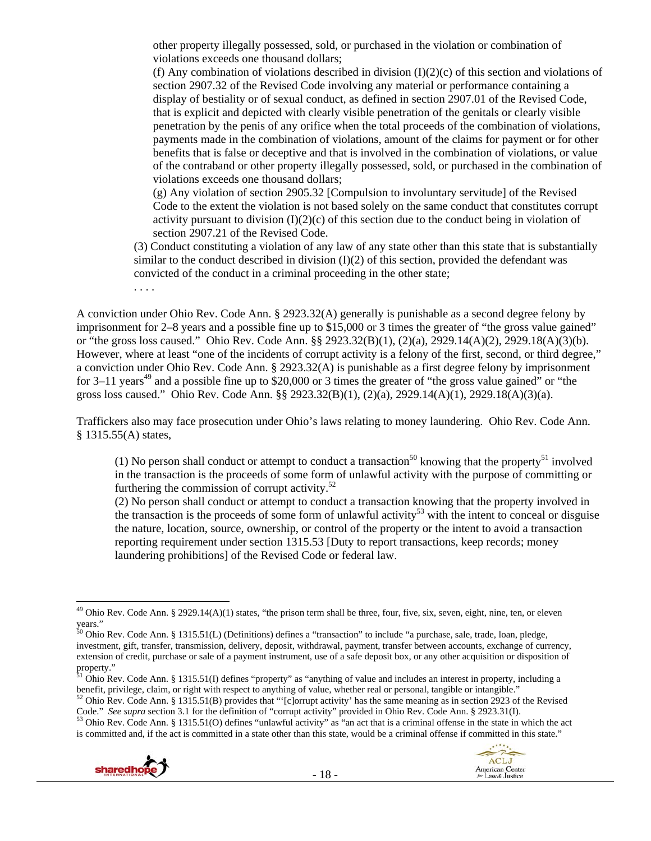other property illegally possessed, sold, or purchased in the violation or combination of violations exceeds one thousand dollars;

(f) Any combination of violations described in division  $(I)(2)(c)$  of this section and violations of section 2907.32 of the Revised Code involving any material or performance containing a display of bestiality or of sexual conduct, as defined in section 2907.01 of the Revised Code, that is explicit and depicted with clearly visible penetration of the genitals or clearly visible penetration by the penis of any orifice when the total proceeds of the combination of violations, payments made in the combination of violations, amount of the claims for payment or for other benefits that is false or deceptive and that is involved in the combination of violations, or value of the contraband or other property illegally possessed, sold, or purchased in the combination of violations exceeds one thousand dollars;

(g) Any violation of section 2905.32 [Compulsion to involuntary servitude] of the Revised Code to the extent the violation is not based solely on the same conduct that constitutes corrupt activity pursuant to division  $(I)(2)(c)$  of this section due to the conduct being in violation of section 2907.21 of the Revised Code.

(3) Conduct constituting a violation of any law of any state other than this state that is substantially similar to the conduct described in division  $(I)(2)$  of this section, provided the defendant was convicted of the conduct in a criminal proceeding in the other state;

. . . .

A conviction under Ohio Rev. Code Ann. § 2923.32(A) generally is punishable as a second degree felony by imprisonment for 2–8 years and a possible fine up to \$15,000 or 3 times the greater of "the gross value gained" or "the gross loss caused." Ohio Rev. Code Ann. §§ 2923.32(B)(1), (2)(a), 2929.14(A)(2), 2929.18(A)(3)(b). However, where at least "one of the incidents of corrupt activity is a felony of the first, second, or third degree," a conviction under Ohio Rev. Code Ann. § 2923.32(A) is punishable as a first degree felony by imprisonment for 3–11 years<sup>49</sup> and a possible fine up to \$20,000 or 3 times the greater of "the gross value gained" or "the gross loss caused." Ohio Rev. Code Ann. §§ 2923.32(B)(1), (2)(a), 2929.14(A)(1), 2929.18(A)(3)(a).

Traffickers also may face prosecution under Ohio's laws relating to money laundering. Ohio Rev. Code Ann. § 1315.55(A) states,

(1) No person shall conduct or attempt to conduct a transaction<sup>50</sup> knowing that the property<sup>51</sup> involved in the transaction is the proceeds of some form of unlawful activity with the purpose of committing or furthering the commission of corrupt activity. $52$ 

(2) No person shall conduct or attempt to conduct a transaction knowing that the property involved in the transaction is the proceeds of some form of unlawful activity<sup>53</sup> with the intent to conceal or disguise the nature, location, source, ownership, or control of the property or the intent to avoid a transaction reporting requirement under section 1315.53 [Duty to report transactions, keep records; money laundering prohibitions] of the Revised Code or federal law.

is committed and, if the act is committed in a state other than this state, would be a criminal offense if committed in this state."





 <sup>49</sup> Ohio Rev. Code Ann. § 2929.14(A)(1) states, "the prison term shall be three, four, five, six, seven, eight, nine, ten, or eleven years."

 $50$  Ohio Rev. Code Ann. § 1315.51(L) (Definitions) defines a "transaction" to include "a purchase, sale, trade, loan, pledge, investment, gift, transfer, transmission, delivery, deposit, withdrawal, payment, transfer between accounts, exchange of currency, extension of credit, purchase or sale of a payment instrument, use of a safe deposit box, or any other acquisition or disposition of property."

 $51$  Ohio Rev. Code Ann. § 1315.51(I) defines "property" as "anything of value and includes an interest in property, including a benefit, privilege, claim, or right with respect to anything of value, whether real or personal, tangible or intangible."<br><sup>52</sup> Ohio Rev. Code Ann. § 1315.51(B) provides that "'[c]orrupt activity' has the same meaning as in

Code." See supra section 3.1 for the definition of "corrupt activity" provided in Ohio Rev. Code Ann. § 2923.31(I).<br><sup>53</sup> Ohio Rev. Code Ann. § 1315.51(O) defines "unlawful activity" as "an act that is a criminal offense in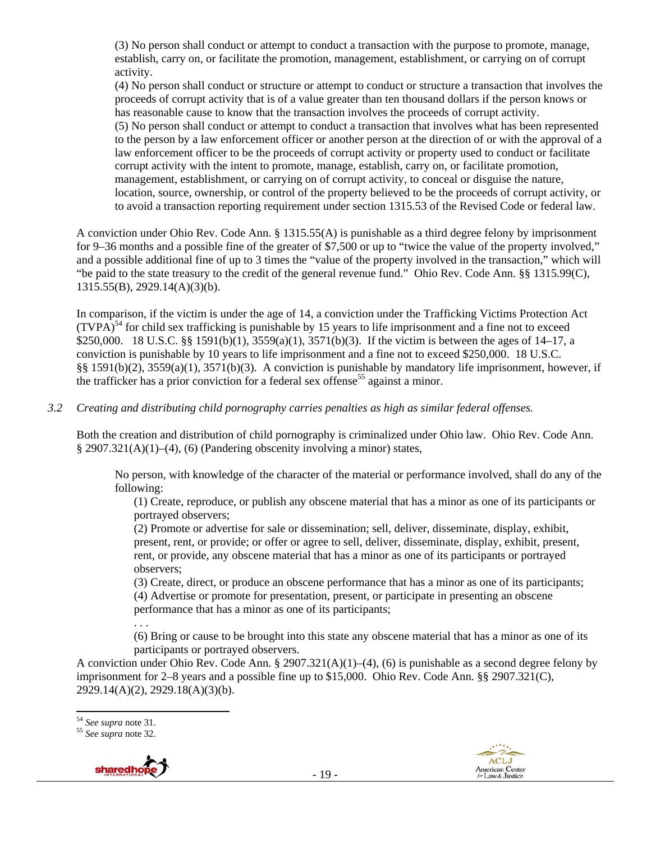(3) No person shall conduct or attempt to conduct a transaction with the purpose to promote, manage, establish, carry on, or facilitate the promotion, management, establishment, or carrying on of corrupt activity.

(4) No person shall conduct or structure or attempt to conduct or structure a transaction that involves the proceeds of corrupt activity that is of a value greater than ten thousand dollars if the person knows or has reasonable cause to know that the transaction involves the proceeds of corrupt activity. (5) No person shall conduct or attempt to conduct a transaction that involves what has been represented to the person by a law enforcement officer or another person at the direction of or with the approval of a law enforcement officer to be the proceeds of corrupt activity or property used to conduct or facilitate corrupt activity with the intent to promote, manage, establish, carry on, or facilitate promotion, management, establishment, or carrying on of corrupt activity, to conceal or disguise the nature, location, source, ownership, or control of the property believed to be the proceeds of corrupt activity, or to avoid a transaction reporting requirement under section 1315.53 of the Revised Code or federal law.

A conviction under Ohio Rev. Code Ann. § 1315.55(A) is punishable as a third degree felony by imprisonment for 9–36 months and a possible fine of the greater of \$7,500 or up to "twice the value of the property involved," and a possible additional fine of up to 3 times the "value of the property involved in the transaction," which will "be paid to the state treasury to the credit of the general revenue fund." Ohio Rev. Code Ann. §§ 1315.99(C), 1315.55(B), 2929.14(A)(3)(b).

In comparison, if the victim is under the age of 14, a conviction under the Trafficking Victims Protection Act  $(TVPA)^{54}$  for child sex trafficking is punishable by 15 years to life imprisonment and a fine not to exceed \$250,000. 18 U.S.C. §§ 1591(b)(1), 3559(a)(1), 3571(b)(3). If the victim is between the ages of 14–17, a conviction is punishable by 10 years to life imprisonment and a fine not to exceed \$250,000. 18 U.S.C. §§ 1591(b)(2), 3559(a)(1), 3571(b)(3). A conviction is punishable by mandatory life imprisonment, however, if the trafficker has a prior conviction for a federal sex offense<sup>55</sup> against a minor.

#### *3.2 Creating and distributing child pornography carries penalties as high as similar federal offenses.*

Both the creation and distribution of child pornography is criminalized under Ohio law. Ohio Rev. Code Ann.  $§$  2907.321(A)(1)–(4), (6) (Pandering obscenity involving a minor) states,

No person, with knowledge of the character of the material or performance involved, shall do any of the following:

(1) Create, reproduce, or publish any obscene material that has a minor as one of its participants or portrayed observers;

(2) Promote or advertise for sale or dissemination; sell, deliver, disseminate, display, exhibit, present, rent, or provide; or offer or agree to sell, deliver, disseminate, display, exhibit, present, rent, or provide, any obscene material that has a minor as one of its participants or portrayed observers;

(3) Create, direct, or produce an obscene performance that has a minor as one of its participants; (4) Advertise or promote for presentation, present, or participate in presenting an obscene performance that has a minor as one of its participants;

. . .

(6) Bring or cause to be brought into this state any obscene material that has a minor as one of its participants or portrayed observers.

A conviction under Ohio Rev. Code Ann.  $\S 2907.321(A)(1)–(4)$ , (6) is punishable as a second degree felony by imprisonment for 2–8 years and a possible fine up to \$15,000. Ohio Rev. Code Ann. §§ 2907.321(C), 2929.14(A)(2), 2929.18(A)(3)(b).



 <sup>54</sup> *See supra* note 31. 55 *See supra* note 32.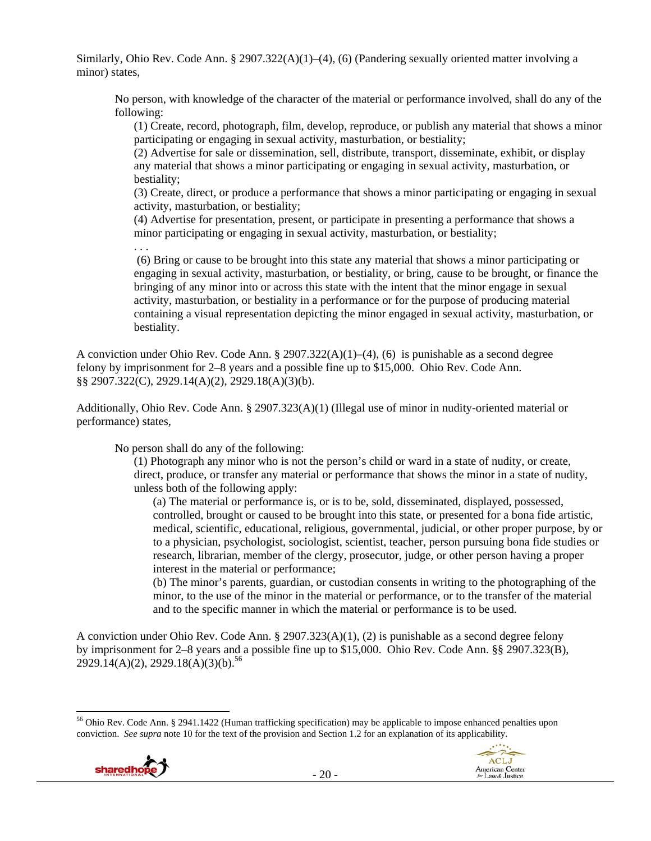Similarly, Ohio Rev. Code Ann. § 2907.322(A)(1)–(4), (6) (Pandering sexually oriented matter involving a minor) states,

No person, with knowledge of the character of the material or performance involved, shall do any of the following:

(1) Create, record, photograph, film, develop, reproduce, or publish any material that shows a minor participating or engaging in sexual activity, masturbation, or bestiality;

(2) Advertise for sale or dissemination, sell, distribute, transport, disseminate, exhibit, or display any material that shows a minor participating or engaging in sexual activity, masturbation, or bestiality;

(3) Create, direct, or produce a performance that shows a minor participating or engaging in sexual activity, masturbation, or bestiality;

(4) Advertise for presentation, present, or participate in presenting a performance that shows a minor participating or engaging in sexual activity, masturbation, or bestiality;

. . .

 (6) Bring or cause to be brought into this state any material that shows a minor participating or engaging in sexual activity, masturbation, or bestiality, or bring, cause to be brought, or finance the bringing of any minor into or across this state with the intent that the minor engage in sexual activity, masturbation, or bestiality in a performance or for the purpose of producing material containing a visual representation depicting the minor engaged in sexual activity, masturbation, or bestiality.

A conviction under Ohio Rev. Code Ann. § 2907.322(A)(1)–(4), (6) is punishable as a second degree felony by imprisonment for 2–8 years and a possible fine up to \$15,000. Ohio Rev. Code Ann. §§ 2907.322(C), 2929.14(A)(2), 2929.18(A)(3)(b).

Additionally, Ohio Rev. Code Ann. § 2907.323(A)(1) (Illegal use of minor in nudity-oriented material or performance) states,

No person shall do any of the following:

(1) Photograph any minor who is not the person's child or ward in a state of nudity, or create, direct, produce, or transfer any material or performance that shows the minor in a state of nudity, unless both of the following apply:

(a) The material or performance is, or is to be, sold, disseminated, displayed, possessed, controlled, brought or caused to be brought into this state, or presented for a bona fide artistic, medical, scientific, educational, religious, governmental, judicial, or other proper purpose, by or to a physician, psychologist, sociologist, scientist, teacher, person pursuing bona fide studies or research, librarian, member of the clergy, prosecutor, judge, or other person having a proper interest in the material or performance;

(b) The minor's parents, guardian, or custodian consents in writing to the photographing of the minor, to the use of the minor in the material or performance, or to the transfer of the material and to the specific manner in which the material or performance is to be used.

A conviction under Ohio Rev. Code Ann. § 2907.323(A)(1), (2) is punishable as a second degree felony by imprisonment for 2–8 years and a possible fine up to \$15,000. Ohio Rev. Code Ann. §§ 2907.323(B),  $2929.14(A)(2), 2929.18(A)(3)(b).$ <sup>56</sup>

 <sup>56</sup> Ohio Rev. Code Ann. § 2941.1422 (Human trafficking specification) may be applicable to impose enhanced penalties upon conviction. *See supra* note 10 for the text of the provision and Section 1.2 for an explanation of its applicability.



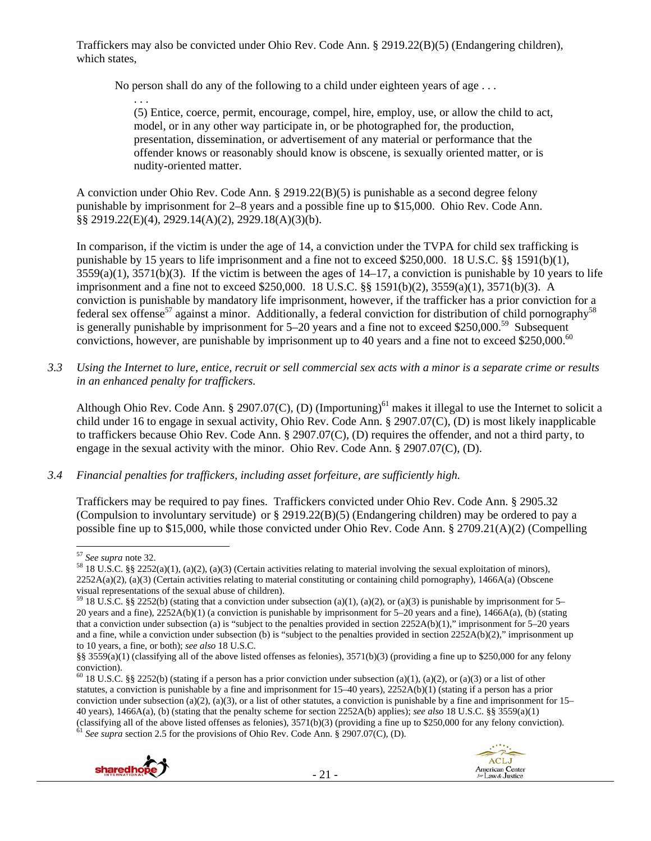Traffickers may also be convicted under Ohio Rev. Code Ann. § 2919.22(B)(5) (Endangering children), which states,

No person shall do any of the following to a child under eighteen years of age . . .

. . . (5) Entice, coerce, permit, encourage, compel, hire, employ, use, or allow the child to act, model, or in any other way participate in, or be photographed for, the production, presentation, dissemination, or advertisement of any material or performance that the offender knows or reasonably should know is obscene, is sexually oriented matter, or is nudity-oriented matter.

A conviction under Ohio Rev. Code Ann. § 2919.22(B)(5) is punishable as a second degree felony punishable by imprisonment for 2–8 years and a possible fine up to \$15,000. Ohio Rev. Code Ann. §§ 2919.22(E)(4), 2929.14(A)(2), 2929.18(A)(3)(b).

In comparison, if the victim is under the age of 14, a conviction under the TVPA for child sex trafficking is punishable by 15 years to life imprisonment and a fine not to exceed \$250,000. 18 U.S.C. §§ 1591(b)(1),  $3559(a)(1)$ ,  $3571(b)(3)$ . If the victim is between the ages of  $14-17$ , a conviction is punishable by 10 years to life imprisonment and a fine not to exceed \$250,000. 18 U.S.C. §§ 1591(b)(2), 3559(a)(1), 3571(b)(3). A conviction is punishable by mandatory life imprisonment, however, if the trafficker has a prior conviction for a federal sex offense<sup>57</sup> against a minor. Additionally, a federal conviction for distribution of child pornography<sup>58</sup> is generally punishable by imprisonment for  $5-20$  years and a fine not to exceed \$250,000.<sup>59</sup> Subsequent convictions, however, are punishable by imprisonment up to 40 years and a fine not to exceed \$250,000.<sup>60</sup>

*3.3 Using the Internet to lure, entice, recruit or sell commercial sex acts with a minor is a separate crime or results in an enhanced penalty for traffickers.* 

Although Ohio Rev. Code Ann. § 2907.07(C), (D) (Importuning)<sup>61</sup> makes it illegal to use the Internet to solicit a child under 16 to engage in sexual activity, Ohio Rev. Code Ann. § 2907.07(C), (D) is most likely inapplicable to traffickers because Ohio Rev. Code Ann. § 2907.07(C), (D) requires the offender, and not a third party, to engage in the sexual activity with the minor. Ohio Rev. Code Ann. § 2907.07(C), (D).

*3.4 Financial penalties for traffickers, including asset forfeiture, are sufficiently high.* 

Traffickers may be required to pay fines. Traffickers convicted under Ohio Rev. Code Ann. § 2905.32 (Compulsion to involuntary servitude) or § 2919.22(B)(5) (Endangering children) may be ordered to pay a possible fine up to \$15,000, while those convicted under Ohio Rev. Code Ann. § 2709.21(A)(2) (Compelling

<sup>&</sup>lt;sup>60</sup> 18 U.S.C. §§ 2252(b) (stating if a person has a prior conviction under subsection (a)(1), (a)(2), or (a)(3) or a list of other statutes, a conviction is punishable by a fine and imprisonment for 15–40 years), 2252A(b)(1) (stating if a person has a prior conviction under subsection (a)(2), (a)(3), or a list of other statutes, a conviction is punishable by a fine and imprisonment for  $15-$ 40 years), 1466A(a), (b) (stating that the penalty scheme for section 2252A(b) applies); *see also* 18 U.S.C. §§ 3559(a)(1) (classifying all of the above listed offenses as felonies), 3571(b)(3) (providing a fine up to \$250,000 for any felony conviction). 61 *See supra* section 2.5 for the provisions of Ohio Rev. Code Ann. § 2907.07(C), (D).





<sup>&</sup>lt;sup>57</sup> *See supra* note 32.<br><sup>58</sup> 18 U.S.C. §§ 2252(a)(1), (a)(2), (a)(3) (Certain activities relating to material involving the sexual exploitation of minors),  $2252A(a)(2)$ , (a)(3) (Certain activities relating to material constituting or containing child pornography), 1466A(a) (Obscene visual representations of the sexual abuse of children).

<sup>&</sup>lt;sup>59</sup> 18 U.S.C. §§ 2252(b) (stating that a conviction under subsection (a)(1), (a)(2), or (a)(3) is punishable by imprisonment for 5– 20 years and a fine), 2252A(b)(1) (a conviction is punishable by imprisonment for 5–20 years and a fine), 1466A(a), (b) (stating that a conviction under subsection (a) is "subject to the penalties provided in section 2252A(b)(1)," imprisonment for 5–20 years and a fine, while a conviction under subsection (b) is "subject to the penalties provided in section  $2252A(b)(2)$ ," imprisonment up to 10 years, a fine, or both); *see also* 18 U.S.C.

<sup>§§ 3559(</sup>a)(1) (classifying all of the above listed offenses as felonies), 3571(b)(3) (providing a fine up to \$250,000 for any felony conviction).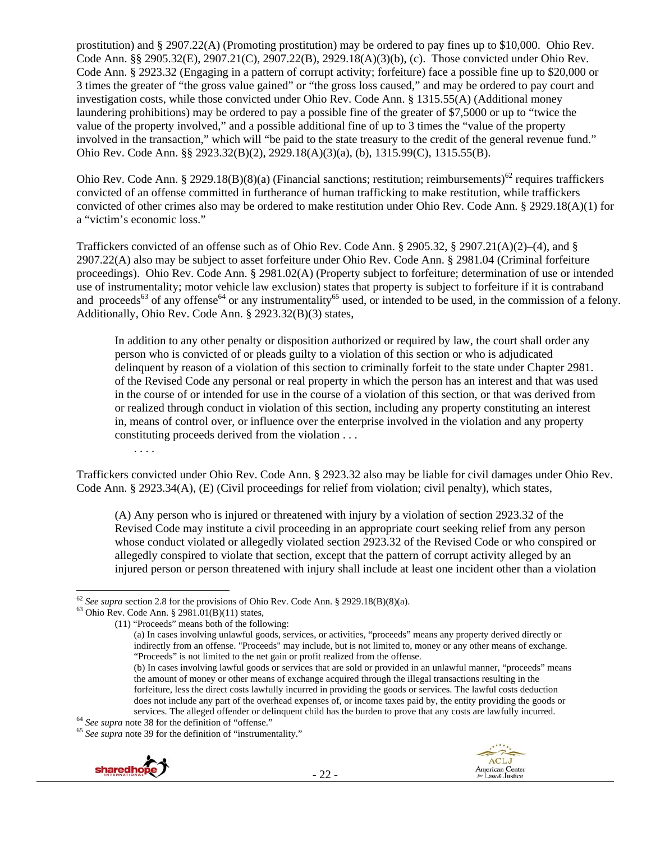prostitution) and § 2907.22(A) (Promoting prostitution) may be ordered to pay fines up to \$10,000. Ohio Rev. Code Ann. §§ 2905.32(E), 2907.21(C), 2907.22(B), 2929.18(A)(3)(b), (c). Those convicted under Ohio Rev. Code Ann. § 2923.32 (Engaging in a pattern of corrupt activity; forfeiture) face a possible fine up to \$20,000 or 3 times the greater of "the gross value gained" or "the gross loss caused," and may be ordered to pay court and investigation costs, while those convicted under Ohio Rev. Code Ann. § 1315.55(A) (Additional money laundering prohibitions) may be ordered to pay a possible fine of the greater of \$7,5000 or up to "twice the value of the property involved," and a possible additional fine of up to 3 times the "value of the property involved in the transaction," which will "be paid to the state treasury to the credit of the general revenue fund." Ohio Rev. Code Ann. §§ 2923.32(B)(2), 2929.18(A)(3)(a), (b), 1315.99(C), 1315.55(B).

Ohio Rev. Code Ann. § 2929.18(B)(8)(a) (Financial sanctions; restitution; reimbursements)<sup>62</sup> requires traffickers convicted of an offense committed in furtherance of human trafficking to make restitution, while traffickers convicted of other crimes also may be ordered to make restitution under Ohio Rev. Code Ann. § 2929.18(A)(1) for a "victim's economic loss."

Traffickers convicted of an offense such as of Ohio Rev. Code Ann. § 2905.32, § 2907.21(A)(2)–(4), and § 2907.22(A) also may be subject to asset forfeiture under Ohio Rev. Code Ann. § 2981.04 (Criminal forfeiture proceedings). Ohio Rev. Code Ann. § 2981.02(A) (Property subject to forfeiture; determination of use or intended use of instrumentality; motor vehicle law exclusion) states that property is subject to forfeiture if it is contraband and proceeds<sup>63</sup> of any offense<sup>64</sup> or any instrumentality<sup>65</sup> used, or intended to be used, in the commission of a felony. Additionally, Ohio Rev. Code Ann. § 2923.32(B)(3) states,

In addition to any other penalty or disposition authorized or required by law, the court shall order any person who is convicted of or pleads guilty to a violation of this section or who is adjudicated delinquent by reason of a violation of this section to criminally forfeit to the state under Chapter 2981. of the Revised Code any personal or real property in which the person has an interest and that was used in the course of or intended for use in the course of a violation of this section, or that was derived from or realized through conduct in violation of this section, including any property constituting an interest in, means of control over, or influence over the enterprise involved in the violation and any property constituting proceeds derived from the violation . . .

Traffickers convicted under Ohio Rev. Code Ann. § 2923.32 also may be liable for civil damages under Ohio Rev. Code Ann. § 2923.34(A), (E) (Civil proceedings for relief from violation; civil penalty), which states,

(A) Any person who is injured or threatened with injury by a violation of section 2923.32 of the Revised Code may institute a civil proceeding in an appropriate court seeking relief from any person whose conduct violated or allegedly violated section 2923.32 of the Revised Code or who conspired or allegedly conspired to violate that section, except that the pattern of corrupt activity alleged by an injured person or person threatened with injury shall include at least one incident other than a violation

. . . .





<sup>&</sup>lt;sup>62</sup> *See supra* section 2.8 for the provisions of Ohio Rev. Code Ann. § 2929.18(B)(8)(a). <sup>63</sup> Ohio Rev. Code Ann. § 2981.01(B)(11) states,

<sup>(11) &</sup>quot;Proceeds" means both of the following:

<sup>(</sup>a) In cases involving unlawful goods, services, or activities, "proceeds" means any property derived directly or indirectly from an offense. "Proceeds" may include, but is not limited to, money or any other means of exchange. "Proceeds" is not limited to the net gain or profit realized from the offense.

<sup>(</sup>b) In cases involving lawful goods or services that are sold or provided in an unlawful manner, "proceeds" means the amount of money or other means of exchange acquired through the illegal transactions resulting in the forfeiture, less the direct costs lawfully incurred in providing the goods or services. The lawful costs deduction does not include any part of the overhead expenses of, or income taxes paid by, the entity providing the goods or services. The alleged offender or delinquent child has the burden to prove that any costs are lawfully incurred.<br><sup>64</sup> See supra note 38 for the definition of "offense."<br><sup>65</sup> See supra note 39 for the definition of "instrum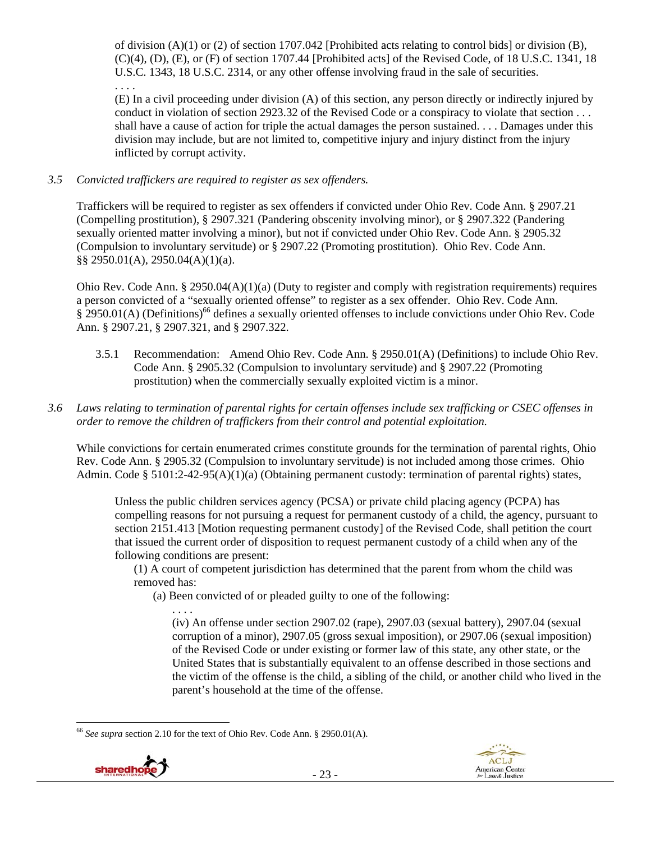of division (A)(1) or (2) of section 1707.042 [Prohibited acts relating to control bids] or division (B), (C)(4), (D), (E), or (F) of section 1707.44 [Prohibited acts] of the Revised Code, of 18 U.S.C. 1341, 18 U.S.C. 1343, 18 U.S.C. 2314, or any other offense involving fraud in the sale of securities.

. . . .

(E) In a civil proceeding under division (A) of this section, any person directly or indirectly injured by conduct in violation of section 2923.32 of the Revised Code or a conspiracy to violate that section . . . shall have a cause of action for triple the actual damages the person sustained. . . . Damages under this division may include, but are not limited to, competitive injury and injury distinct from the injury inflicted by corrupt activity.

*3.5 Convicted traffickers are required to register as sex offenders.* 

Traffickers will be required to register as sex offenders if convicted under Ohio Rev. Code Ann. § 2907.21 (Compelling prostitution), § 2907.321 (Pandering obscenity involving minor), or § 2907.322 (Pandering sexually oriented matter involving a minor), but not if convicted under Ohio Rev. Code Ann. § 2905.32 (Compulsion to involuntary servitude) or § 2907.22 (Promoting prostitution). Ohio Rev. Code Ann. §§ 2950.01(A), 2950.04(A)(1)(a).

Ohio Rev. Code Ann. § 2950.04(A)(1)(a) (Duty to register and comply with registration requirements) requires a person convicted of a "sexually oriented offense" to register as a sex offender. Ohio Rev. Code Ann. § 2950.01(A) (Definitions)<sup>66</sup> defines a sexually oriented offenses to include convictions under Ohio Rev. Code Ann. § 2907.21, § 2907.321, and § 2907.322.

- 3.5.1 Recommendation: Amend Ohio Rev. Code Ann. § 2950.01(A) (Definitions) to include Ohio Rev. Code Ann. § 2905.32 (Compulsion to involuntary servitude) and § 2907.22 (Promoting prostitution) when the commercially sexually exploited victim is a minor.
- *3.6 Laws relating to termination of parental rights for certain offenses include sex trafficking or CSEC offenses in order to remove the children of traffickers from their control and potential exploitation.*

While convictions for certain enumerated crimes constitute grounds for the termination of parental rights, Ohio Rev. Code Ann. § 2905.32 (Compulsion to involuntary servitude) is not included among those crimes. Ohio Admin. Code § 5101:2-42-95(A)(1)(a) (Obtaining permanent custody: termination of parental rights) states,

Unless the public children services agency (PCSA) or private child placing agency (PCPA) has compelling reasons for not pursuing a request for permanent custody of a child, the agency, pursuant to section 2151.413 [Motion requesting permanent custody] of the Revised Code, shall petition the court that issued the current order of disposition to request permanent custody of a child when any of the following conditions are present:

(1) A court of competent jurisdiction has determined that the parent from whom the child was removed has:

(a) Been convicted of or pleaded guilty to one of the following:

(iv) An offense under section 2907.02 (rape), 2907.03 (sexual battery), 2907.04 (sexual corruption of a minor), 2907.05 (gross sexual imposition), or 2907.06 (sexual imposition) of the Revised Code or under existing or former law of this state, any other state, or the United States that is substantially equivalent to an offense described in those sections and the victim of the offense is the child, a sibling of the child, or another child who lived in the parent's household at the time of the offense.

. . . .





 <sup>66</sup> *See supra* section 2.10 for the text of Ohio Rev. Code Ann. § 2950.01(A).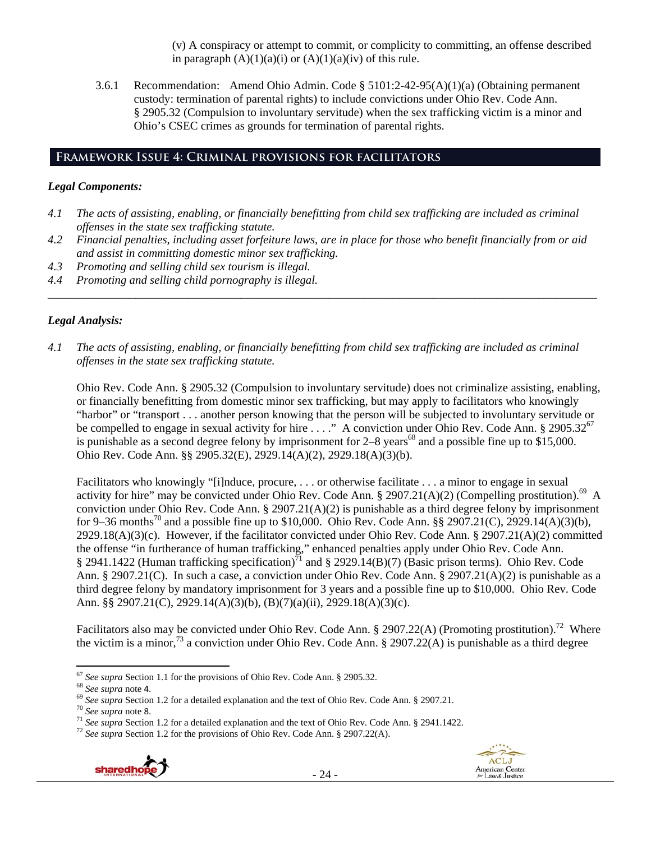(v) A conspiracy or attempt to commit, or complicity to committing, an offense described in paragraph  $(A)(1)(a)(i)$  or  $(A)(1)(a)(iv)$  of this rule.

3.6.1 Recommendation: Amend Ohio Admin. Code § 5101:2-42-95(A)(1)(a) (Obtaining permanent custody: termination of parental rights) to include convictions under Ohio Rev. Code Ann. § 2905.32 (Compulsion to involuntary servitude) when the sex trafficking victim is a minor and Ohio's CSEC crimes as grounds for termination of parental rights.

## **Framework Issue 4: Criminal provisions for facilitators**

#### *Legal Components:*

- *4.1 The acts of assisting, enabling, or financially benefitting from child sex trafficking are included as criminal offenses in the state sex trafficking statute.*
- *4.2 Financial penalties, including asset forfeiture laws, are in place for those who benefit financially from or aid and assist in committing domestic minor sex trafficking.*

*\_\_\_\_\_\_\_\_\_\_\_\_\_\_\_\_\_\_\_\_\_\_\_\_\_\_\_\_\_\_\_\_\_\_\_\_\_\_\_\_\_\_\_\_\_\_\_\_\_\_\_\_\_\_\_\_\_\_\_\_\_\_\_\_\_\_\_\_\_\_\_\_\_\_\_\_\_\_\_\_\_\_\_\_\_\_\_\_\_\_\_\_\_\_* 

- *4.3 Promoting and selling child sex tourism is illegal.*
- *4.4 Promoting and selling child pornography is illegal.*

#### *Legal Analysis:*

*4.1 The acts of assisting, enabling, or financially benefitting from child sex trafficking are included as criminal offenses in the state sex trafficking statute.* 

Ohio Rev. Code Ann. § 2905.32 (Compulsion to involuntary servitude) does not criminalize assisting, enabling, or financially benefitting from domestic minor sex trafficking, but may apply to facilitators who knowingly "harbor" or "transport . . . another person knowing that the person will be subjected to involuntary servitude or be compelled to engage in sexual activity for hire . . . ." A conviction under Ohio Rev. Code Ann. § 2905.32<sup>67</sup> is punishable as a second degree felony by imprisonment for  $2-8$  years<sup>68</sup> and a possible fine up to \$15,000. Ohio Rev. Code Ann. §§ 2905.32(E), 2929.14(A)(2), 2929.18(A)(3)(b).

Facilitators who knowingly "[i]nduce, procure, . . . or otherwise facilitate . . . a minor to engage in sexual activity for hire" may be convicted under Ohio Rev. Code Ann. § 2907.21(A)(2) (Compelling prostitution).<sup>69</sup> A conviction under Ohio Rev. Code Ann. § 2907.21(A)(2) is punishable as a third degree felony by imprisonment for 9–36 months<sup>70</sup> and a possible fine up to \$10,000. Ohio Rev. Code Ann. §§ 2907.21(C), 2929.14(A)(3)(b), 2929.18(A)(3)(c). However, if the facilitator convicted under Ohio Rev. Code Ann. § 2907.21(A)(2) committed the offense "in furtherance of human trafficking," enhanced penalties apply under Ohio Rev. Code Ann. § 2941.1422 (Human trafficking specification) $^{71}$  and § 2929.14(B)(7) (Basic prison terms). Ohio Rev. Code Ann. § 2907.21(C). In such a case, a conviction under Ohio Rev. Code Ann. § 2907.21(A)(2) is punishable as a third degree felony by mandatory imprisonment for 3 years and a possible fine up to \$10,000. Ohio Rev. Code Ann. §§ 2907.21(C), 2929.14(A)(3)(b), (B)(7)(a)(ii), 2929.18(A)(3)(c).

Facilitators also may be convicted under Ohio Rev. Code Ann. § 2907.22(A) (Promoting prostitution).<sup>72</sup> Where the victim is a minor,<sup>73</sup> a conviction under Ohio Rev. Code Ann. § 2907.22(A) is punishable as a third degree





 $67$  See supra Section 1.1 for the provisions of Ohio Rev. Code Ann. § 2905.32.

<sup>&</sup>lt;sup>68</sup> See supra note 4.<br>
<sup>69</sup> See supra Section 1.2 for a detailed explanation and the text of Ohio Rev. Code Ann. § 2907.21.<br>
<sup>70</sup> See supra note 8.<br>
<sup>71</sup> See supra Section 1.2 for a detailed explanation and the text of O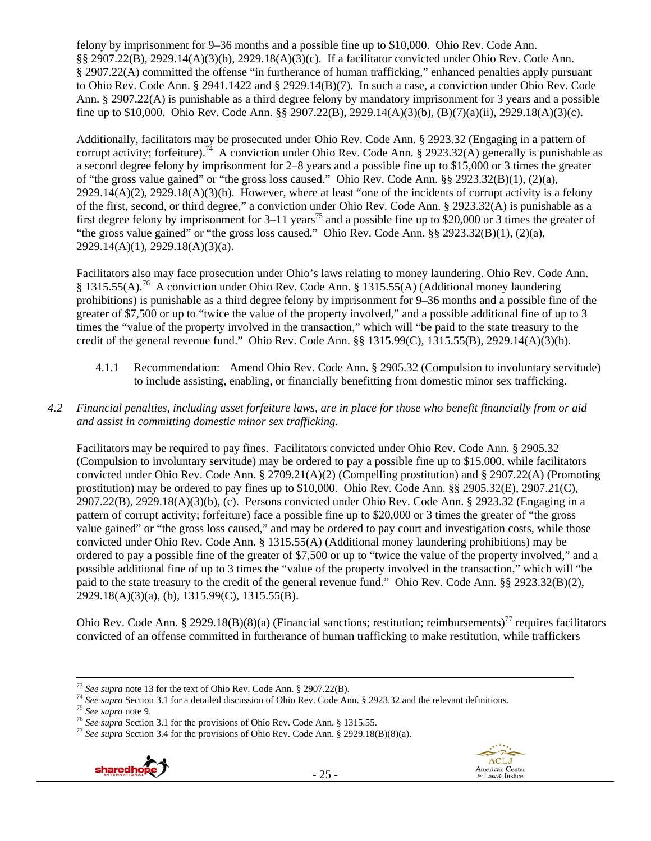felony by imprisonment for 9–36 months and a possible fine up to \$10,000. Ohio Rev. Code Ann. §§ 2907.22(B), 2929.14(A)(3)(b), 2929.18(A)(3)(c). If a facilitator convicted under Ohio Rev. Code Ann. § 2907.22(A) committed the offense "in furtherance of human trafficking," enhanced penalties apply pursuant to Ohio Rev. Code Ann. § 2941.1422 and § 2929.14(B)(7). In such a case, a conviction under Ohio Rev. Code Ann. § 2907.22(A) is punishable as a third degree felony by mandatory imprisonment for 3 years and a possible fine up to \$10,000. Ohio Rev. Code Ann. §§ 2907.22(B), 2929.14(A)(3)(b), (B)(7)(a)(ii), 2929.18(A)(3)(c).

Additionally, facilitators may be prosecuted under Ohio Rev. Code Ann. § 2923.32 (Engaging in a pattern of corrupt activity; forfeiture).<sup>74</sup> A conviction under Ohio Rev. Code Ann. § 2923.32(A) generally is punishable as a second degree felony by imprisonment for 2–8 years and a possible fine up to \$15,000 or 3 times the greater of "the gross value gained" or "the gross loss caused." Ohio Rev. Code Ann. §§ 2923.32(B)(1), (2)(a),  $2929.14(A)(2)$ ,  $2929.18(A)(3)(b)$ . However, where at least "one of the incidents of corrupt activity is a felony of the first, second, or third degree," a conviction under Ohio Rev. Code Ann. § 2923.32(A) is punishable as a first degree felony by imprisonment for  $3-11$  years<sup>75</sup> and a possible fine up to \$20,000 or 3 times the greater of "the gross value gained" or "the gross loss caused." Ohio Rev. Code Ann. §§ 2923.32(B)(1), (2)(a), 2929.14(A)(1), 2929.18(A)(3)(a).

Facilitators also may face prosecution under Ohio's laws relating to money laundering. Ohio Rev. Code Ann. § 1315.55(A).76 A conviction under Ohio Rev. Code Ann. § 1315.55(A) (Additional money laundering prohibitions) is punishable as a third degree felony by imprisonment for 9–36 months and a possible fine of the greater of \$7,500 or up to "twice the value of the property involved," and a possible additional fine of up to 3 times the "value of the property involved in the transaction," which will "be paid to the state treasury to the credit of the general revenue fund." Ohio Rev. Code Ann. §§ 1315.99(C), 1315.55(B), 2929.14(A)(3)(b).

- 4.1.1 Recommendation: Amend Ohio Rev. Code Ann. § 2905.32 (Compulsion to involuntary servitude) to include assisting, enabling, or financially benefitting from domestic minor sex trafficking.
- *4.2 Financial penalties, including asset forfeiture laws, are in place for those who benefit financially from or aid and assist in committing domestic minor sex trafficking.*

Facilitators may be required to pay fines. Facilitators convicted under Ohio Rev. Code Ann. § 2905.32 (Compulsion to involuntary servitude) may be ordered to pay a possible fine up to \$15,000, while facilitators convicted under Ohio Rev. Code Ann. § 2709.21(A)(2) (Compelling prostitution) and § 2907.22(A) (Promoting prostitution) may be ordered to pay fines up to \$10,000. Ohio Rev. Code Ann. §§ 2905.32(E), 2907.21(C), 2907.22(B), 2929.18(A)(3)(b), (c). Persons convicted under Ohio Rev. Code Ann. § 2923.32 (Engaging in a pattern of corrupt activity; forfeiture) face a possible fine up to \$20,000 or 3 times the greater of "the gross value gained" or "the gross loss caused," and may be ordered to pay court and investigation costs, while those convicted under Ohio Rev. Code Ann. § 1315.55(A) (Additional money laundering prohibitions) may be ordered to pay a possible fine of the greater of \$7,500 or up to "twice the value of the property involved," and a possible additional fine of up to 3 times the "value of the property involved in the transaction," which will "be paid to the state treasury to the credit of the general revenue fund." Ohio Rev. Code Ann. §§ 2923.32(B)(2), 2929.18(A)(3)(a), (b), 1315.99(C), 1315.55(B).

Ohio Rev. Code Ann. § 2929.18(B)(8)(a) (Financial sanctions; restitution; reimbursements)<sup>77</sup> requires facilitators convicted of an offense committed in furtherance of human trafficking to make restitution, while traffickers





<sup>&</sup>lt;sup>73</sup> See supra note 13 for the text of Ohio Rev. Code Ann. § 2907.22(B).<br><sup>74</sup> See supra Section 3.1 for a detailed discussion of Ohio Rev. Code Ann. § 2923.32 and the relevant definitions.<br><sup>75</sup> See supra note 9.<br><sup>76</sup> See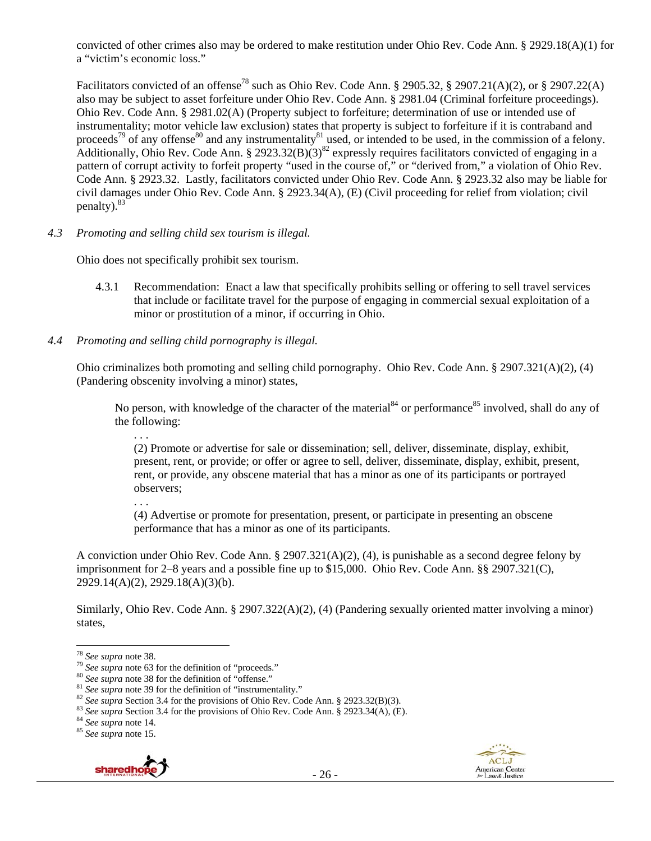convicted of other crimes also may be ordered to make restitution under Ohio Rev. Code Ann. § 2929.18(A)(1) for a "victim's economic loss."

Facilitators convicted of an offense<sup>78</sup> such as Ohio Rev. Code Ann. § 2905.32, § 2907.21(A)(2), or § 2907.22(A) also may be subject to asset forfeiture under Ohio Rev. Code Ann. § 2981.04 (Criminal forfeiture proceedings). Ohio Rev. Code Ann. § 2981.02(A) (Property subject to forfeiture; determination of use or intended use of instrumentality; motor vehicle law exclusion) states that property is subject to forfeiture if it is contraband and proceeds<sup>79</sup> of any offense<sup>80</sup> and any instrumentality<sup>81</sup> used, or intended to be used, in the commission of a felony. Additionally, Ohio Rev. Code Ann. § 2923.32(B)(3)<sup>82</sup> expressly requires facilitators convicted of engaging in a pattern of corrupt activity to forfeit property "used in the course of," or "derived from," a violation of Ohio Rev. Code Ann. § 2923.32. Lastly, facilitators convicted under Ohio Rev. Code Ann. § 2923.32 also may be liable for civil damages under Ohio Rev. Code Ann. § 2923.34(A), (E) (Civil proceeding for relief from violation; civil penalty). $83$ 

*4.3 Promoting and selling child sex tourism is illegal.* 

Ohio does not specifically prohibit sex tourism.

- 4.3.1 Recommendation: Enact a law that specifically prohibits selling or offering to sell travel services that include or facilitate travel for the purpose of engaging in commercial sexual exploitation of a minor or prostitution of a minor, if occurring in Ohio.
- *4.4 Promoting and selling child pornography is illegal.*

. . .

. . .

Ohio criminalizes both promoting and selling child pornography. Ohio Rev. Code Ann. § 2907.321(A)(2), (4) (Pandering obscenity involving a minor) states,

No person, with knowledge of the character of the material<sup>84</sup> or performance<sup>85</sup> involved, shall do any of the following:

(2) Promote or advertise for sale or dissemination; sell, deliver, disseminate, display, exhibit, present, rent, or provide; or offer or agree to sell, deliver, disseminate, display, exhibit, present, rent, or provide, any obscene material that has a minor as one of its participants or portrayed observers;

(4) Advertise or promote for presentation, present, or participate in presenting an obscene performance that has a minor as one of its participants.

A conviction under Ohio Rev. Code Ann. § 2907.321(A)(2), (4), is punishable as a second degree felony by imprisonment for 2–8 years and a possible fine up to \$15,000. Ohio Rev. Code Ann. §§ 2907.321(C), 2929.14(A)(2), 2929.18(A)(3)(b).

Similarly, Ohio Rev. Code Ann. § 2907.322(A)(2), (4) (Pandering sexually oriented matter involving a minor) states,





<sup>&</sup>lt;sup>78</sup> See supra note 38.<br><sup>79</sup> See supra note 63 for the definition of "proceeds."<br><sup>80</sup> See supra note 38 for the definition of "offense."<br><sup>81</sup> See supra note 39 for the definition of "instrumentality."<br><sup>82</sup> See supra Secti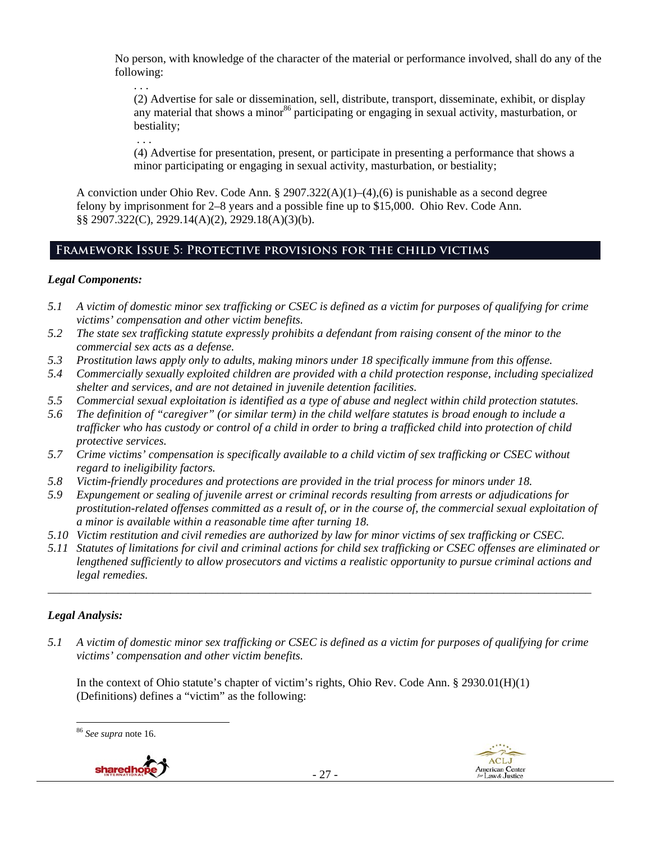No person, with knowledge of the character of the material or performance involved, shall do any of the following:

. . . (2) Advertise for sale or dissemination, sell, distribute, transport, disseminate, exhibit, or display any material that shows a minor  $86$  participating or engaging in sexual activity, masturbation, or bestiality;

(4) Advertise for presentation, present, or participate in presenting a performance that shows a minor participating or engaging in sexual activity, masturbation, or bestiality;

A conviction under Ohio Rev. Code Ann. § 2907.322(A)(1)–(4),(6) is punishable as a second degree felony by imprisonment for 2–8 years and a possible fine up to \$15,000. Ohio Rev. Code Ann. §§ 2907.322(C), 2929.14(A)(2), 2929.18(A)(3)(b).

# **Framework Issue 5: Protective provisions for the child victims**

# *Legal Components:*

. . .

- *5.1 A victim of domestic minor sex trafficking or CSEC is defined as a victim for purposes of qualifying for crime victims' compensation and other victim benefits.*
- *5.2 The state sex trafficking statute expressly prohibits a defendant from raising consent of the minor to the commercial sex acts as a defense.*
- *5.3 Prostitution laws apply only to adults, making minors under 18 specifically immune from this offense.*
- *5.4 Commercially sexually exploited children are provided with a child protection response, including specialized shelter and services, and are not detained in juvenile detention facilities.*
- *5.5 Commercial sexual exploitation is identified as a type of abuse and neglect within child protection statutes.*
- *5.6 The definition of "caregiver" (or similar term) in the child welfare statutes is broad enough to include a trafficker who has custody or control of a child in order to bring a trafficked child into protection of child protective services.*
- *5.7 Crime victims' compensation is specifically available to a child victim of sex trafficking or CSEC without regard to ineligibility factors.*
- *5.8 Victim-friendly procedures and protections are provided in the trial process for minors under 18.*
- *5.9 Expungement or sealing of juvenile arrest or criminal records resulting from arrests or adjudications for prostitution-related offenses committed as a result of, or in the course of, the commercial sexual exploitation of a minor is available within a reasonable time after turning 18.*
- *5.10 Victim restitution and civil remedies are authorized by law for minor victims of sex trafficking or CSEC.*
- *5.11 Statutes of limitations for civil and criminal actions for child sex trafficking or CSEC offenses are eliminated or lengthened sufficiently to allow prosecutors and victims a realistic opportunity to pursue criminal actions and legal remedies.*

*\_\_\_\_\_\_\_\_\_\_\_\_\_\_\_\_\_\_\_\_\_\_\_\_\_\_\_\_\_\_\_\_\_\_\_\_\_\_\_\_\_\_\_\_\_\_\_\_\_\_\_\_\_\_\_\_\_\_\_\_\_\_\_\_\_\_\_\_\_\_\_\_\_\_\_\_\_\_\_\_\_\_\_\_\_\_\_\_\_\_\_\_\_* 

# *Legal Analysis:*

*5.1 A victim of domestic minor sex trafficking or CSEC is defined as a victim for purposes of qualifying for crime victims' compensation and other victim benefits.* 

In the context of Ohio statute's chapter of victim's rights, Ohio Rev. Code Ann. § 2930.01(H)(1) (Definitions) defines a "victim" as the following:

 <sup>86</sup> *See supra* note 16.



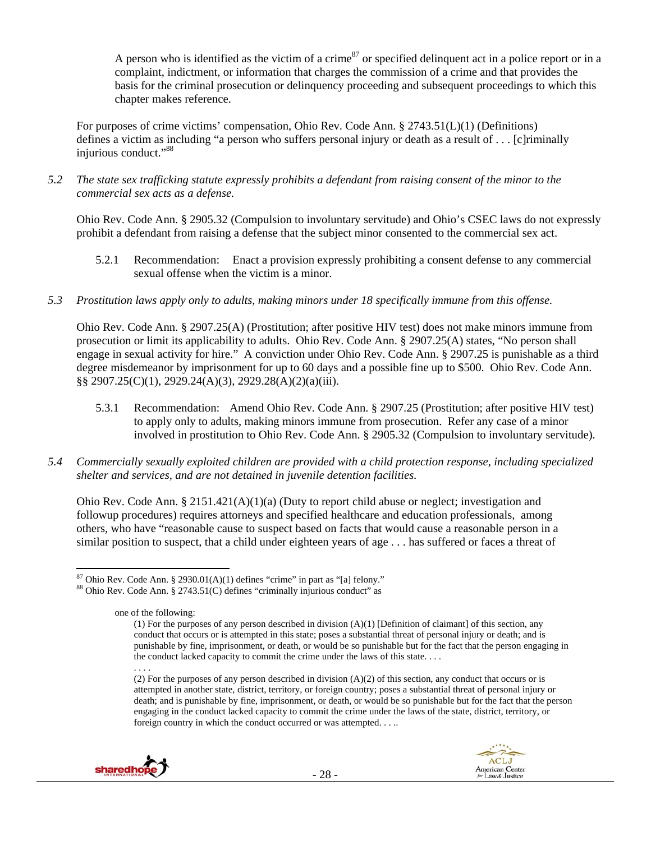A person who is identified as the victim of a crime<sup>87</sup> or specified delinquent act in a police report or in a complaint, indictment, or information that charges the commission of a crime and that provides the basis for the criminal prosecution or delinquency proceeding and subsequent proceedings to which this chapter makes reference.

For purposes of crime victims' compensation, Ohio Rev. Code Ann. § 2743.51(L)(1) (Definitions) defines a victim as including "a person who suffers personal injury or death as a result of . . . [c]riminally injurious conduct."88

*5.2 The state sex trafficking statute expressly prohibits a defendant from raising consent of the minor to the commercial sex acts as a defense.* 

Ohio Rev. Code Ann. § 2905.32 (Compulsion to involuntary servitude) and Ohio's CSEC laws do not expressly prohibit a defendant from raising a defense that the subject minor consented to the commercial sex act.

- 5.2.1 Recommendation: Enact a provision expressly prohibiting a consent defense to any commercial sexual offense when the victim is a minor.
- *5.3 Prostitution laws apply only to adults, making minors under 18 specifically immune from this offense.*

Ohio Rev. Code Ann. § 2907.25(A) (Prostitution; after positive HIV test) does not make minors immune from prosecution or limit its applicability to adults. Ohio Rev. Code Ann. § 2907.25(A) states, "No person shall engage in sexual activity for hire." A conviction under Ohio Rev. Code Ann. § 2907.25 is punishable as a third degree misdemeanor by imprisonment for up to 60 days and a possible fine up to \$500. Ohio Rev. Code Ann. §§ 2907.25(C)(1), 2929.24(A)(3), 2929.28(A)(2)(a)(iii).

- 5.3.1 Recommendation: Amend Ohio Rev. Code Ann. § 2907.25 (Prostitution; after positive HIV test) to apply only to adults, making minors immune from prosecution. Refer any case of a minor involved in prostitution to Ohio Rev. Code Ann. § 2905.32 (Compulsion to involuntary servitude).
- *5.4 Commercially sexually exploited children are provided with a child protection response, including specialized shelter and services, and are not detained in juvenile detention facilities.*

Ohio Rev. Code Ann. § 2151.421(A)(1)(a) (Duty to report child abuse or neglect; investigation and followup procedures) requires attorneys and specified healthcare and education professionals, among others, who have "reasonable cause to suspect based on facts that would cause a reasonable person in a similar position to suspect, that a child under eighteen years of age . . . has suffered or faces a threat of

. . . .

<sup>(2)</sup> For the purposes of any person described in division (A)(2) of this section, any conduct that occurs or is attempted in another state, district, territory, or foreign country; poses a substantial threat of personal injury or death; and is punishable by fine, imprisonment, or death, or would be so punishable but for the fact that the person engaging in the conduct lacked capacity to commit the crime under the laws of the state, district, territory, or foreign country in which the conduct occurred or was attempted. . . ..





 $87$  Ohio Rev. Code Ann. § 2930.01(A)(1) defines "crime" in part as "[a] felony."

 $88$  Ohio Rev. Code Ann. § 2743.51(C) defines "criminally injurious conduct" as

one of the following:

<sup>(1)</sup> For the purposes of any person described in division (A)(1) [Definition of claimant] of this section, any conduct that occurs or is attempted in this state; poses a substantial threat of personal injury or death; and is punishable by fine, imprisonment, or death, or would be so punishable but for the fact that the person engaging in the conduct lacked capacity to commit the crime under the laws of this state. . . .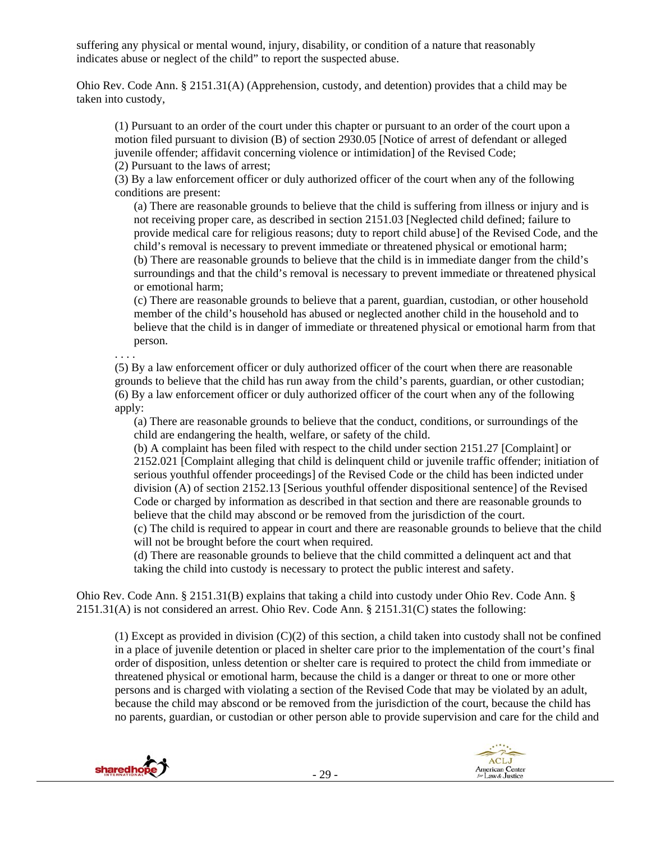suffering any physical or mental wound, injury, disability, or condition of a nature that reasonably indicates abuse or neglect of the child" to report the suspected abuse.

Ohio Rev. Code Ann. § 2151.31(A) (Apprehension, custody, and detention) provides that a child may be taken into custody,

(1) Pursuant to an order of the court under this chapter or pursuant to an order of the court upon a motion filed pursuant to division (B) of section 2930.05 [Notice of arrest of defendant or alleged juvenile offender; affidavit concerning violence or intimidation] of the Revised Code;

(2) Pursuant to the laws of arrest;

(3) By a law enforcement officer or duly authorized officer of the court when any of the following conditions are present:

(a) There are reasonable grounds to believe that the child is suffering from illness or injury and is not receiving proper care, as described in section 2151.03 [Neglected child defined; failure to provide medical care for religious reasons; duty to report child abuse] of the Revised Code, and the child's removal is necessary to prevent immediate or threatened physical or emotional harm; (b) There are reasonable grounds to believe that the child is in immediate danger from the child's surroundings and that the child's removal is necessary to prevent immediate or threatened physical or emotional harm;

(c) There are reasonable grounds to believe that a parent, guardian, custodian, or other household member of the child's household has abused or neglected another child in the household and to believe that the child is in danger of immediate or threatened physical or emotional harm from that person.

. . . .

(5) By a law enforcement officer or duly authorized officer of the court when there are reasonable grounds to believe that the child has run away from the child's parents, guardian, or other custodian; (6) By a law enforcement officer or duly authorized officer of the court when any of the following apply:

(a) There are reasonable grounds to believe that the conduct, conditions, or surroundings of the child are endangering the health, welfare, or safety of the child.

(b) A complaint has been filed with respect to the child under section 2151.27 [Complaint] or 2152.021 [Complaint alleging that child is delinquent child or juvenile traffic offender; initiation of serious youthful offender proceedings] of the Revised Code or the child has been indicted under division (A) of section 2152.13 [Serious youthful offender dispositional sentence] of the Revised Code or charged by information as described in that section and there are reasonable grounds to believe that the child may abscond or be removed from the jurisdiction of the court.

(c) The child is required to appear in court and there are reasonable grounds to believe that the child will not be brought before the court when required.

(d) There are reasonable grounds to believe that the child committed a delinquent act and that taking the child into custody is necessary to protect the public interest and safety.

Ohio Rev. Code Ann. § 2151.31(B) explains that taking a child into custody under Ohio Rev. Code Ann. § 2151.31(A) is not considered an arrest. Ohio Rev. Code Ann. § 2151.31(C) states the following:

 $(1)$  Except as provided in division  $(C)(2)$  of this section, a child taken into custody shall not be confined in a place of juvenile detention or placed in shelter care prior to the implementation of the court's final order of disposition, unless detention or shelter care is required to protect the child from immediate or threatened physical or emotional harm, because the child is a danger or threat to one or more other persons and is charged with violating a section of the Revised Code that may be violated by an adult, because the child may abscond or be removed from the jurisdiction of the court, because the child has no parents, guardian, or custodian or other person able to provide supervision and care for the child and



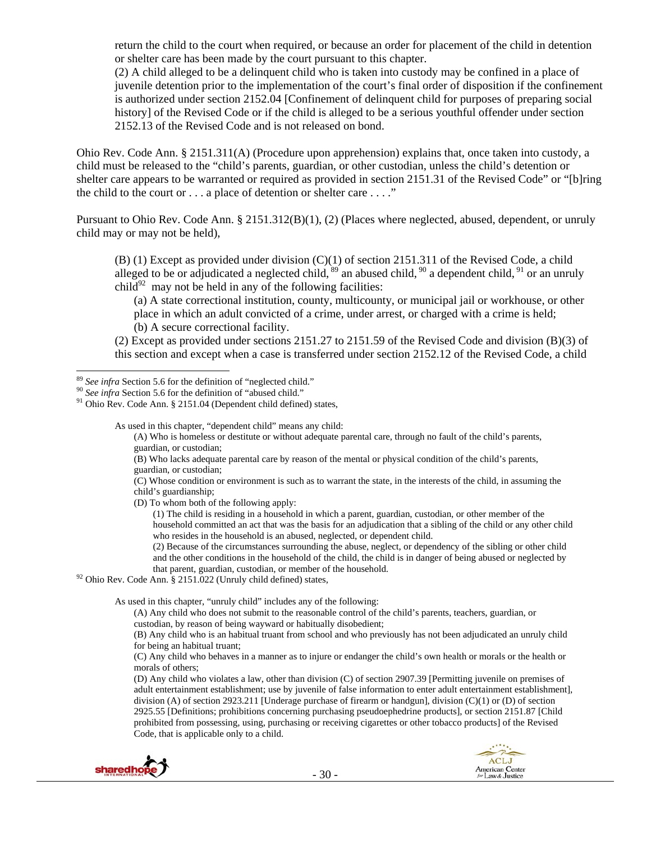return the child to the court when required, or because an order for placement of the child in detention or shelter care has been made by the court pursuant to this chapter.

(2) A child alleged to be a delinquent child who is taken into custody may be confined in a place of juvenile detention prior to the implementation of the court's final order of disposition if the confinement is authorized under section 2152.04 [Confinement of delinquent child for purposes of preparing social history] of the Revised Code or if the child is alleged to be a serious youthful offender under section 2152.13 of the Revised Code and is not released on bond.

Ohio Rev. Code Ann. § 2151.311(A) (Procedure upon apprehension) explains that, once taken into custody, a child must be released to the "child's parents, guardian, or other custodian, unless the child's detention or shelter care appears to be warranted or required as provided in section 2151.31 of the Revised Code" or "[b]ring the child to the court or  $\dots$  a place of detention or shelter care  $\dots$ ."

Pursuant to Ohio Rev. Code Ann. § 2151.312(B)(1), (2) (Places where neglected, abused, dependent, or unruly child may or may not be held),

(B) (1) Except as provided under division (C)(1) of section 2151.311 of the Revised Code, a child alleged to be or adjudicated a neglected child,  $89$  an abused child,  $90$  a dependent child,  $91$  or an unruly child $92$  may not be held in any of the following facilities:

(a) A state correctional institution, county, multicounty, or municipal jail or workhouse, or other place in which an adult convicted of a crime, under arrest, or charged with a crime is held; (b) A secure correctional facility.

(2) Except as provided under sections 2151.27 to 2151.59 of the Revised Code and division (B)(3) of this section and except when a case is transferred under section 2152.12 of the Revised Code, a child

As used in this chapter, "dependent child" means any child:

(A) Who is homeless or destitute or without adequate parental care, through no fault of the child's parents, guardian, or custodian;

(B) Who lacks adequate parental care by reason of the mental or physical condition of the child's parents,

guardian, or custodian;

(C) Whose condition or environment is such as to warrant the state, in the interests of the child, in assuming the child's guardianship;

(D) To whom both of the following apply:

(1) The child is residing in a household in which a parent, guardian, custodian, or other member of the household committed an act that was the basis for an adjudication that a sibling of the child or any other child who resides in the household is an abused, neglected, or dependent child.

(2) Because of the circumstances surrounding the abuse, neglect, or dependency of the sibling or other child and the other conditions in the household of the child, the child is in danger of being abused or neglected by

that parent, guardian, custodian, or member of the household. 92 Ohio Rev. Code Ann. § 2151.022 (Unruly child defined) states,

As used in this chapter, "unruly child" includes any of the following:

(A) Any child who does not submit to the reasonable control of the child's parents, teachers, guardian, or custodian, by reason of being wayward or habitually disobedient;

(B) Any child who is an habitual truant from school and who previously has not been adjudicated an unruly child for being an habitual truant;

(C) Any child who behaves in a manner as to injure or endanger the child's own health or morals or the health or morals of others;

(D) Any child who violates a law, other than division (C) of section 2907.39 [Permitting juvenile on premises of adult entertainment establishment; use by juvenile of false information to enter adult entertainment establishment], division (A) of section 2923.211 [Underage purchase of firearm or handgun], division (C)(1) or (D) of section 2925.55 [Definitions; prohibitions concerning purchasing pseudoephedrine products], or section 2151.87 [Child prohibited from possessing, using, purchasing or receiving cigarettes or other tobacco products] of the Revised Code, that is applicable only to a child.





<sup>&</sup>lt;sup>89</sup> *See infra* Section 5.6 for the definition of "neglected child."<br><sup>90</sup> *See infra* Section 5.6 for the definition of "abused child."<br><sup>91</sup> Ohio Rev. Code Ann. § 2151.04 (Dependent child defined) states,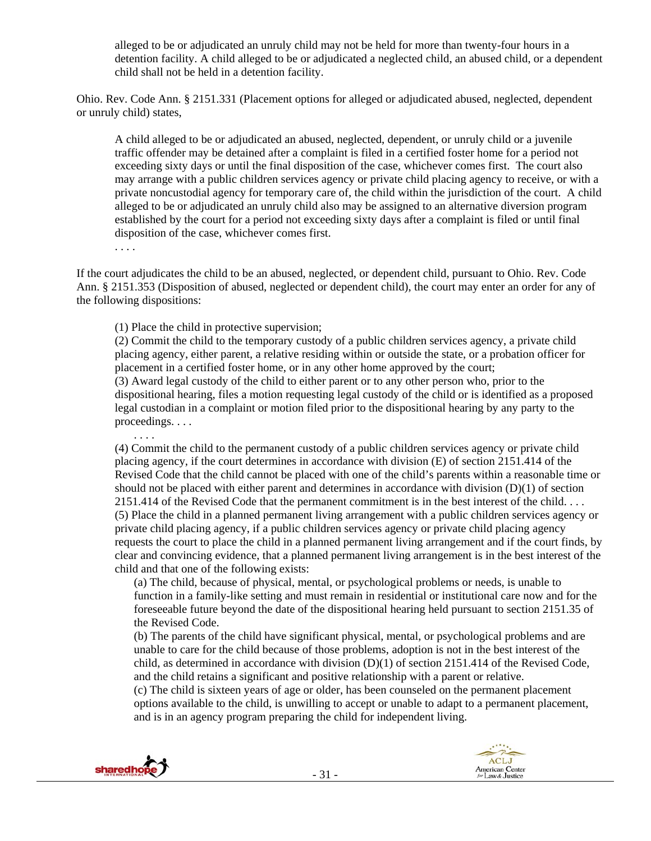alleged to be or adjudicated an unruly child may not be held for more than twenty-four hours in a detention facility. A child alleged to be or adjudicated a neglected child, an abused child, or a dependent child shall not be held in a detention facility.

Ohio. Rev. Code Ann. § 2151.331 (Placement options for alleged or adjudicated abused, neglected, dependent or unruly child) states,

A child alleged to be or adjudicated an abused, neglected, dependent, or unruly child or a juvenile traffic offender may be detained after a complaint is filed in a certified foster home for a period not exceeding sixty days or until the final disposition of the case, whichever comes first. The court also may arrange with a public children services agency or private child placing agency to receive, or with a private noncustodial agency for temporary care of, the child within the jurisdiction of the court. A child alleged to be or adjudicated an unruly child also may be assigned to an alternative diversion program established by the court for a period not exceeding sixty days after a complaint is filed or until final disposition of the case, whichever comes first.

. . . .

If the court adjudicates the child to be an abused, neglected, or dependent child, pursuant to Ohio. Rev. Code Ann. § 2151.353 (Disposition of abused, neglected or dependent child), the court may enter an order for any of the following dispositions:

(1) Place the child in protective supervision;

(2) Commit the child to the temporary custody of a public children services agency, a private child placing agency, either parent, a relative residing within or outside the state, or a probation officer for placement in a certified foster home, or in any other home approved by the court; (3) Award legal custody of the child to either parent or to any other person who, prior to the dispositional hearing, files a motion requesting legal custody of the child or is identified as a proposed legal custodian in a complaint or motion filed prior to the dispositional hearing by any party to the proceedings. . . .

. . . . (4) Commit the child to the permanent custody of a public children services agency or private child placing agency, if the court determines in accordance with division (E) of section 2151.414 of the Revised Code that the child cannot be placed with one of the child's parents within a reasonable time or should not be placed with either parent and determines in accordance with division  $(D)(1)$  of section 2151.414 of the Revised Code that the permanent commitment is in the best interest of the child. . . . (5) Place the child in a planned permanent living arrangement with a public children services agency or private child placing agency, if a public children services agency or private child placing agency requests the court to place the child in a planned permanent living arrangement and if the court finds, by clear and convincing evidence, that a planned permanent living arrangement is in the best interest of the child and that one of the following exists:

(a) The child, because of physical, mental, or psychological problems or needs, is unable to function in a family-like setting and must remain in residential or institutional care now and for the foreseeable future beyond the date of the dispositional hearing held pursuant to section 2151.35 of the Revised Code.

(b) The parents of the child have significant physical, mental, or psychological problems and are unable to care for the child because of those problems, adoption is not in the best interest of the child, as determined in accordance with division (D)(1) of section 2151.414 of the Revised Code, and the child retains a significant and positive relationship with a parent or relative.

(c) The child is sixteen years of age or older, has been counseled on the permanent placement options available to the child, is unwilling to accept or unable to adapt to a permanent placement, and is in an agency program preparing the child for independent living.



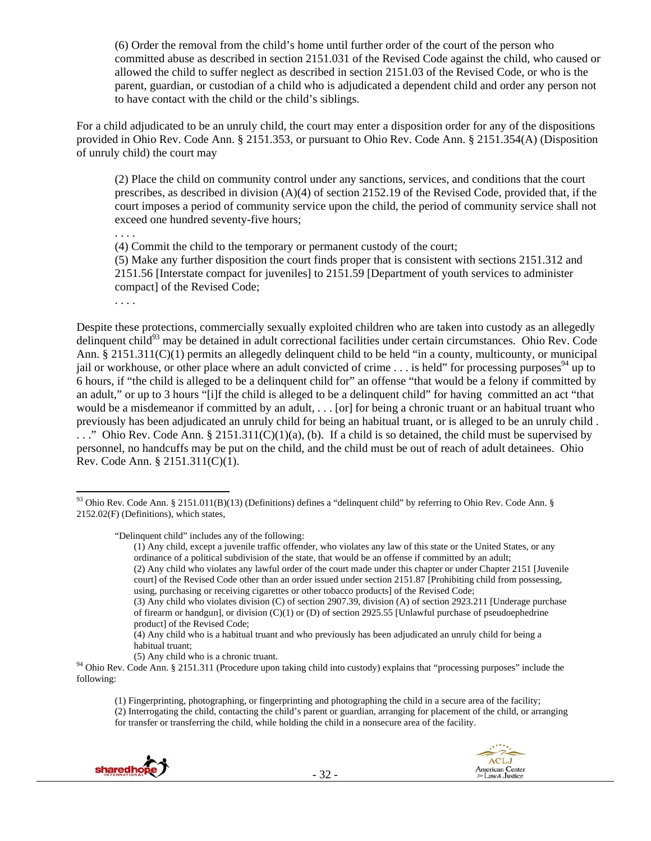(6) Order the removal from the child's home until further order of the court of the person who committed abuse as described in section 2151.031 of the Revised Code against the child, who caused or allowed the child to suffer neglect as described in section 2151.03 of the Revised Code, or who is the parent, guardian, or custodian of a child who is adjudicated a dependent child and order any person not to have contact with the child or the child's siblings.

For a child adjudicated to be an unruly child, the court may enter a disposition order for any of the dispositions provided in Ohio Rev. Code Ann. § 2151.353, or pursuant to Ohio Rev. Code Ann. § 2151.354(A) (Disposition of unruly child) the court may

(2) Place the child on community control under any sanctions, services, and conditions that the court prescribes, as described in division (A)(4) of section 2152.19 of the Revised Code, provided that, if the court imposes a period of community service upon the child, the period of community service shall not exceed one hundred seventy-five hours;

. . . .

(4) Commit the child to the temporary or permanent custody of the court;

(5) Make any further disposition the court finds proper that is consistent with sections 2151.312 and 2151.56 [Interstate compact for juveniles] to 2151.59 [Department of youth services to administer compact] of the Revised Code;

. . . .

Despite these protections, commercially sexually exploited children who are taken into custody as an allegedly delinquent child<sup>93</sup> may be detained in adult correctional facilities under certain circumstances. Ohio Rev. Code Ann. § 2151.311(C)(1) permits an allegedly delinquent child to be held "in a county, multicounty, or municipal jail or workhouse, or other place where an adult convicted of crime  $\dots$  is held" for processing purposes  $94$  up to 6 hours, if "the child is alleged to be a delinquent child for" an offense "that would be a felony if committed by an adult," or up to 3 hours "[i]f the child is alleged to be a delinquent child" for having committed an act "that would be a misdemeanor if committed by an adult, . . . [or] for being a chronic truant or an habitual truant who previously has been adjudicated an unruly child for being an habitual truant, or is alleged to be an unruly child .  $\ldots$ ." Ohio Rev. Code Ann. § 2151.311(C)(1)(a), (b). If a child is so detained, the child must be supervised by personnel, no handcuffs may be put on the child, and the child must be out of reach of adult detainees. Ohio Rev. Code Ann. § 2151.311(C)(1).

"Delinquent child" includes any of the following:

(3) Any child who violates division (C) of section 2907.39, division (A) of section 2923.211 [Underage purchase of firearm or handgun], or division (C)(1) or (D) of section 2925.55 [Unlawful purchase of pseudoephedrine product] of the Revised Code;

(4) Any child who is a habitual truant and who previously has been adjudicated an unruly child for being a habitual truant;<br>(5) Any child who is a chronic truant.

<sup>94</sup> Ohio Rev. Code Ann. § 2151.311 (Procedure upon taking child into custody) explains that "processing purposes" include the following:

(1) Fingerprinting, photographing, or fingerprinting and photographing the child in a secure area of the facility;

(2) Interrogating the child, contacting the child's parent or guardian, arranging for placement of the child, or arranging for transfer or transferring the child, while holding the child in a nonsecure area of the facility.





 <sup>93</sup> Ohio Rev. Code Ann. § 2151.011(B)(13) (Definitions) defines a "delinquent child" by referring to Ohio Rev. Code Ann. § 2152.02(F) (Definitions), which states,

<sup>(1)</sup> Any child, except a juvenile traffic offender, who violates any law of this state or the United States, or any ordinance of a political subdivision of the state, that would be an offense if committed by an adult;

<sup>(2)</sup> Any child who violates any lawful order of the court made under this chapter or under Chapter 2151 [Juvenile court] of the Revised Code other than an order issued under section 2151.87 [Prohibiting child from possessing, using, purchasing or receiving cigarettes or other tobacco products] of the Revised Code;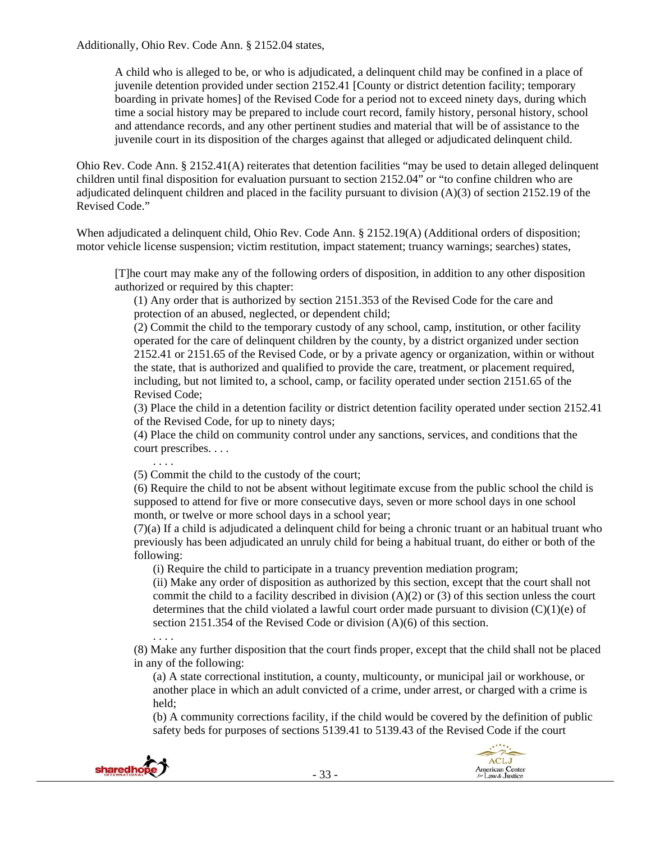Additionally, Ohio Rev. Code Ann. § 2152.04 states,

A child who is alleged to be, or who is adjudicated, a delinquent child may be confined in a place of juvenile detention provided under section 2152.41 [County or district detention facility; temporary boarding in private homes] of the Revised Code for a period not to exceed ninety days, during which time a social history may be prepared to include court record, family history, personal history, school and attendance records, and any other pertinent studies and material that will be of assistance to the juvenile court in its disposition of the charges against that alleged or adjudicated delinquent child.

Ohio Rev. Code Ann. § 2152.41(A) reiterates that detention facilities "may be used to detain alleged delinquent children until final disposition for evaluation pursuant to section 2152.04" or "to confine children who are adjudicated delinquent children and placed in the facility pursuant to division (A)(3) of section 2152.19 of the Revised Code."

When adjudicated a delinquent child, Ohio Rev. Code Ann. § 2152.19(A) (Additional orders of disposition; motor vehicle license suspension; victim restitution, impact statement; truancy warnings; searches) states,

[T]he court may make any of the following orders of disposition, in addition to any other disposition authorized or required by this chapter:

(1) Any order that is authorized by section 2151.353 of the Revised Code for the care and protection of an abused, neglected, or dependent child;

(2) Commit the child to the temporary custody of any school, camp, institution, or other facility operated for the care of delinquent children by the county, by a district organized under section 2152.41 or 2151.65 of the Revised Code, or by a private agency or organization, within or without the state, that is authorized and qualified to provide the care, treatment, or placement required, including, but not limited to, a school, camp, or facility operated under section 2151.65 of the Revised Code;

(3) Place the child in a detention facility or district detention facility operated under section 2152.41 of the Revised Code, for up to ninety days;

(4) Place the child on community control under any sanctions, services, and conditions that the court prescribes. . . .

(5) Commit the child to the custody of the court;

. . . .

. . . .

(6) Require the child to not be absent without legitimate excuse from the public school the child is supposed to attend for five or more consecutive days, seven or more school days in one school month, or twelve or more school days in a school year;

(7)(a) If a child is adjudicated a delinquent child for being a chronic truant or an habitual truant who previously has been adjudicated an unruly child for being a habitual truant, do either or both of the following:

(i) Require the child to participate in a truancy prevention mediation program;

(ii) Make any order of disposition as authorized by this section, except that the court shall not commit the child to a facility described in division (A)(2) or (3) of this section unless the court determines that the child violated a lawful court order made pursuant to division  $(C)(1)(e)$  of section 2151.354 of the Revised Code or division (A)(6) of this section.

(8) Make any further disposition that the court finds proper, except that the child shall not be placed in any of the following:

(a) A state correctional institution, a county, multicounty, or municipal jail or workhouse, or another place in which an adult convicted of a crime, under arrest, or charged with a crime is held;

(b) A community corrections facility, if the child would be covered by the definition of public safety beds for purposes of sections 5139.41 to 5139.43 of the Revised Code if the court



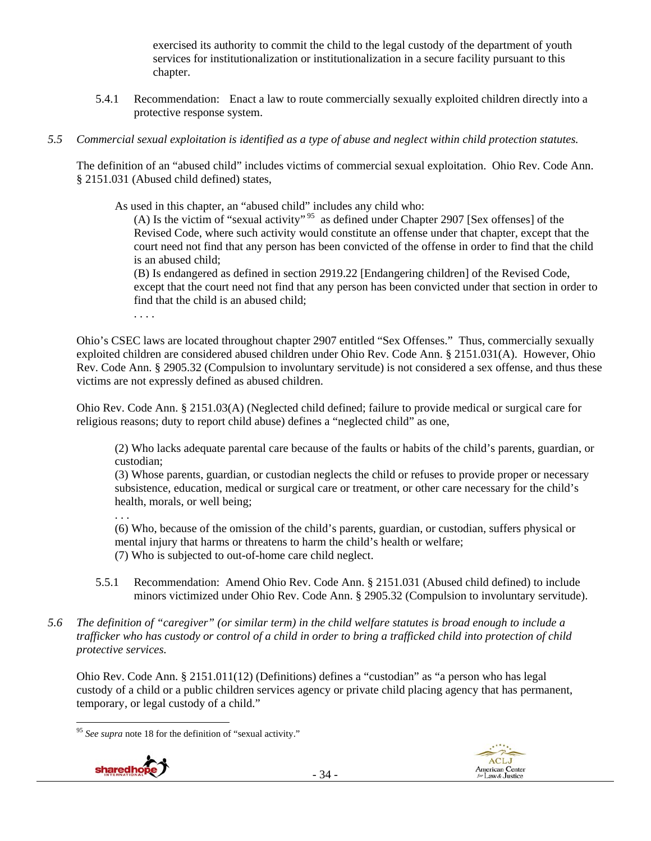exercised its authority to commit the child to the legal custody of the department of youth services for institutionalization or institutionalization in a secure facility pursuant to this chapter.

- 5.4.1 Recommendation: Enact a law to route commercially sexually exploited children directly into a protective response system.
- *5.5 Commercial sexual exploitation is identified as a type of abuse and neglect within child protection statutes.*

The definition of an "abused child" includes victims of commercial sexual exploitation. Ohio Rev. Code Ann. § 2151.031 (Abused child defined) states,

As used in this chapter, an "abused child" includes any child who:

(A) Is the victim of "sexual activity"  $95$  as defined under Chapter 2907 [Sex offenses] of the Revised Code, where such activity would constitute an offense under that chapter, except that the court need not find that any person has been convicted of the offense in order to find that the child is an abused child;

(B) Is endangered as defined in section 2919.22 [Endangering children] of the Revised Code, except that the court need not find that any person has been convicted under that section in order to find that the child is an abused child;

. . . .

Ohio's CSEC laws are located throughout chapter 2907 entitled "Sex Offenses." Thus, commercially sexually exploited children are considered abused children under Ohio Rev. Code Ann. § 2151.031(A). However, Ohio Rev. Code Ann. § 2905.32 (Compulsion to involuntary servitude) is not considered a sex offense, and thus these victims are not expressly defined as abused children.

Ohio Rev. Code Ann. § 2151.03(A) (Neglected child defined; failure to provide medical or surgical care for religious reasons; duty to report child abuse) defines a "neglected child" as one,

(2) Who lacks adequate parental care because of the faults or habits of the child's parents, guardian, or custodian;

(3) Whose parents, guardian, or custodian neglects the child or refuses to provide proper or necessary subsistence, education, medical or surgical care or treatment, or other care necessary for the child's health, morals, or well being;

. . .

(6) Who, because of the omission of the child's parents, guardian, or custodian, suffers physical or mental injury that harms or threatens to harm the child's health or welfare; (7) Who is subjected to out-of-home care child neglect.

- 5.5.1 Recommendation: Amend Ohio Rev. Code Ann. § 2151.031 (Abused child defined) to include minors victimized under Ohio Rev. Code Ann. § 2905.32 (Compulsion to involuntary servitude).
- *5.6 The definition of "caregiver" (or similar term) in the child welfare statutes is broad enough to include a trafficker who has custody or control of a child in order to bring a trafficked child into protection of child protective services.*

Ohio Rev. Code Ann. § 2151.011(12) (Definitions) defines a "custodian" as "a person who has legal custody of a child or a public children services agency or private child placing agency that has permanent, temporary, or legal custody of a child."

 <sup>95</sup> *See supra* note 18 for the definition of "sexual activity."



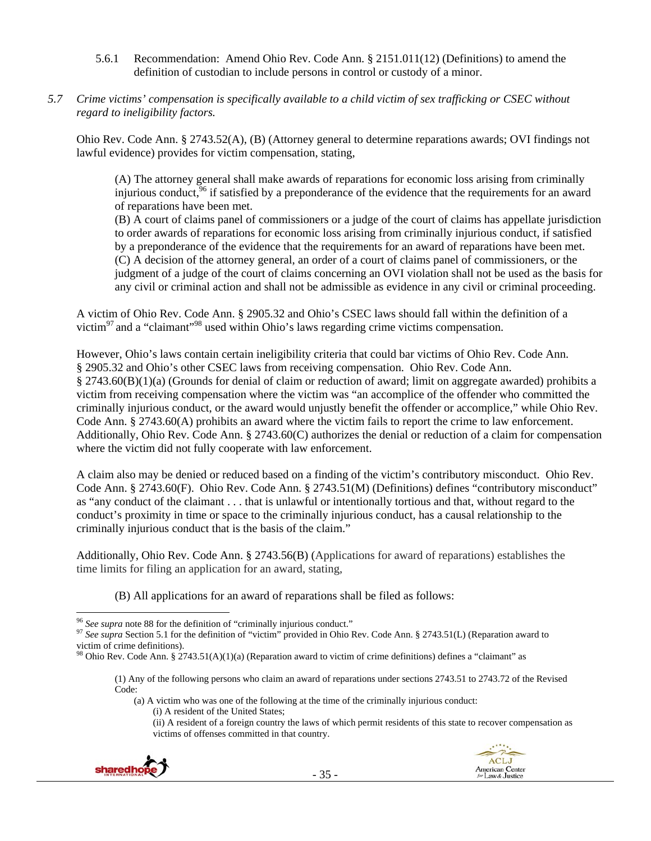- 5.6.1 Recommendation: Amend Ohio Rev. Code Ann. § 2151.011(12) (Definitions) to amend the definition of custodian to include persons in control or custody of a minor.
- *5.7 Crime victims' compensation is specifically available to a child victim of sex trafficking or CSEC without regard to ineligibility factors.*

Ohio Rev. Code Ann. § 2743.52(A), (B) (Attorney general to determine reparations awards; OVI findings not lawful evidence) provides for victim compensation, stating,

(A) The attorney general shall make awards of reparations for economic loss arising from criminally injurious conduct,  $96$  if satisfied by a preponderance of the evidence that the requirements for an award of reparations have been met.

(B) A court of claims panel of commissioners or a judge of the court of claims has appellate jurisdiction to order awards of reparations for economic loss arising from criminally injurious conduct, if satisfied by a preponderance of the evidence that the requirements for an award of reparations have been met. (C) A decision of the attorney general, an order of a court of claims panel of commissioners, or the judgment of a judge of the court of claims concerning an OVI violation shall not be used as the basis for any civil or criminal action and shall not be admissible as evidence in any civil or criminal proceeding.

A victim of Ohio Rev. Code Ann. § 2905.32 and Ohio's CSEC laws should fall within the definition of a victim $97$  and a "claimant"<sup>98</sup> used within Ohio's laws regarding crime victims compensation.

However, Ohio's laws contain certain ineligibility criteria that could bar victims of Ohio Rev. Code Ann. § 2905.32 and Ohio's other CSEC laws from receiving compensation. Ohio Rev. Code Ann. § 2743.60(B)(1)(a) (Grounds for denial of claim or reduction of award; limit on aggregate awarded) prohibits a victim from receiving compensation where the victim was "an accomplice of the offender who committed the criminally injurious conduct, or the award would unjustly benefit the offender or accomplice," while Ohio Rev. Code Ann. § 2743.60(A) prohibits an award where the victim fails to report the crime to law enforcement. Additionally, Ohio Rev. Code Ann. § 2743.60(C) authorizes the denial or reduction of a claim for compensation where the victim did not fully cooperate with law enforcement.

A claim also may be denied or reduced based on a finding of the victim's contributory misconduct. Ohio Rev. Code Ann. § 2743.60(F). Ohio Rev. Code Ann. § 2743.51(M) (Definitions) defines "contributory misconduct" as "any conduct of the claimant . . . that is unlawful or intentionally tortious and that, without regard to the conduct's proximity in time or space to the criminally injurious conduct, has a causal relationship to the criminally injurious conduct that is the basis of the claim."

Additionally, Ohio Rev. Code Ann. § 2743.56(B) (Applications for award of reparations) establishes the time limits for filing an application for an award, stating,

(B) All applications for an award of reparations shall be filed as follows:

- (1) Any of the following persons who claim an award of reparations under sections 2743.51 to 2743.72 of the Revised Code:
	- (a) A victim who was one of the following at the time of the criminally injurious conduct: (i) A resident of the United States;
		- (ii) A resident of a foreign country the laws of which permit residents of this state to recover compensation as victims of offenses committed in that country.





<sup>&</sup>lt;sup>96</sup> See supra note 88 for the definition of "criminally injurious conduct."<br><sup>97</sup> See supra Section 5.1 for the definition of "victim" provided in Ohio Rev. Code Ann. § 2743.51(L) (Reparation award to victim of crime definitions).

<sup>&</sup>lt;sup>98</sup> Ohio Rev. Code Ann. § 2743.51(A)(1)(a) (Reparation award to victim of crime definitions) defines a "claimant" as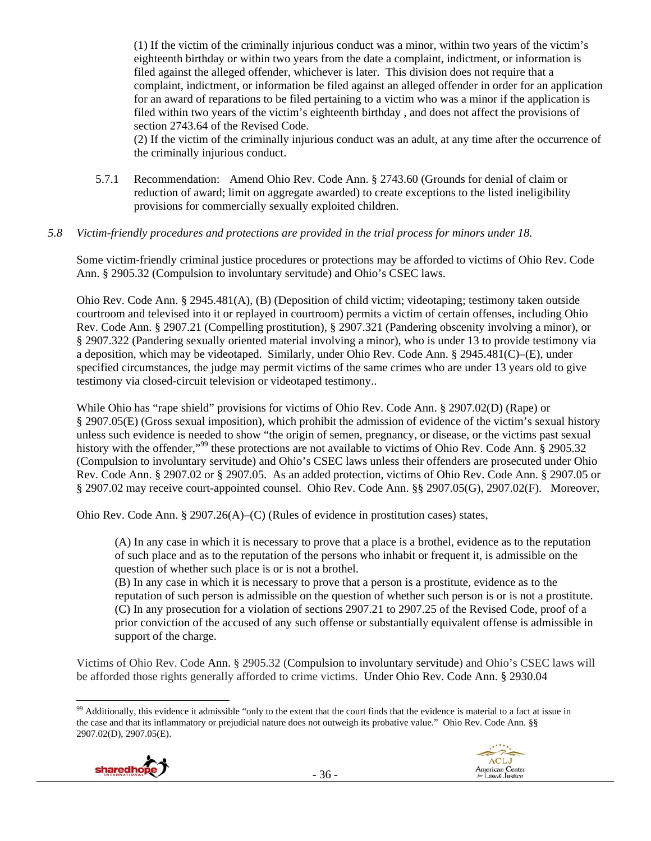(1) If the victim of the criminally injurious conduct was a minor, within two years of the victim's eighteenth birthday or within two years from the date a complaint, indictment, or information is filed against the alleged offender, whichever is later. This division does not require that a complaint, indictment, or information be filed against an alleged offender in order for an application for an award of reparations to be filed pertaining to a victim who was a minor if the application is filed within two years of the victim's eighteenth birthday , and does not affect the provisions of section 2743.64 of the Revised Code.

(2) If the victim of the criminally injurious conduct was an adult, at any time after the occurrence of the criminally injurious conduct.

5.7.1 Recommendation: Amend Ohio Rev. Code Ann. § 2743.60 (Grounds for denial of claim or reduction of award; limit on aggregate awarded) to create exceptions to the listed ineligibility provisions for commercially sexually exploited children.

## *5.8 Victim-friendly procedures and protections are provided in the trial process for minors under 18.*

Some victim-friendly criminal justice procedures or protections may be afforded to victims of Ohio Rev. Code Ann. § 2905.32 (Compulsion to involuntary servitude) and Ohio's CSEC laws.

Ohio Rev. Code Ann. § 2945.481(A), (B) (Deposition of child victim; videotaping; testimony taken outside courtroom and televised into it or replayed in courtroom) permits a victim of certain offenses, including Ohio Rev. Code Ann. § 2907.21 (Compelling prostitution), § 2907.321 (Pandering obscenity involving a minor), or § 2907.322 (Pandering sexually oriented material involving a minor), who is under 13 to provide testimony via a deposition, which may be videotaped. Similarly, under Ohio Rev. Code Ann. § 2945.481(C)–(E), under specified circumstances, the judge may permit victims of the same crimes who are under 13 years old to give testimony via closed-circuit television or videotaped testimony..

While Ohio has "rape shield" provisions for victims of Ohio Rev. Code Ann. § 2907.02(D) (Rape) or § 2907.05(E) (Gross sexual imposition), which prohibit the admission of evidence of the victim's sexual history unless such evidence is needed to show "the origin of semen, pregnancy, or disease, or the victims past sexual history with the offender,"<sup>99</sup> these protections are not available to victims of Ohio Rev. Code Ann. § 2905.32 (Compulsion to involuntary servitude) and Ohio's CSEC laws unless their offenders are prosecuted under Ohio Rev. Code Ann. § 2907.02 or § 2907.05. As an added protection, victims of Ohio Rev. Code Ann. § 2907.05 or § 2907.02 may receive court-appointed counsel. Ohio Rev. Code Ann. §§ 2907.05(G), 2907.02(F). Moreover,

Ohio Rev. Code Ann. § 2907.26(A)–(C) (Rules of evidence in prostitution cases) states,

(A) In any case in which it is necessary to prove that a place is a brothel, evidence as to the reputation of such place and as to the reputation of the persons who inhabit or frequent it, is admissible on the question of whether such place is or is not a brothel.

(B) In any case in which it is necessary to prove that a person is a prostitute, evidence as to the reputation of such person is admissible on the question of whether such person is or is not a prostitute. (C) In any prosecution for a violation of sections 2907.21 to 2907.25 of the Revised Code, proof of a prior conviction of the accused of any such offense or substantially equivalent offense is admissible in support of the charge.

Victims of Ohio Rev. Code Ann. § 2905.32 (Compulsion to involuntary servitude) and Ohio's CSEC laws will be afforded those rights generally afforded to crime victims. Under Ohio Rev. Code Ann. § 2930.04

 $99$  Additionally, this evidence it admissible "only to the extent that the court finds that the evidence is material to a fact at issue in the case and that its inflammatory or prejudicial nature does not outweigh its probative value." Ohio Rev. Code Ann. §§ 2907.02(D), 2907.05(E).



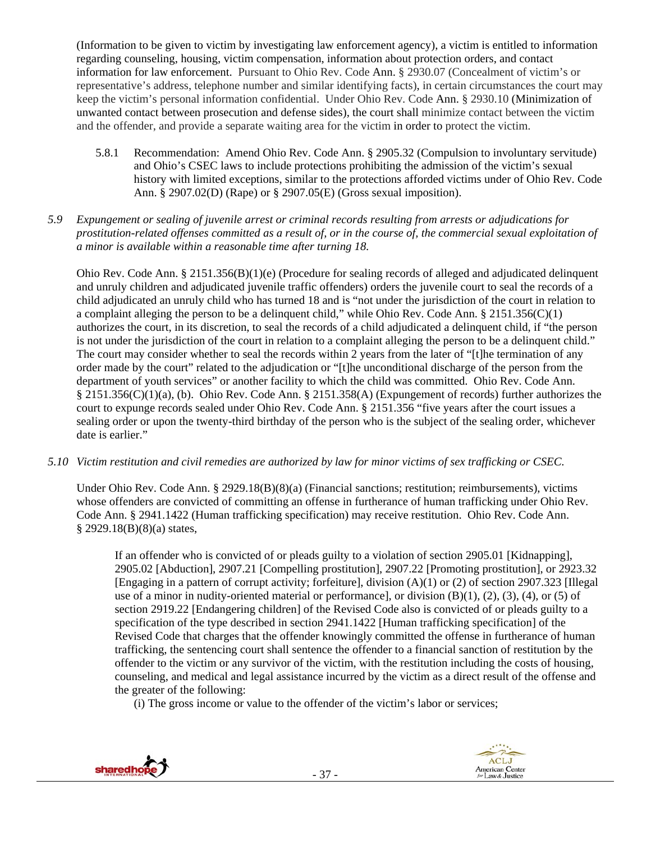(Information to be given to victim by investigating law enforcement agency), a victim is entitled to information regarding counseling, housing, victim compensation, information about protection orders, and contact information for law enforcement. Pursuant to Ohio Rev. Code Ann. § 2930.07 (Concealment of victim's or representative's address, telephone number and similar identifying facts), in certain circumstances the court may keep the victim's personal information confidential. Under Ohio Rev. Code Ann. § 2930.10 (Minimization of unwanted contact between prosecution and defense sides), the court shall minimize contact between the victim and the offender, and provide a separate waiting area for the victim in order to protect the victim.

- 5.8.1 Recommendation: Amend Ohio Rev. Code Ann. § 2905.32 (Compulsion to involuntary servitude) and Ohio's CSEC laws to include protections prohibiting the admission of the victim's sexual history with limited exceptions, similar to the protections afforded victims under of Ohio Rev. Code Ann. § 2907.02(D) (Rape) or § 2907.05(E) (Gross sexual imposition).
- *5.9 Expungement or sealing of juvenile arrest or criminal records resulting from arrests or adjudications for prostitution-related offenses committed as a result of, or in the course of, the commercial sexual exploitation of a minor is available within a reasonable time after turning 18.*

Ohio Rev. Code Ann. § 2151.356(B)(1)(e) (Procedure for sealing records of alleged and adjudicated delinquent and unruly children and adjudicated juvenile traffic offenders) orders the juvenile court to seal the records of a child adjudicated an unruly child who has turned 18 and is "not under the jurisdiction of the court in relation to a complaint alleging the person to be a delinquent child," while Ohio Rev. Code Ann. § 2151.356(C)(1) authorizes the court, in its discretion, to seal the records of a child adjudicated a delinquent child, if "the person is not under the jurisdiction of the court in relation to a complaint alleging the person to be a delinquent child." The court may consider whether to seal the records within 2 years from the later of "[t]he termination of any order made by the court" related to the adjudication or "[t]he unconditional discharge of the person from the department of youth services" or another facility to which the child was committed. Ohio Rev. Code Ann. § 2151.356(C)(1)(a), (b). Ohio Rev. Code Ann. § 2151.358(A) (Expungement of records) further authorizes the court to expunge records sealed under Ohio Rev. Code Ann. § 2151.356 "five years after the court issues a sealing order or upon the twenty-third birthday of the person who is the subject of the sealing order, whichever date is earlier."

*5.10 Victim restitution and civil remedies are authorized by law for minor victims of sex trafficking or CSEC.* 

Under Ohio Rev. Code Ann. § 2929.18(B)(8)(a) (Financial sanctions; restitution; reimbursements), victims whose offenders are convicted of committing an offense in furtherance of human trafficking under Ohio Rev. Code Ann. § 2941.1422 (Human trafficking specification) may receive restitution. Ohio Rev. Code Ann.  $§$  2929.18(B)(8)(a) states,

If an offender who is convicted of or pleads guilty to a violation of section 2905.01 [Kidnapping], 2905.02 [Abduction], 2907.21 [Compelling prostitution], 2907.22 [Promoting prostitution], or 2923.32 [Engaging in a pattern of corrupt activity; forfeiture], division (A)(1) or (2) of section 2907.323 [Illegal use of a minor in nudity-oriented material or performance], or division  $(B)(1)$ ,  $(2)$ ,  $(3)$ ,  $(4)$ , or  $(5)$  of section 2919.22 [Endangering children] of the Revised Code also is convicted of or pleads guilty to a specification of the type described in section 2941.1422 [Human trafficking specification] of the Revised Code that charges that the offender knowingly committed the offense in furtherance of human trafficking, the sentencing court shall sentence the offender to a financial sanction of restitution by the offender to the victim or any survivor of the victim, with the restitution including the costs of housing, counseling, and medical and legal assistance incurred by the victim as a direct result of the offense and the greater of the following:

(i) The gross income or value to the offender of the victim's labor or services;



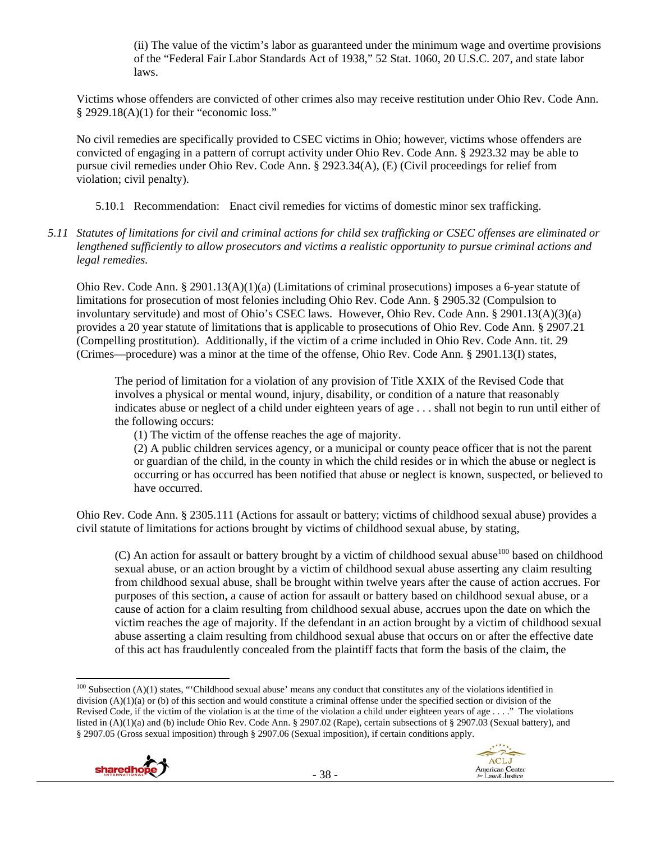(ii) The value of the victim's labor as guaranteed under the minimum wage and overtime provisions of the "Federal Fair Labor Standards Act of 1938," 52 Stat. 1060, 20 U.S.C. 207, and state labor laws.

Victims whose offenders are convicted of other crimes also may receive restitution under Ohio Rev. Code Ann. § 2929.18(A)(1) for their "economic loss."

No civil remedies are specifically provided to CSEC victims in Ohio; however, victims whose offenders are convicted of engaging in a pattern of corrupt activity under Ohio Rev. Code Ann. § 2923.32 may be able to pursue civil remedies under Ohio Rev. Code Ann. § 2923.34(A), (E) (Civil proceedings for relief from violation; civil penalty).

5.10.1 Recommendation: Enact civil remedies for victims of domestic minor sex trafficking.

*5.11 Statutes of limitations for civil and criminal actions for child sex trafficking or CSEC offenses are eliminated or lengthened sufficiently to allow prosecutors and victims a realistic opportunity to pursue criminal actions and legal remedies.* 

Ohio Rev. Code Ann. § 2901.13(A)(1)(a) (Limitations of criminal prosecutions) imposes a 6-year statute of limitations for prosecution of most felonies including Ohio Rev. Code Ann. § 2905.32 (Compulsion to involuntary servitude) and most of Ohio's CSEC laws. However, Ohio Rev. Code Ann. § 2901.13(A)(3)(a) provides a 20 year statute of limitations that is applicable to prosecutions of Ohio Rev. Code Ann. § 2907.21 (Compelling prostitution). Additionally, if the victim of a crime included in Ohio Rev. Code Ann. tit. 29 (Crimes—procedure) was a minor at the time of the offense, Ohio Rev. Code Ann. § 2901.13(I) states,

The period of limitation for a violation of any provision of Title XXIX of the Revised Code that involves a physical or mental wound, injury, disability, or condition of a nature that reasonably indicates abuse or neglect of a child under eighteen years of age . . . shall not begin to run until either of the following occurs:

(1) The victim of the offense reaches the age of majority.

(2) A public children services agency, or a municipal or county peace officer that is not the parent or guardian of the child, in the county in which the child resides or in which the abuse or neglect is occurring or has occurred has been notified that abuse or neglect is known, suspected, or believed to have occurred.

Ohio Rev. Code Ann. § 2305.111 (Actions for assault or battery; victims of childhood sexual abuse) provides a civil statute of limitations for actions brought by victims of childhood sexual abuse, by stating,

(C) An action for assault or battery brought by a victim of childhood sexual abuse<sup>100</sup> based on childhood sexual abuse, or an action brought by a victim of childhood sexual abuse asserting any claim resulting from childhood sexual abuse, shall be brought within twelve years after the cause of action accrues. For purposes of this section, a cause of action for assault or battery based on childhood sexual abuse, or a cause of action for a claim resulting from childhood sexual abuse, accrues upon the date on which the victim reaches the age of majority. If the defendant in an action brought by a victim of childhood sexual abuse asserting a claim resulting from childhood sexual abuse that occurs on or after the effective date of this act has fraudulently concealed from the plaintiff facts that form the basis of the claim, the

  $100$  Subsection (A)(1) states, "Childhood sexual abuse' means any conduct that constitutes any of the violations identified in division (A)(1)(a) or (b) of this section and would constitute a criminal offense under the specified section or division of the Revised Code, if the victim of the violation is at the time of the violation a child under eighteen years of age . . . ." The violations listed in (A)(1)(a) and (b) include Ohio Rev. Code Ann. § 2907.02 (Rape), certain subsections of § 2907.03 (Sexual battery), and § 2907.05 (Gross sexual imposition) through § 2907.06 (Sexual imposition), if certain conditions apply.



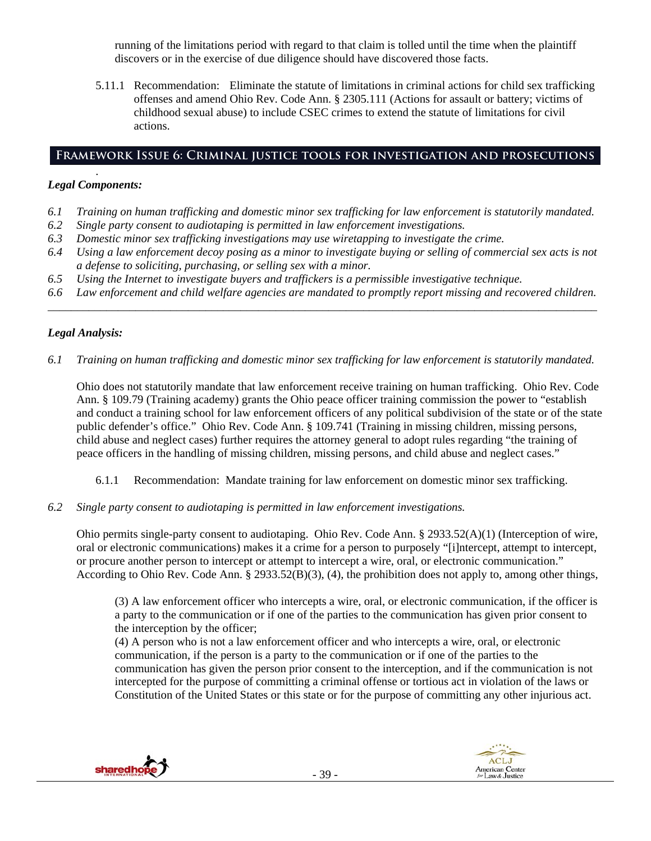running of the limitations period with regard to that claim is tolled until the time when the plaintiff discovers or in the exercise of due diligence should have discovered those facts.

5.11.1 Recommendation: Eliminate the statute of limitations in criminal actions for child sex trafficking offenses and amend Ohio Rev. Code Ann. § 2305.111 (Actions for assault or battery; victims of childhood sexual abuse) to include CSEC crimes to extend the statute of limitations for civil actions.

# **Framework Issue 6: Criminal justice tools for investigation and prosecutions**

#### . *Legal Components:*

- *6.1 Training on human trafficking and domestic minor sex trafficking for law enforcement is statutorily mandated.*
- *6.2 Single party consent to audiotaping is permitted in law enforcement investigations.*
- *6.3 Domestic minor sex trafficking investigations may use wiretapping to investigate the crime.*
- *6.4 Using a law enforcement decoy posing as a minor to investigate buying or selling of commercial sex acts is not a defense to soliciting, purchasing, or selling sex with a minor.*
- *6.5 Using the Internet to investigate buyers and traffickers is a permissible investigative technique.*
- *6.6 Law enforcement and child welfare agencies are mandated to promptly report missing and recovered children. \_\_\_\_\_\_\_\_\_\_\_\_\_\_\_\_\_\_\_\_\_\_\_\_\_\_\_\_\_\_\_\_\_\_\_\_\_\_\_\_\_\_\_\_\_\_\_\_\_\_\_\_\_\_\_\_\_\_\_\_\_\_\_\_\_\_\_\_\_\_\_\_\_\_\_\_\_\_\_\_\_\_\_\_\_\_\_\_\_\_\_\_\_\_*

# *Legal Analysis:*

*6.1 Training on human trafficking and domestic minor sex trafficking for law enforcement is statutorily mandated.* 

Ohio does not statutorily mandate that law enforcement receive training on human trafficking. Ohio Rev. Code Ann. § 109.79 (Training academy) grants the Ohio peace officer training commission the power to "establish and conduct a training school for law enforcement officers of any political subdivision of the state or of the state public defender's office." Ohio Rev. Code Ann. § 109.741 (Training in missing children, missing persons, child abuse and neglect cases) further requires the attorney general to adopt rules regarding "the training of peace officers in the handling of missing children, missing persons, and child abuse and neglect cases."

- 6.1.1 Recommendation: Mandate training for law enforcement on domestic minor sex trafficking.
- *6.2 Single party consent to audiotaping is permitted in law enforcement investigations.*

Ohio permits single-party consent to audiotaping. Ohio Rev. Code Ann. § 2933.52(A)(1) (Interception of wire, oral or electronic communications) makes it a crime for a person to purposely "[i]ntercept, attempt to intercept, or procure another person to intercept or attempt to intercept a wire, oral, or electronic communication." According to Ohio Rev. Code Ann. § 2933.52(B)(3), (4), the prohibition does not apply to, among other things,

(3) A law enforcement officer who intercepts a wire, oral, or electronic communication, if the officer is a party to the communication or if one of the parties to the communication has given prior consent to the interception by the officer;

(4) A person who is not a law enforcement officer and who intercepts a wire, oral, or electronic communication, if the person is a party to the communication or if one of the parties to the communication has given the person prior consent to the interception, and if the communication is not intercepted for the purpose of committing a criminal offense or tortious act in violation of the laws or Constitution of the United States or this state or for the purpose of committing any other injurious act.



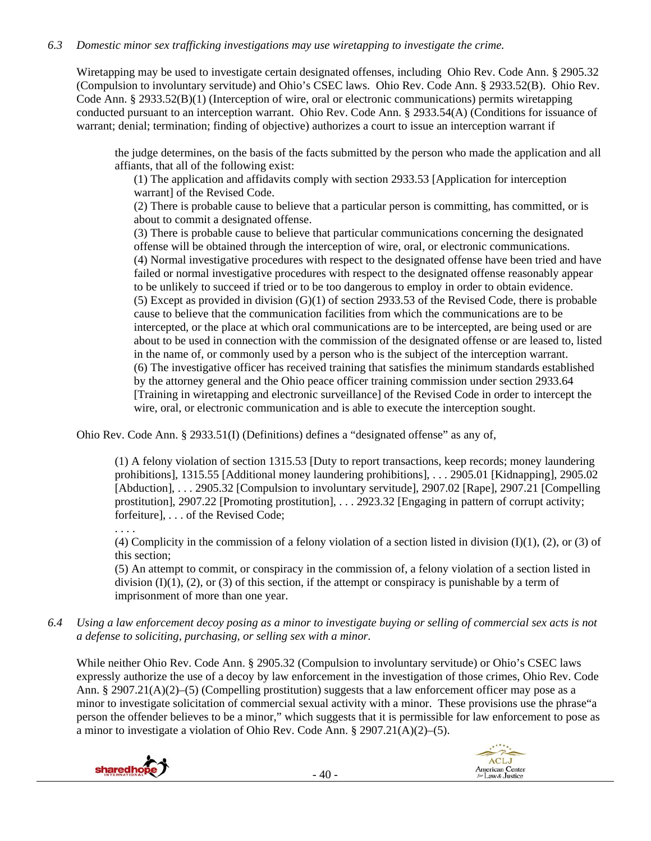## *6.3 Domestic minor sex trafficking investigations may use wiretapping to investigate the crime.*

Wiretapping may be used to investigate certain designated offenses, including Ohio Rev. Code Ann. § 2905.32 (Compulsion to involuntary servitude) and Ohio's CSEC laws. Ohio Rev. Code Ann. § 2933.52(B). Ohio Rev. Code Ann. § 2933.52(B)(1) (Interception of wire, oral or electronic communications) permits wiretapping conducted pursuant to an interception warrant. Ohio Rev. Code Ann. § 2933.54(A) (Conditions for issuance of warrant; denial; termination; finding of objective) authorizes a court to issue an interception warrant if

the judge determines, on the basis of the facts submitted by the person who made the application and all affiants, that all of the following exist:

(1) The application and affidavits comply with section 2933.53 [Application for interception warrant] of the Revised Code.

(2) There is probable cause to believe that a particular person is committing, has committed, or is about to commit a designated offense.

(3) There is probable cause to believe that particular communications concerning the designated offense will be obtained through the interception of wire, oral, or electronic communications. (4) Normal investigative procedures with respect to the designated offense have been tried and have failed or normal investigative procedures with respect to the designated offense reasonably appear to be unlikely to succeed if tried or to be too dangerous to employ in order to obtain evidence. (5) Except as provided in division (G)(1) of section 2933.53 of the Revised Code, there is probable cause to believe that the communication facilities from which the communications are to be intercepted, or the place at which oral communications are to be intercepted, are being used or are about to be used in connection with the commission of the designated offense or are leased to, listed in the name of, or commonly used by a person who is the subject of the interception warrant. (6) The investigative officer has received training that satisfies the minimum standards established by the attorney general and the Ohio peace officer training commission under section 2933.64 [Training in wiretapping and electronic surveillance] of the Revised Code in order to intercept the wire, oral, or electronic communication and is able to execute the interception sought.

Ohio Rev. Code Ann. § 2933.51(I) (Definitions) defines a "designated offense" as any of,

(1) A felony violation of section 1315.53 [Duty to report transactions, keep records; money laundering prohibitions], 1315.55 [Additional money laundering prohibitions], . . . 2905.01 [Kidnapping], 2905.02 [Abduction], ... 2905.32 [Compulsion to involuntary servitude], 2907.02 [Rape], 2907.21 [Compelling] prostitution], 2907.22 [Promoting prostitution], . . . 2923.32 [Engaging in pattern of corrupt activity; forfeiture], . . . of the Revised Code;

. . . .

(4) Complicity in the commission of a felony violation of a section listed in division  $(I)(1)$ ,  $(2)$ , or  $(3)$  of this section;

(5) An attempt to commit, or conspiracy in the commission of, a felony violation of a section listed in division  $(I)(1)$ ,  $(2)$ , or  $(3)$  of this section, if the attempt or conspiracy is punishable by a term of imprisonment of more than one year.

*6.4 Using a law enforcement decoy posing as a minor to investigate buying or selling of commercial sex acts is not a defense to soliciting, purchasing, or selling sex with a minor.* 

While neither Ohio Rev. Code Ann. § 2905.32 (Compulsion to involuntary servitude) or Ohio's CSEC laws expressly authorize the use of a decoy by law enforcement in the investigation of those crimes, Ohio Rev. Code Ann. § 2907.21(A)(2)–(5) (Compelling prostitution) suggests that a law enforcement officer may pose as a minor to investigate solicitation of commercial sexual activity with a minor. These provisions use the phrase"a person the offender believes to be a minor," which suggests that it is permissible for law enforcement to pose as a minor to investigate a violation of Ohio Rev. Code Ann. § 2907.21(A)(2)–(5).